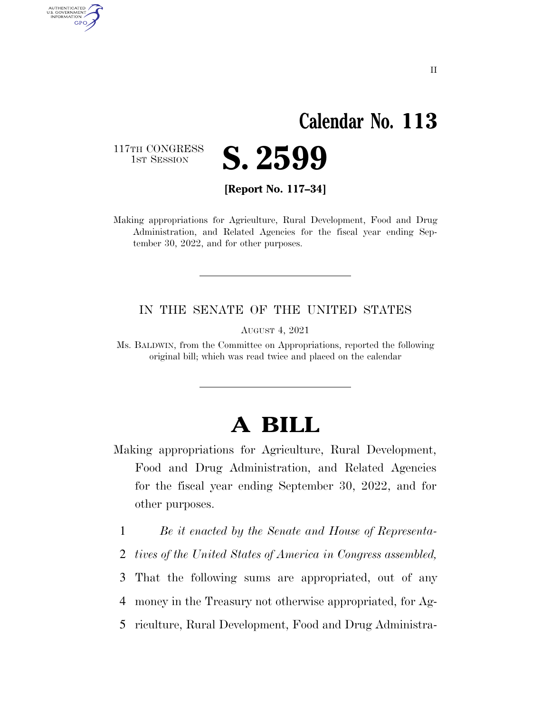# **Calendar No. 113**

117TH CONGRESS<br>1st Session

AUTHENTICATED<br>U.S. GOVERNMENT<br>INFORMATION

**GPO** 



**[Report No. 117–34]** 

Making appropriations for Agriculture, Rural Development, Food and Drug Administration, and Related Agencies for the fiscal year ending September 30, 2022, and for other purposes.

#### IN THE SENATE OF THE UNITED STATES

AUGUST 4, 2021

Ms. BALDWIN, from the Committee on Appropriations, reported the following original bill; which was read twice and placed on the calendar

# **A BILL**

- Making appropriations for Agriculture, Rural Development, Food and Drug Administration, and Related Agencies for the fiscal year ending September 30, 2022, and for other purposes.
	- 1 *Be it enacted by the Senate and House of Representa-*
	- 2 *tives of the United States of America in Congress assembled,*
	- 3 That the following sums are appropriated, out of any
	- 4 money in the Treasury not otherwise appropriated, for Ag-
	- 5 riculture, Rural Development, Food and Drug Administra-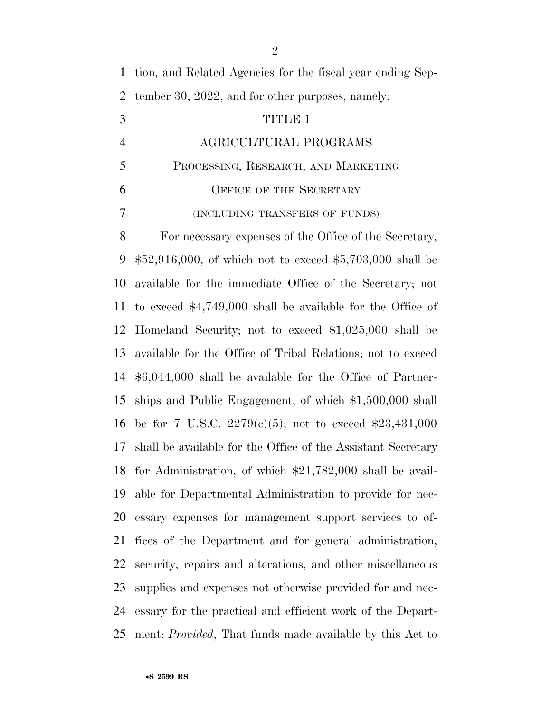| tion, and Related Agencies for the fiscal year ending Sep-       |
|------------------------------------------------------------------|
| tember 30, 2022, and for other purposes, namely:                 |
| TITLE I                                                          |
| AGRICULTURAL PROGRAMS                                            |
| PROCESSING, RESEARCH, AND MARKETING                              |
| OFFICE OF THE SECRETARY                                          |
| (INCLUDING TRANSFERS OF FUNDS)                                   |
| For necessary expenses of the Office of the Secretary,           |
| $$52,916,000$ , of which not to exceed $$5,703,000$ shall be     |
| available for the immediate Office of the Secretary; not         |
| to exceed $$4,749,000$ shall be available for the Office of      |
| Homeland Security; not to exceed $$1,025,000$ shall be           |
| available for the Office of Tribal Relations; not to exceed      |
| $$6,044,000$ shall be available for the Office of Partner-       |
| ships and Public Engagement, of which $$1,500,000$ shall         |
| be for 7 U.S.C. 2279(c)(5); not to exceed \$23,431,000<br>16     |
| shall be available for the Office of the Assistant Secretary     |
| 18 for Administration, of which \$21,782,000 shall be avail-     |
| able for Departmental Administration to provide for nec-         |
| essary expenses for management support services to of-           |
| fices of the Department and for general administration,          |
| security, repairs and alterations, and other miscellaneous       |
| supplies and expenses not otherwise provided for and nec-        |
| essary for the practical and efficient work of the Depart-       |
| ment: <i>Provided</i> , That funds made available by this Act to |
|                                                                  |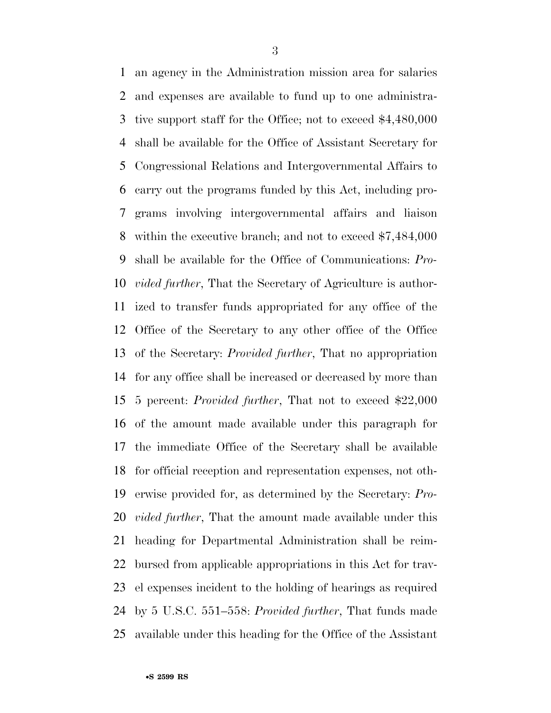an agency in the Administration mission area for salaries and expenses are available to fund up to one administra- tive support staff for the Office; not to exceed \$4,480,000 shall be available for the Office of Assistant Secretary for Congressional Relations and Intergovernmental Affairs to carry out the programs funded by this Act, including pro- grams involving intergovernmental affairs and liaison within the executive branch; and not to exceed \$7,484,000 shall be available for the Office of Communications: *Pro- vided further*, That the Secretary of Agriculture is author- ized to transfer funds appropriated for any office of the Office of the Secretary to any other office of the Office of the Secretary: *Provided further*, That no appropriation for any office shall be increased or decreased by more than 5 percent: *Provided further*, That not to exceed \$22,000 of the amount made available under this paragraph for the immediate Office of the Secretary shall be available for official reception and representation expenses, not oth- erwise provided for, as determined by the Secretary: *Pro- vided further*, That the amount made available under this heading for Departmental Administration shall be reim- bursed from applicable appropriations in this Act for trav- el expenses incident to the holding of hearings as required by 5 U.S.C. 551–558: *Provided further*, That funds made available under this heading for the Office of the Assistant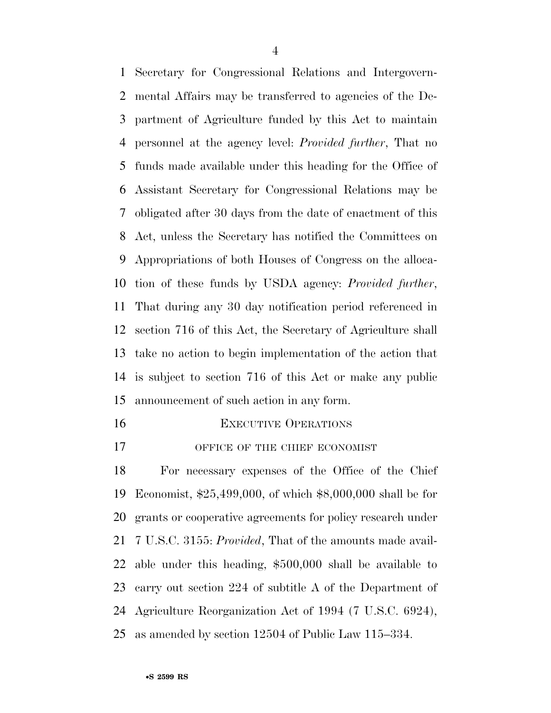Secretary for Congressional Relations and Intergovern- mental Affairs may be transferred to agencies of the De- partment of Agriculture funded by this Act to maintain personnel at the agency level: *Provided further*, That no funds made available under this heading for the Office of Assistant Secretary for Congressional Relations may be obligated after 30 days from the date of enactment of this Act, unless the Secretary has notified the Committees on Appropriations of both Houses of Congress on the alloca- tion of these funds by USDA agency: *Provided further*, That during any 30 day notification period referenced in section 716 of this Act, the Secretary of Agriculture shall take no action to begin implementation of the action that is subject to section 716 of this Act or make any public announcement of such action in any form.

- **EXECUTIVE OPERATIONS**
- 17 OFFICE OF THE CHIEF ECONOMIST

 For necessary expenses of the Office of the Chief Economist, \$25,499,000, of which \$8,000,000 shall be for grants or cooperative agreements for policy research under 7 U.S.C. 3155: *Provided*, That of the amounts made avail- able under this heading, \$500,000 shall be available to carry out section 224 of subtitle A of the Department of Agriculture Reorganization Act of 1994 (7 U.S.C. 6924), as amended by section 12504 of Public Law 115–334.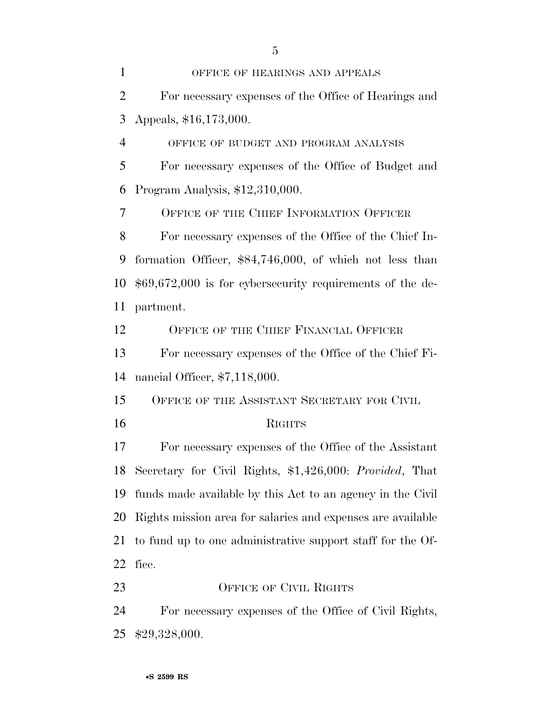OFFICE OF HEARINGS AND APPEALS For necessary expenses of the Office of Hearings and Appeals, \$16,173,000. OFFICE OF BUDGET AND PROGRAM ANALYSIS For necessary expenses of the Office of Budget and Program Analysis, \$12,310,000. OFFICE OF THE CHIEF INFORMATION OFFICER For necessary expenses of the Office of the Chief In- formation Officer, \$84,746,000, of which not less than \$69,672,000 is for cybersecurity requirements of the de- partment. OFFICE OF THE CHIEF FINANCIAL OFFICER For necessary expenses of the Office of the Chief Fi- nancial Officer, \$7,118,000. 15 OFFICE OF THE ASSISTANT SECRETARY FOR CIVIL RIGHTS For necessary expenses of the Office of the Assistant Secretary for Civil Rights, \$1,426,000: *Provided*, That funds made available by this Act to an agency in the Civil Rights mission area for salaries and expenses are available to fund up to one administrative support staff for the Of- fice. 23 OFFICE OF CIVIL RIGHTS For necessary expenses of the Office of Civil Rights, \$29,328,000.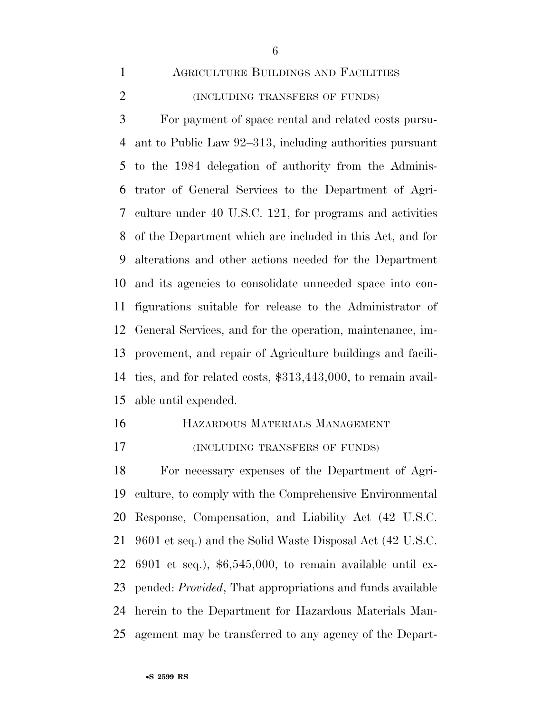# AGRICULTURE BUILDINGS AND FACILITIES

(INCLUDING TRANSFERS OF FUNDS)

 For payment of space rental and related costs pursu- ant to Public Law 92–313, including authorities pursuant to the 1984 delegation of authority from the Adminis- trator of General Services to the Department of Agri- culture under 40 U.S.C. 121, for programs and activities of the Department which are included in this Act, and for alterations and other actions needed for the Department and its agencies to consolidate unneeded space into con- figurations suitable for release to the Administrator of General Services, and for the operation, maintenance, im- provement, and repair of Agriculture buildings and facili- ties, and for related costs, \$313,443,000, to remain avail-able until expended.

# HAZARDOUS MATERIALS MANAGEMENT

(INCLUDING TRANSFERS OF FUNDS)

 For necessary expenses of the Department of Agri- culture, to comply with the Comprehensive Environmental Response, Compensation, and Liability Act (42 U.S.C. 9601 et seq.) and the Solid Waste Disposal Act (42 U.S.C. 6901 et seq.), \$6,545,000, to remain available until ex- pended: *Provided*, That appropriations and funds available herein to the Department for Hazardous Materials Man-agement may be transferred to any agency of the Depart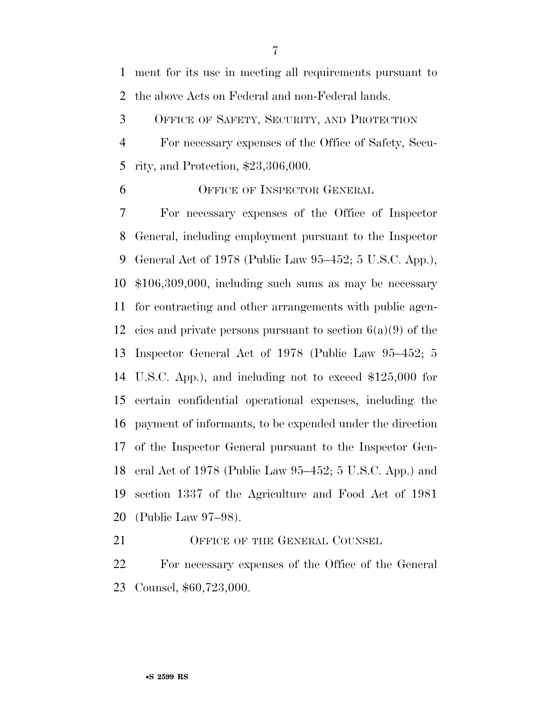ment for its use in meeting all requirements pursuant to the above Acts on Federal and non-Federal lands.

OFFICE OF SAFETY, SECURITY, AND PROTECTION

 For necessary expenses of the Office of Safety, Secu-rity, and Protection, \$23,306,000.

OFFICE OF INSPECTOR GENERAL

 For necessary expenses of the Office of Inspector General, including employment pursuant to the Inspector General Act of 1978 (Public Law 95–452; 5 U.S.C. App.), \$106,309,000, including such sums as may be necessary for contracting and other arrangements with public agen-12 cies and private persons pursuant to section  $6(a)(9)$  of the Inspector General Act of 1978 (Public Law 95–452; 5 U.S.C. App.), and including not to exceed \$125,000 for certain confidential operational expenses, including the payment of informants, to be expended under the direction of the Inspector General pursuant to the Inspector Gen- eral Act of 1978 (Public Law 95–452; 5 U.S.C. App.) and section 1337 of the Agriculture and Food Act of 1981 (Public Law 97–98).

21 OFFICE OF THE GENERAL COUNSEL

 For necessary expenses of the Office of the General Counsel, \$60,723,000.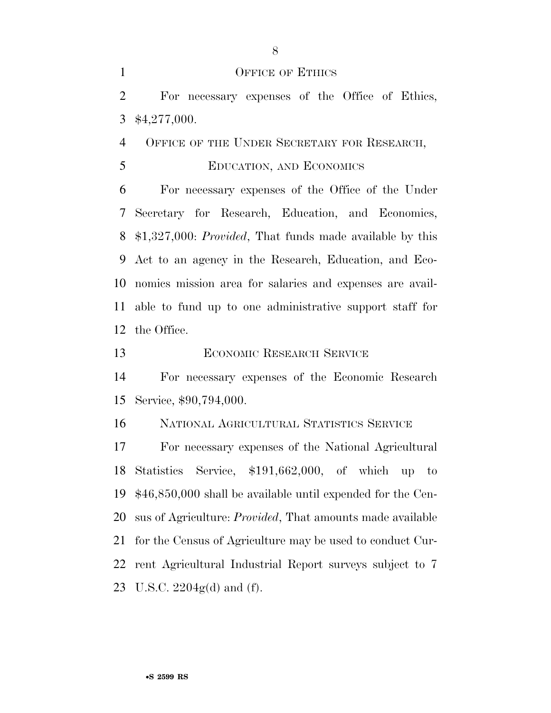#### 1 OFFICE OF ETHICS

 For necessary expenses of the Office of Ethics, \$4,277,000.

4 OFFICE OF THE UNDER SECRETARY FOR RESEARCH,

EDUCATION, AND ECONOMICS

 For necessary expenses of the Office of the Under Secretary for Research, Education, and Economics, \$1,327,000: *Provided*, That funds made available by this Act to an agency in the Research, Education, and Eco- nomics mission area for salaries and expenses are avail- able to fund up to one administrative support staff for the Office.

ECONOMIC RESEARCH SERVICE

 For necessary expenses of the Economic Research Service, \$90,794,000.

NATIONAL AGRICULTURAL STATISTICS SERVICE

 For necessary expenses of the National Agricultural Statistics Service, \$191,662,000, of which up to \$46,850,000 shall be available until expended for the Cen- sus of Agriculture: *Provided*, That amounts made available for the Census of Agriculture may be used to conduct Cur- rent Agricultural Industrial Report surveys subject to 7 U.S.C. 2204g(d) and (f).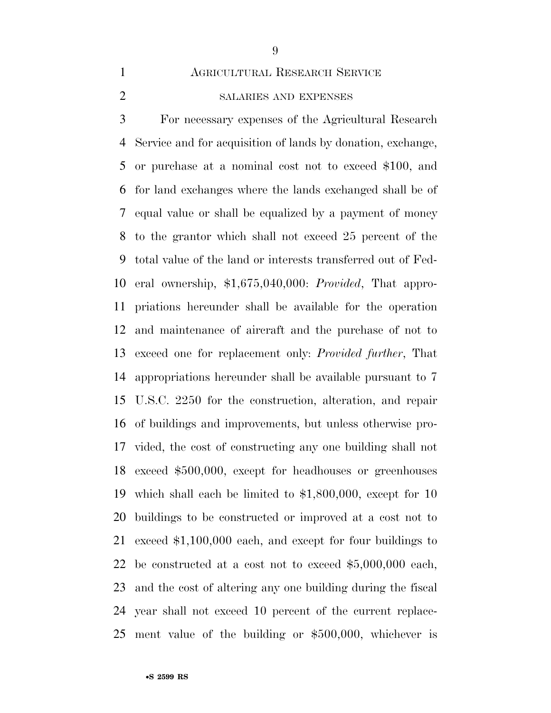# AGRICULTURAL RESEARCH SERVICE

SALARIES AND EXPENSES

 For necessary expenses of the Agricultural Research Service and for acquisition of lands by donation, exchange, or purchase at a nominal cost not to exceed \$100, and for land exchanges where the lands exchanged shall be of equal value or shall be equalized by a payment of money to the grantor which shall not exceed 25 percent of the total value of the land or interests transferred out of Fed- eral ownership, \$1,675,040,000: *Provided*, That appro- priations hereunder shall be available for the operation and maintenance of aircraft and the purchase of not to exceed one for replacement only: *Provided further*, That appropriations hereunder shall be available pursuant to 7 U.S.C. 2250 for the construction, alteration, and repair of buildings and improvements, but unless otherwise pro- vided, the cost of constructing any one building shall not exceed \$500,000, except for headhouses or greenhouses which shall each be limited to \$1,800,000, except for 10 buildings to be constructed or improved at a cost not to exceed \$1,100,000 each, and except for four buildings to be constructed at a cost not to exceed \$5,000,000 each, and the cost of altering any one building during the fiscal year shall not exceed 10 percent of the current replace-ment value of the building or \$500,000, whichever is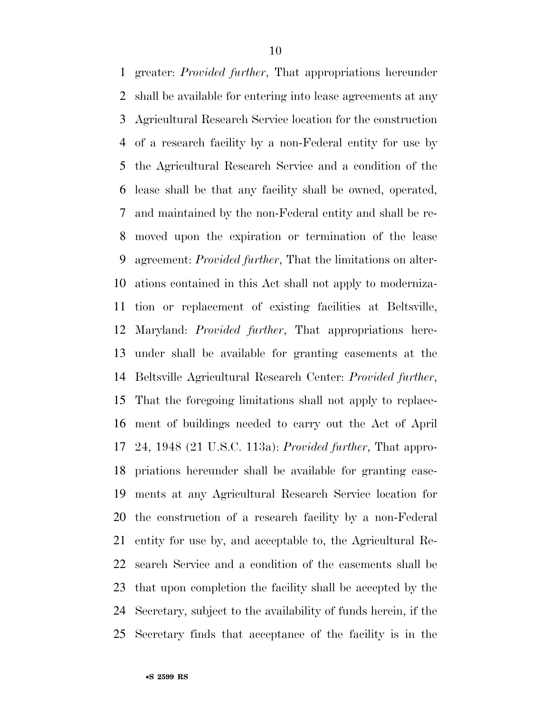greater: *Provided further*, That appropriations hereunder shall be available for entering into lease agreements at any Agricultural Research Service location for the construction of a research facility by a non-Federal entity for use by the Agricultural Research Service and a condition of the lease shall be that any facility shall be owned, operated, and maintained by the non-Federal entity and shall be re- moved upon the expiration or termination of the lease agreement: *Provided further*, That the limitations on alter- ations contained in this Act shall not apply to moderniza- tion or replacement of existing facilities at Beltsville, Maryland: *Provided further*, That appropriations here- under shall be available for granting easements at the Beltsville Agricultural Research Center: *Provided further*, That the foregoing limitations shall not apply to replace- ment of buildings needed to carry out the Act of April 24, 1948 (21 U.S.C. 113a): *Provided further*, That appro- priations hereunder shall be available for granting ease- ments at any Agricultural Research Service location for the construction of a research facility by a non-Federal entity for use by, and acceptable to, the Agricultural Re- search Service and a condition of the easements shall be that upon completion the facility shall be accepted by the Secretary, subject to the availability of funds herein, if the Secretary finds that acceptance of the facility is in the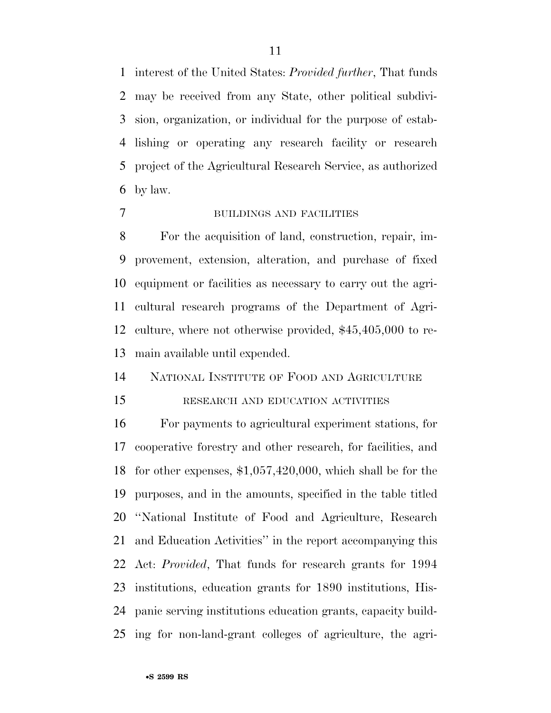interest of the United States: *Provided further*, That funds may be received from any State, other political subdivi- sion, organization, or individual for the purpose of estab- lishing or operating any research facility or research project of the Agricultural Research Service, as authorized by law.

# BUILDINGS AND FACILITIES

 For the acquisition of land, construction, repair, im- provement, extension, alteration, and purchase of fixed equipment or facilities as necessary to carry out the agri- cultural research programs of the Department of Agri- culture, where not otherwise provided, \$45,405,000 to re-main available until expended.

# NATIONAL INSTITUTE OF FOOD AND AGRICULTURE

#### 15 RESEARCH AND EDUCATION ACTIVITIES

 For payments to agricultural experiment stations, for cooperative forestry and other research, for facilities, and for other expenses, \$1,057,420,000, which shall be for the purposes, and in the amounts, specified in the table titled ''National Institute of Food and Agriculture, Research and Education Activities'' in the report accompanying this Act: *Provided*, That funds for research grants for 1994 institutions, education grants for 1890 institutions, His- panic serving institutions education grants, capacity build-ing for non-land-grant colleges of agriculture, the agri-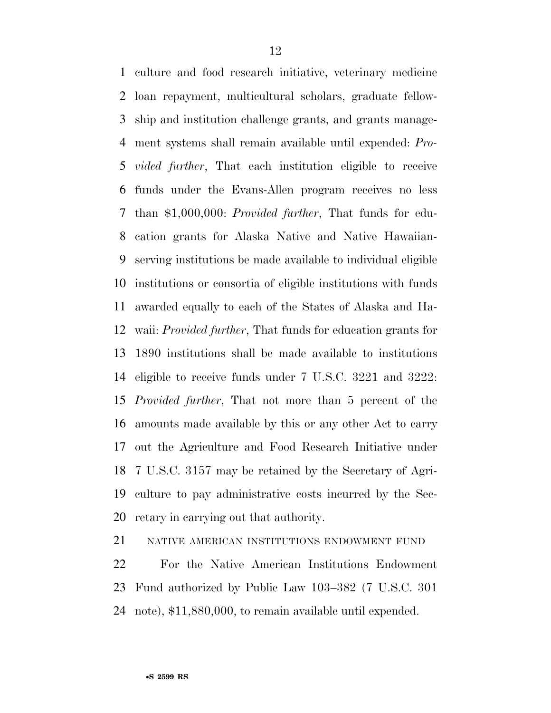culture and food research initiative, veterinary medicine loan repayment, multicultural scholars, graduate fellow- ship and institution challenge grants, and grants manage- ment systems shall remain available until expended: *Pro- vided further*, That each institution eligible to receive funds under the Evans-Allen program receives no less than \$1,000,000: *Provided further*, That funds for edu- cation grants for Alaska Native and Native Hawaiian- serving institutions be made available to individual eligible institutions or consortia of eligible institutions with funds awarded equally to each of the States of Alaska and Ha- waii: *Provided further*, That funds for education grants for 1890 institutions shall be made available to institutions eligible to receive funds under 7 U.S.C. 3221 and 3222: *Provided further*, That not more than 5 percent of the amounts made available by this or any other Act to carry out the Agriculture and Food Research Initiative under 7 U.S.C. 3157 may be retained by the Secretary of Agri- culture to pay administrative costs incurred by the Sec-retary in carrying out that authority.

NATIVE AMERICAN INSTITUTIONS ENDOWMENT FUND

 For the Native American Institutions Endowment Fund authorized by Public Law 103–382 (7 U.S.C. 301 note), \$11,880,000, to remain available until expended.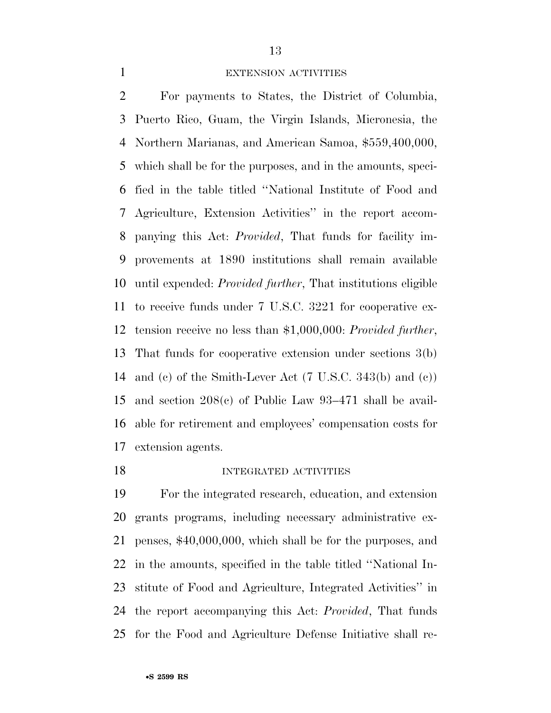### EXTENSION ACTIVITIES

 For payments to States, the District of Columbia, Puerto Rico, Guam, the Virgin Islands, Micronesia, the Northern Marianas, and American Samoa, \$559,400,000, which shall be for the purposes, and in the amounts, speci- fied in the table titled ''National Institute of Food and Agriculture, Extension Activities'' in the report accom- panying this Act: *Provided*, That funds for facility im- provements at 1890 institutions shall remain available until expended: *Provided further*, That institutions eligible to receive funds under 7 U.S.C. 3221 for cooperative ex- tension receive no less than \$1,000,000: *Provided further*, That funds for cooperative extension under sections 3(b) and (c) of the Smith-Lever Act (7 U.S.C. 343(b) and (c)) and section 208(c) of Public Law 93–471 shall be avail- able for retirement and employees' compensation costs for extension agents.

#### 18 INTEGRATED ACTIVITIES

 For the integrated research, education, and extension grants programs, including necessary administrative ex- penses, \$40,000,000, which shall be for the purposes, and in the amounts, specified in the table titled ''National In- stitute of Food and Agriculture, Integrated Activities'' in the report accompanying this Act: *Provided*, That funds for the Food and Agriculture Defense Initiative shall re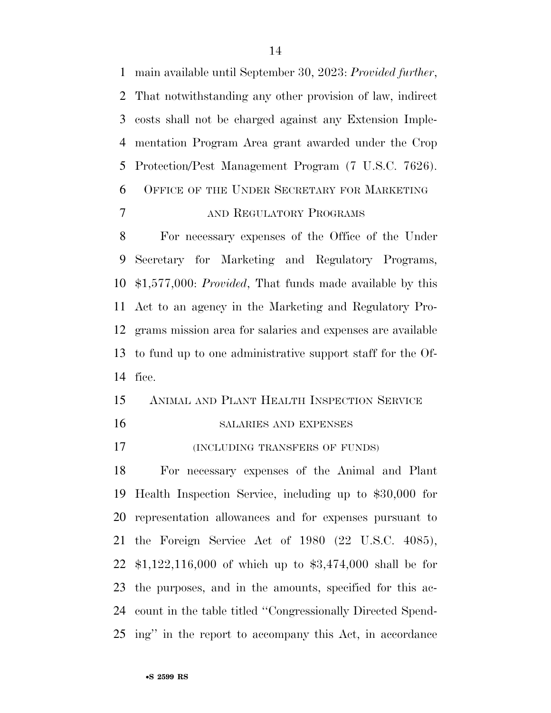main available until September 30, 2023: *Provided further*, That notwithstanding any other provision of law, indirect costs shall not be charged against any Extension Imple- mentation Program Area grant awarded under the Crop Protection/Pest Management Program (7 U.S.C. 7626). OFFICE OF THE UNDER SECRETARY FOR MARKETING AND REGULATORY PROGRAMS

 For necessary expenses of the Office of the Under Secretary for Marketing and Regulatory Programs, \$1,577,000: *Provided*, That funds made available by this Act to an agency in the Marketing and Regulatory Pro- grams mission area for salaries and expenses are available to fund up to one administrative support staff for the Of-fice.

# ANIMAL AND PLANT HEALTH INSPECTION SERVICE

SALARIES AND EXPENSES

(INCLUDING TRANSFERS OF FUNDS)

 For necessary expenses of the Animal and Plant Health Inspection Service, including up to \$30,000 for representation allowances and for expenses pursuant to the Foreign Service Act of 1980 (22 U.S.C. 4085), \$1,122,116,000 of which up to \$3,474,000 shall be for the purposes, and in the amounts, specified for this ac- count in the table titled ''Congressionally Directed Spend-ing'' in the report to accompany this Act, in accordance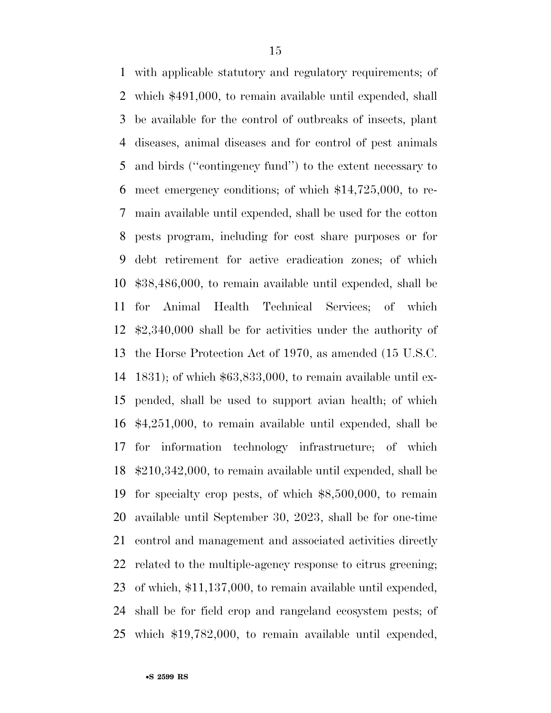with applicable statutory and regulatory requirements; of which \$491,000, to remain available until expended, shall be available for the control of outbreaks of insects, plant diseases, animal diseases and for control of pest animals and birds (''contingency fund'') to the extent necessary to meet emergency conditions; of which \$14,725,000, to re- main available until expended, shall be used for the cotton pests program, including for cost share purposes or for debt retirement for active eradication zones; of which \$38,486,000, to remain available until expended, shall be for Animal Health Technical Services; of which \$2,340,000 shall be for activities under the authority of the Horse Protection Act of 1970, as amended (15 U.S.C. 1831); of which \$63,833,000, to remain available until ex- pended, shall be used to support avian health; of which \$4,251,000, to remain available until expended, shall be for information technology infrastructure; of which \$210,342,000, to remain available until expended, shall be for specialty crop pests, of which \$8,500,000, to remain available until September 30, 2023, shall be for one-time control and management and associated activities directly related to the multiple-agency response to citrus greening; of which, \$11,137,000, to remain available until expended, shall be for field crop and rangeland ecosystem pests; of which \$19,782,000, to remain available until expended,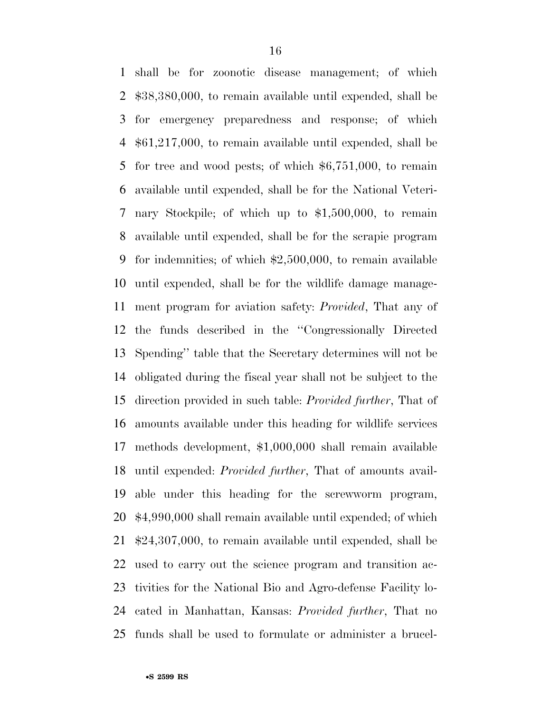shall be for zoonotic disease management; of which \$38,380,000, to remain available until expended, shall be for emergency preparedness and response; of which \$61,217,000, to remain available until expended, shall be for tree and wood pests; of which \$6,751,000, to remain available until expended, shall be for the National Veteri- nary Stockpile; of which up to \$1,500,000, to remain available until expended, shall be for the scrapie program for indemnities; of which \$2,500,000, to remain available until expended, shall be for the wildlife damage manage- ment program for aviation safety: *Provided*, That any of the funds described in the ''Congressionally Directed Spending'' table that the Secretary determines will not be obligated during the fiscal year shall not be subject to the direction provided in such table: *Provided further*, That of amounts available under this heading for wildlife services methods development, \$1,000,000 shall remain available until expended: *Provided further*, That of amounts avail- able under this heading for the screwworm program, \$4,990,000 shall remain available until expended; of which \$24,307,000, to remain available until expended, shall be used to carry out the science program and transition ac- tivities for the National Bio and Agro-defense Facility lo- cated in Manhattan, Kansas: *Provided further*, That no funds shall be used to formulate or administer a brucel-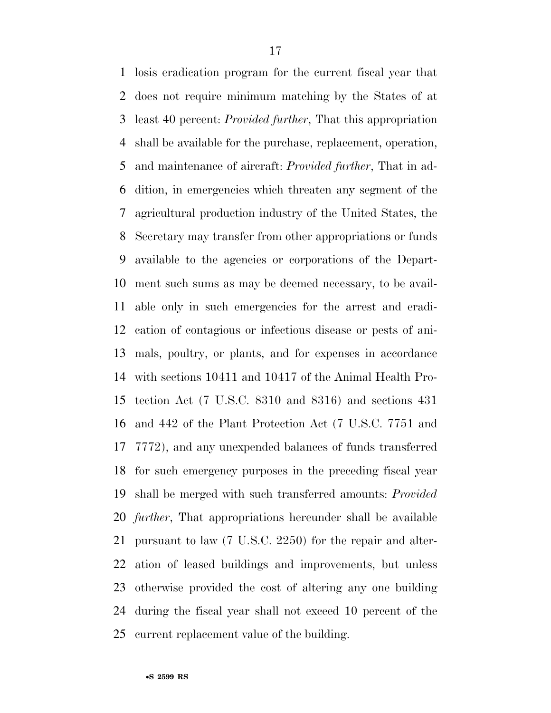losis eradication program for the current fiscal year that does not require minimum matching by the States of at least 40 percent: *Provided further*, That this appropriation shall be available for the purchase, replacement, operation, and maintenance of aircraft: *Provided further*, That in ad- dition, in emergencies which threaten any segment of the agricultural production industry of the United States, the Secretary may transfer from other appropriations or funds available to the agencies or corporations of the Depart- ment such sums as may be deemed necessary, to be avail- able only in such emergencies for the arrest and eradi- cation of contagious or infectious disease or pests of ani- mals, poultry, or plants, and for expenses in accordance with sections 10411 and 10417 of the Animal Health Pro- tection Act (7 U.S.C. 8310 and 8316) and sections 431 and 442 of the Plant Protection Act (7 U.S.C. 7751 and 7772), and any unexpended balances of funds transferred for such emergency purposes in the preceding fiscal year shall be merged with such transferred amounts: *Provided further*, That appropriations hereunder shall be available pursuant to law (7 U.S.C. 2250) for the repair and alter- ation of leased buildings and improvements, but unless otherwise provided the cost of altering any one building during the fiscal year shall not exceed 10 percent of the current replacement value of the building.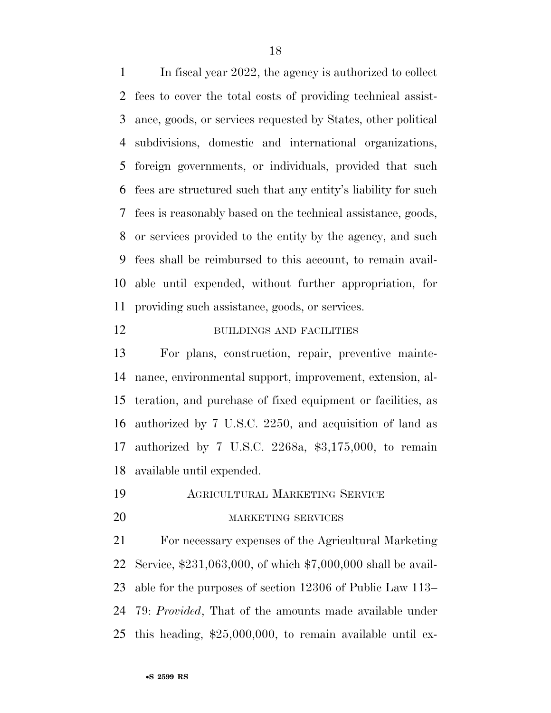In fiscal year 2022, the agency is authorized to collect fees to cover the total costs of providing technical assist- ance, goods, or services requested by States, other political subdivisions, domestic and international organizations, foreign governments, or individuals, provided that such fees are structured such that any entity's liability for such fees is reasonably based on the technical assistance, goods, or services provided to the entity by the agency, and such fees shall be reimbursed to this account, to remain avail- able until expended, without further appropriation, for providing such assistance, goods, or services.

# 12 BUILDINGS AND FACILITIES

 For plans, construction, repair, preventive mainte- nance, environmental support, improvement, extension, al- teration, and purchase of fixed equipment or facilities, as authorized by 7 U.S.C. 2250, and acquisition of land as authorized by 7 U.S.C. 2268a, \$3,175,000, to remain available until expended.

AGRICULTURAL MARKETING SERVICE

#### MARKETING SERVICES

 For necessary expenses of the Agricultural Marketing Service, \$231,063,000, of which \$7,000,000 shall be avail- able for the purposes of section 12306 of Public Law 113– 79: *Provided*, That of the amounts made available under this heading, \$25,000,000, to remain available until ex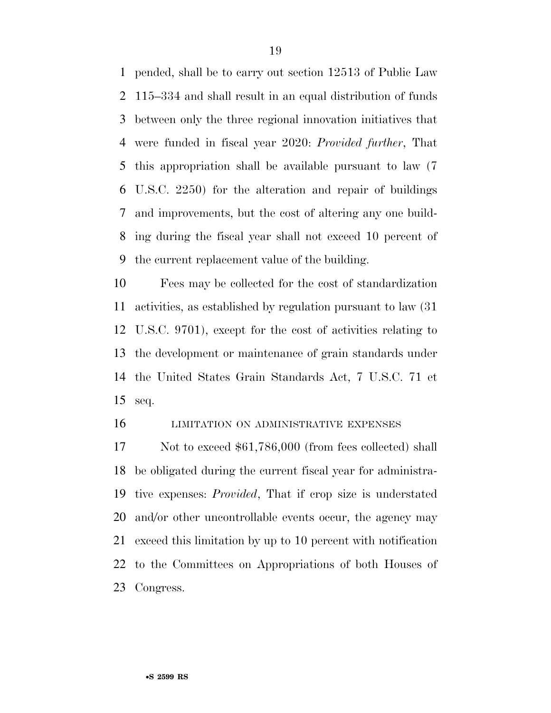pended, shall be to carry out section 12513 of Public Law 115–334 and shall result in an equal distribution of funds between only the three regional innovation initiatives that were funded in fiscal year 2020: *Provided further*, That this appropriation shall be available pursuant to law (7 U.S.C. 2250) for the alteration and repair of buildings and improvements, but the cost of altering any one build- ing during the fiscal year shall not exceed 10 percent of the current replacement value of the building.

 Fees may be collected for the cost of standardization activities, as established by regulation pursuant to law (31 U.S.C. 9701), except for the cost of activities relating to the development or maintenance of grain standards under the United States Grain Standards Act, 7 U.S.C. 71 et seq.

### LIMITATION ON ADMINISTRATIVE EXPENSES

17 Not to exceed \$61,786,000 (from fees collected) shall be obligated during the current fiscal year for administra- tive expenses: *Provided*, That if crop size is understated and/or other uncontrollable events occur, the agency may exceed this limitation by up to 10 percent with notification to the Committees on Appropriations of both Houses of Congress.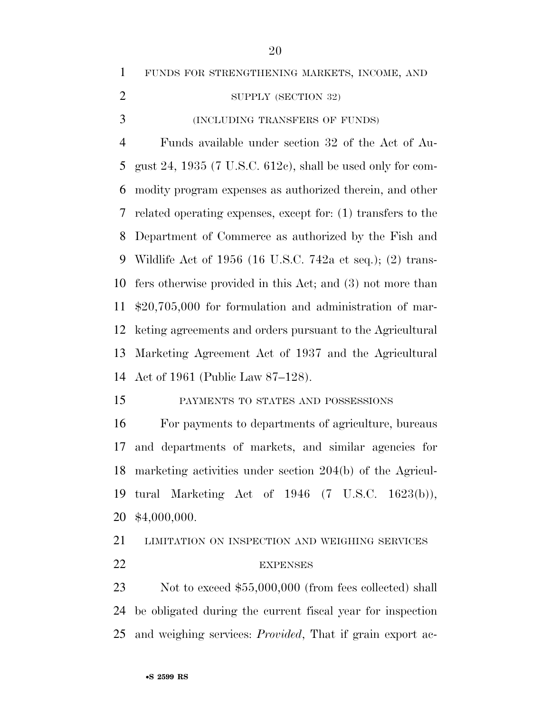FUNDS FOR STRENGTHENING MARKETS, INCOME, AND

2 SUPPLY (SECTION 32)

(INCLUDING TRANSFERS OF FUNDS)

 Funds available under section 32 of the Act of Au- gust 24, 1935 (7 U.S.C. 612c), shall be used only for com- modity program expenses as authorized therein, and other related operating expenses, except for: (1) transfers to the Department of Commerce as authorized by the Fish and Wildlife Act of 1956 (16 U.S.C. 742a et seq.); (2) trans- fers otherwise provided in this Act; and (3) not more than \$20,705,000 for formulation and administration of mar- keting agreements and orders pursuant to the Agricultural Marketing Agreement Act of 1937 and the Agricultural Act of 1961 (Public Law 87–128).

PAYMENTS TO STATES AND POSSESSIONS

 For payments to departments of agriculture, bureaus and departments of markets, and similar agencies for marketing activities under section 204(b) of the Agricul- tural Marketing Act of 1946 (7 U.S.C. 1623(b)), \$4,000,000.

 LIMITATION ON INSPECTION AND WEIGHING SERVICES 22 EXPENSES

23 Not to exceed \$55,000,000 (from fees collected) shall be obligated during the current fiscal year for inspection and weighing services: *Provided*, That if grain export ac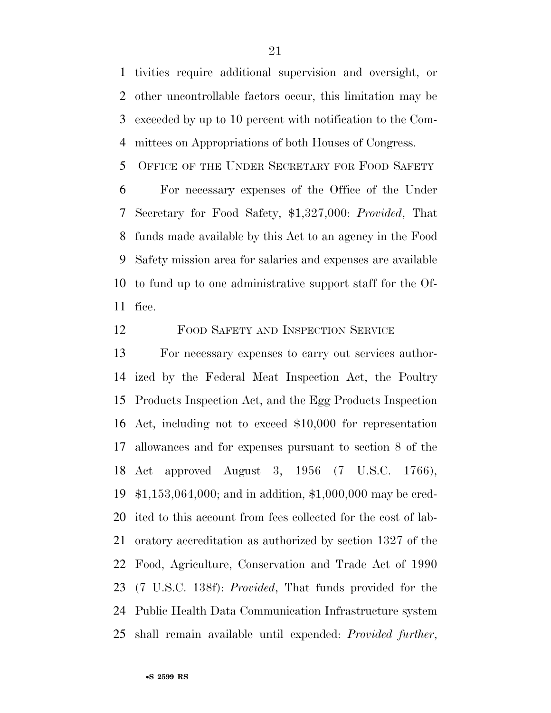tivities require additional supervision and oversight, or other uncontrollable factors occur, this limitation may be exceeded by up to 10 percent with notification to the Com-mittees on Appropriations of both Houses of Congress.

OFFICE OF THE UNDER SECRETARY FOR FOOD SAFETY

 For necessary expenses of the Office of the Under Secretary for Food Safety, \$1,327,000: *Provided*, That funds made available by this Act to an agency in the Food Safety mission area for salaries and expenses are available to fund up to one administrative support staff for the Of-fice.

FOOD SAFETY AND INSPECTION SERVICE

 For necessary expenses to carry out services author- ized by the Federal Meat Inspection Act, the Poultry Products Inspection Act, and the Egg Products Inspection Act, including not to exceed \$10,000 for representation allowances and for expenses pursuant to section 8 of the Act approved August 3, 1956 (7 U.S.C. 1766), \$1,153,064,000; and in addition, \$1,000,000 may be cred- ited to this account from fees collected for the cost of lab- oratory accreditation as authorized by section 1327 of the Food, Agriculture, Conservation and Trade Act of 1990 (7 U.S.C. 138f): *Provided*, That funds provided for the Public Health Data Communication Infrastructure system shall remain available until expended: *Provided further*,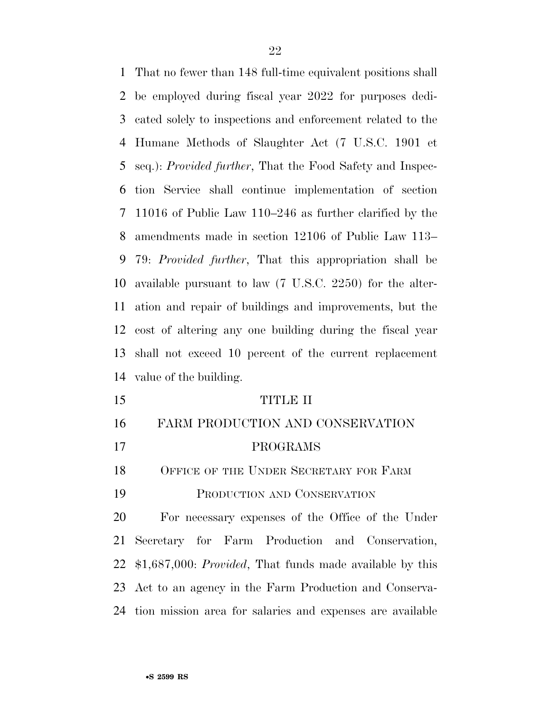That no fewer than 148 full-time equivalent positions shall be employed during fiscal year 2022 for purposes dedi- cated solely to inspections and enforcement related to the Humane Methods of Slaughter Act (7 U.S.C. 1901 et seq.): *Provided further*, That the Food Safety and Inspec- tion Service shall continue implementation of section 11016 of Public Law 110–246 as further clarified by the amendments made in section 12106 of Public Law 113– 79: *Provided further*, That this appropriation shall be available pursuant to law (7 U.S.C. 2250) for the alter- ation and repair of buildings and improvements, but the cost of altering any one building during the fiscal year shall not exceed 10 percent of the current replacement value of the building.

 TITLE II FARM PRODUCTION AND CONSERVATION PROGRAMS 18 OFFICE OF THE UNDER SECRETARY FOR FARM PRODUCTION AND CONSERVATION For necessary expenses of the Office of the Under Secretary for Farm Production and Conservation, \$1,687,000: *Provided*, That funds made available by this Act to an agency in the Farm Production and Conserva-tion mission area for salaries and expenses are available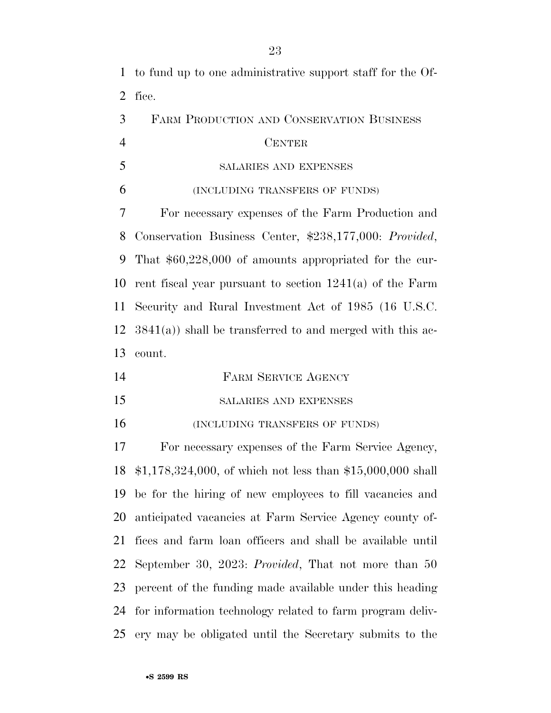to fund up to one administrative support staff for the Of- fice. FARM PRODUCTION AND CONSERVATION BUSINESS CENTER SALARIES AND EXPENSES (INCLUDING TRANSFERS OF FUNDS) For necessary expenses of the Farm Production and Conservation Business Center, \$238,177,000: *Provided*, That \$60,228,000 of amounts appropriated for the cur- rent fiscal year pursuant to section 1241(a) of the Farm Security and Rural Investment Act of 1985 (16 U.S.C. 3841(a)) shall be transferred to and merged with this ac- count. FARM SERVICE AGENCY SALARIES AND EXPENSES (INCLUDING TRANSFERS OF FUNDS) For necessary expenses of the Farm Service Agency, \$1,178,324,000, of which not less than \$15,000,000 shall be for the hiring of new employees to fill vacancies and anticipated vacancies at Farm Service Agency county of- fices and farm loan officers and shall be available until September 30, 2023: *Provided*, That not more than 50 percent of the funding made available under this heading for information technology related to farm program deliv-ery may be obligated until the Secretary submits to the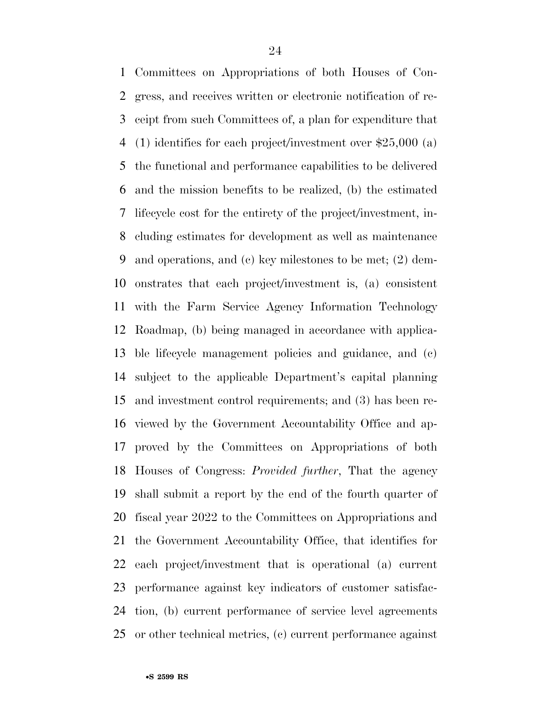Committees on Appropriations of both Houses of Con- gress, and receives written or electronic notification of re- ceipt from such Committees of, a plan for expenditure that (1) identifies for each project/investment over \$25,000 (a) the functional and performance capabilities to be delivered and the mission benefits to be realized, (b) the estimated lifecycle cost for the entirety of the project/investment, in- cluding estimates for development as well as maintenance and operations, and (c) key milestones to be met; (2) dem- onstrates that each project/investment is, (a) consistent with the Farm Service Agency Information Technology Roadmap, (b) being managed in accordance with applica- ble lifecycle management policies and guidance, and (c) subject to the applicable Department's capital planning and investment control requirements; and (3) has been re- viewed by the Government Accountability Office and ap- proved by the Committees on Appropriations of both Houses of Congress: *Provided further*, That the agency shall submit a report by the end of the fourth quarter of fiscal year 2022 to the Committees on Appropriations and the Government Accountability Office, that identifies for each project/investment that is operational (a) current performance against key indicators of customer satisfac- tion, (b) current performance of service level agreements or other technical metrics, (c) current performance against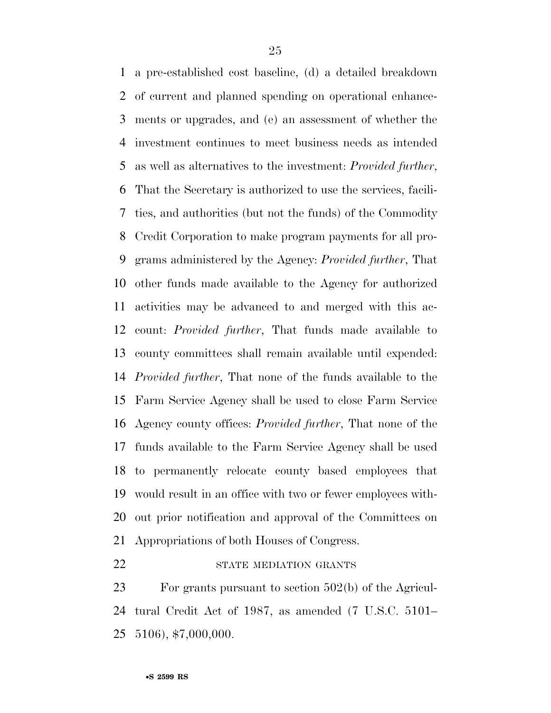a pre-established cost baseline, (d) a detailed breakdown of current and planned spending on operational enhance- ments or upgrades, and (e) an assessment of whether the investment continues to meet business needs as intended as well as alternatives to the investment: *Provided further*, That the Secretary is authorized to use the services, facili- ties, and authorities (but not the funds) of the Commodity Credit Corporation to make program payments for all pro- grams administered by the Agency: *Provided further*, That other funds made available to the Agency for authorized activities may be advanced to and merged with this ac- count: *Provided further*, That funds made available to county committees shall remain available until expended: *Provided further*, That none of the funds available to the Farm Service Agency shall be used to close Farm Service Agency county offices: *Provided further*, That none of the funds available to the Farm Service Agency shall be used to permanently relocate county based employees that would result in an office with two or fewer employees with- out prior notification and approval of the Committees on Appropriations of both Houses of Congress.

# 22 STATE MEDIATION GRANTS

 For grants pursuant to section 502(b) of the Agricul- tural Credit Act of 1987, as amended (7 U.S.C. 5101– 5106), \$7,000,000.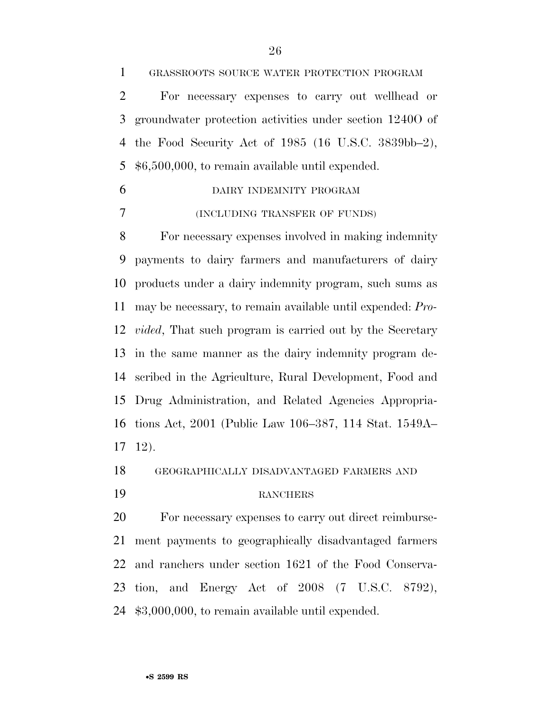GRASSROOTS SOURCE WATER PROTECTION PROGRAM

 For necessary expenses to carry out wellhead or groundwater protection activities under section 1240O of the Food Security Act of 1985 (16 U.S.C. 3839bb–2), \$6,500,000, to remain available until expended.

 DAIRY INDEMNITY PROGRAM (INCLUDING TRANSFER OF FUNDS)

 For necessary expenses involved in making indemnity payments to dairy farmers and manufacturers of dairy products under a dairy indemnity program, such sums as may be necessary, to remain available until expended: *Pro- vided*, That such program is carried out by the Secretary in the same manner as the dairy indemnity program de- scribed in the Agriculture, Rural Development, Food and Drug Administration, and Related Agencies Appropria- tions Act, 2001 (Public Law 106–387, 114 Stat. 1549A– 12).

GEOGRAPHICALLY DISADVANTAGED FARMERS AND

## RANCHERS

 For necessary expenses to carry out direct reimburse- ment payments to geographically disadvantaged farmers and ranchers under section 1621 of the Food Conserva- tion, and Energy Act of 2008 (7 U.S.C. 8792), \$3,000,000, to remain available until expended.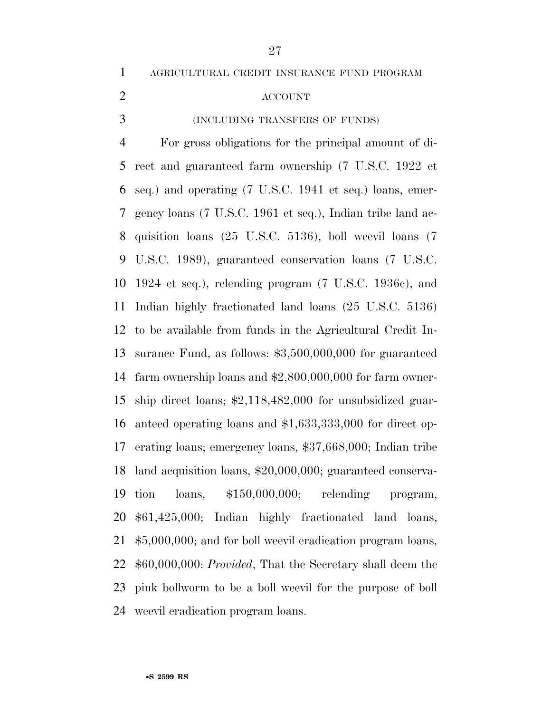AGRICULTURAL CREDIT INSURANCE FUND PROGRAM

# ACCOUNT

(INCLUDING TRANSFERS OF FUNDS)

 For gross obligations for the principal amount of di- rect and guaranteed farm ownership (7 U.S.C. 1922 et seq.) and operating (7 U.S.C. 1941 et seq.) loans, emer- gency loans (7 U.S.C. 1961 et seq.), Indian tribe land ac- quisition loans (25 U.S.C. 5136), boll weevil loans (7 U.S.C. 1989), guaranteed conservation loans (7 U.S.C. 1924 et seq.), relending program (7 U.S.C. 1936c), and Indian highly fractionated land loans (25 U.S.C. 5136) to be available from funds in the Agricultural Credit In- surance Fund, as follows: \$3,500,000,000 for guaranteed farm ownership loans and \$2,800,000,000 for farm owner- ship direct loans; \$2,118,482,000 for unsubsidized guar- anteed operating loans and \$1,633,333,000 for direct op- erating loans; emergency loans, \$37,668,000; Indian tribe land acquisition loans, \$20,000,000; guaranteed conserva- tion loans, \$150,000,000; relending program, \$61,425,000; Indian highly fractionated land loans, \$5,000,000; and for boll weevil eradication program loans, \$60,000,000: *Provided*, That the Secretary shall deem the pink bollworm to be a boll weevil for the purpose of boll weevil eradication program loans.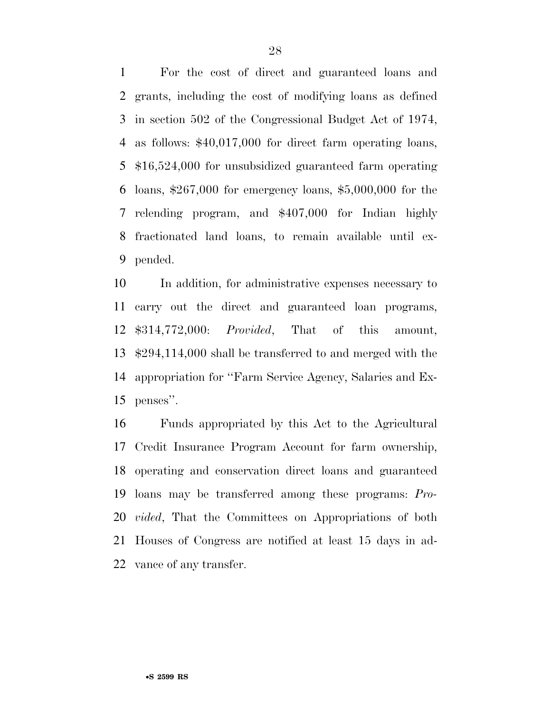For the cost of direct and guaranteed loans and grants, including the cost of modifying loans as defined in section 502 of the Congressional Budget Act of 1974, as follows: \$40,017,000 for direct farm operating loans, \$16,524,000 for unsubsidized guaranteed farm operating loans, \$267,000 for emergency loans, \$5,000,000 for the relending program, and \$407,000 for Indian highly fractionated land loans, to remain available until ex-pended.

 In addition, for administrative expenses necessary to carry out the direct and guaranteed loan programs, \$314,772,000: *Provided*, That of this amount, \$294,114,000 shall be transferred to and merged with the appropriation for ''Farm Service Agency, Salaries and Ex-penses''.

 Funds appropriated by this Act to the Agricultural Credit Insurance Program Account for farm ownership, operating and conservation direct loans and guaranteed loans may be transferred among these programs: *Pro- vided*, That the Committees on Appropriations of both Houses of Congress are notified at least 15 days in ad-vance of any transfer.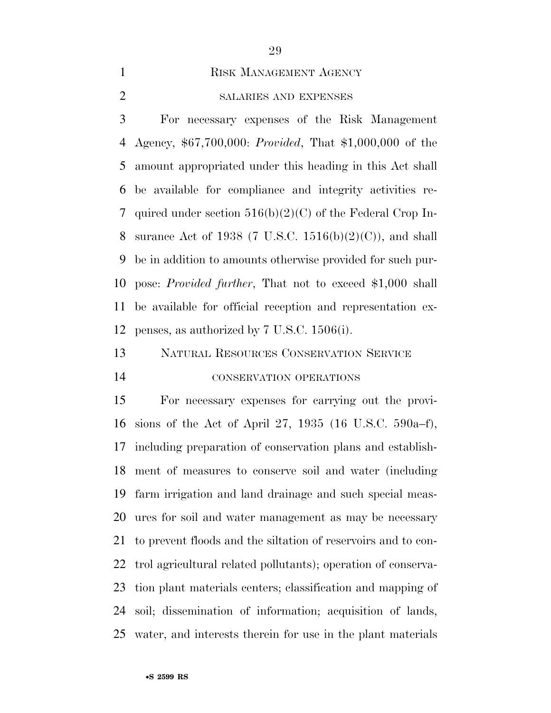## 1 RISK MANAGEMENT AGENCY

# SALARIES AND EXPENSES

 For necessary expenses of the Risk Management Agency, \$67,700,000: *Provided*, That \$1,000,000 of the amount appropriated under this heading in this Act shall be available for compliance and integrity activities re- quired under section 516(b)(2)(C) of the Federal Crop In-8 surance Act of 1938 (7 U.S.C. 1516(b)(2)(C)), and shall be in addition to amounts otherwise provided for such pur- pose: *Provided further*, That not to exceed \$1,000 shall be available for official reception and representation ex-penses, as authorized by 7 U.S.C. 1506(i).

# NATURAL RESOURCES CONSERVATION SERVICE

# CONSERVATION OPERATIONS

 For necessary expenses for carrying out the provi- sions of the Act of April 27, 1935 (16 U.S.C. 590a–f), including preparation of conservation plans and establish- ment of measures to conserve soil and water (including farm irrigation and land drainage and such special meas- ures for soil and water management as may be necessary to prevent floods and the siltation of reservoirs and to con- trol agricultural related pollutants); operation of conserva- tion plant materials centers; classification and mapping of soil; dissemination of information; acquisition of lands, water, and interests therein for use in the plant materials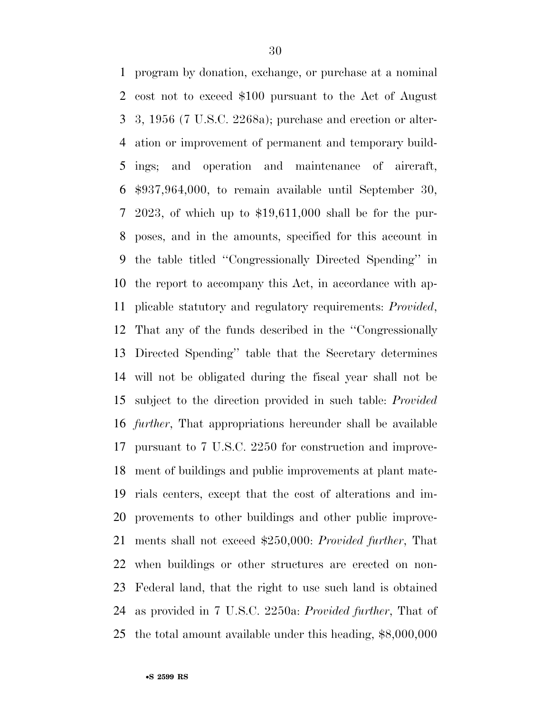program by donation, exchange, or purchase at a nominal cost not to exceed \$100 pursuant to the Act of August 3, 1956 (7 U.S.C. 2268a); purchase and erection or alter- ation or improvement of permanent and temporary build- ings; and operation and maintenance of aircraft, \$937,964,000, to remain available until September 30, 2023, of which up to \$19,611,000 shall be for the pur- poses, and in the amounts, specified for this account in the table titled ''Congressionally Directed Spending'' in the report to accompany this Act, in accordance with ap- plicable statutory and regulatory requirements: *Provided*, That any of the funds described in the ''Congressionally Directed Spending'' table that the Secretary determines will not be obligated during the fiscal year shall not be subject to the direction provided in such table: *Provided further*, That appropriations hereunder shall be available pursuant to 7 U.S.C. 2250 for construction and improve- ment of buildings and public improvements at plant mate- rials centers, except that the cost of alterations and im- provements to other buildings and other public improve- ments shall not exceed \$250,000: *Provided further*, That when buildings or other structures are erected on non- Federal land, that the right to use such land is obtained as provided in 7 U.S.C. 2250a: *Provided further*, That of the total amount available under this heading, \$8,000,000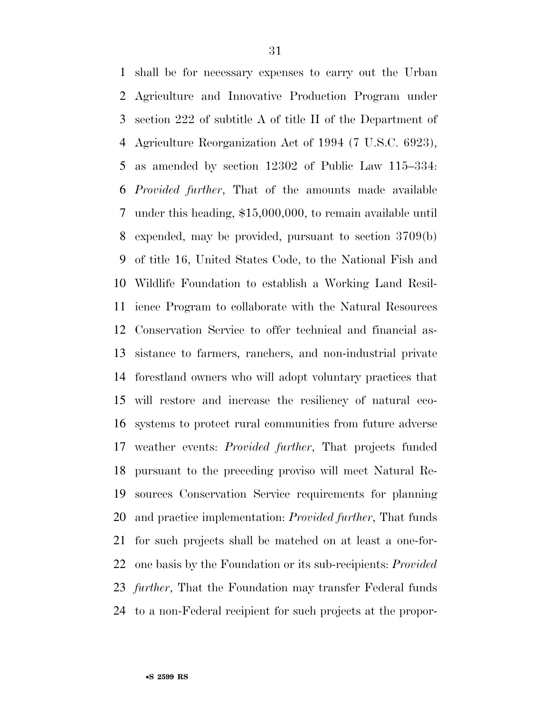shall be for necessary expenses to carry out the Urban Agriculture and Innovative Production Program under section 222 of subtitle A of title II of the Department of Agriculture Reorganization Act of 1994 (7 U.S.C. 6923), as amended by section 12302 of Public Law 115–334: *Provided further*, That of the amounts made available under this heading, \$15,000,000, to remain available until expended, may be provided, pursuant to section 3709(b) of title 16, United States Code, to the National Fish and Wildlife Foundation to establish a Working Land Resil- ience Program to collaborate with the Natural Resources Conservation Service to offer technical and financial as- sistance to farmers, ranchers, and non-industrial private forestland owners who will adopt voluntary practices that will restore and increase the resiliency of natural eco- systems to protect rural communities from future adverse weather events: *Provided further*, That projects funded pursuant to the preceding proviso will meet Natural Re- sources Conservation Service requirements for planning and practice implementation: *Provided further*, That funds for such projects shall be matched on at least a one-for- one basis by the Foundation or its sub-recipients: *Provided further*, That the Foundation may transfer Federal funds to a non-Federal recipient for such projects at the propor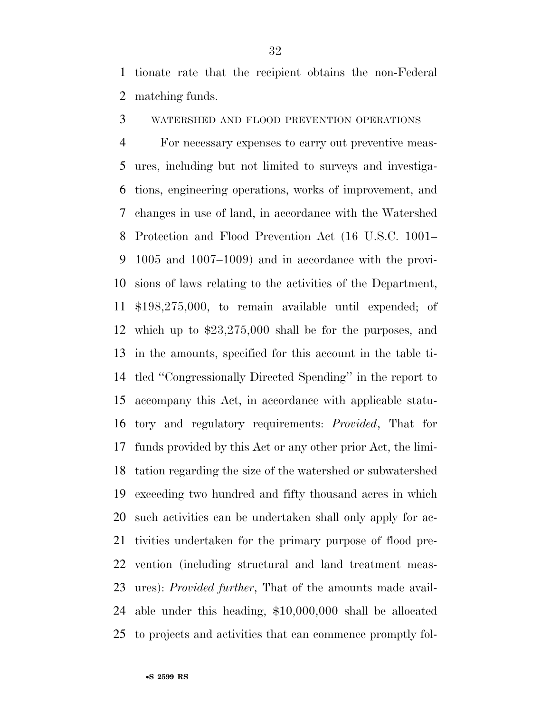tionate rate that the recipient obtains the non-Federal matching funds.

WATERSHED AND FLOOD PREVENTION OPERATIONS

 For necessary expenses to carry out preventive meas- ures, including but not limited to surveys and investiga- tions, engineering operations, works of improvement, and changes in use of land, in accordance with the Watershed Protection and Flood Prevention Act (16 U.S.C. 1001– 1005 and 1007–1009) and in accordance with the provi- sions of laws relating to the activities of the Department, \$198,275,000, to remain available until expended; of which up to \$23,275,000 shall be for the purposes, and in the amounts, specified for this account in the table ti- tled ''Congressionally Directed Spending'' in the report to accompany this Act, in accordance with applicable statu- tory and regulatory requirements: *Provided*, That for funds provided by this Act or any other prior Act, the limi- tation regarding the size of the watershed or subwatershed exceeding two hundred and fifty thousand acres in which such activities can be undertaken shall only apply for ac- tivities undertaken for the primary purpose of flood pre- vention (including structural and land treatment meas- ures): *Provided further*, That of the amounts made avail- able under this heading, \$10,000,000 shall be allocated to projects and activities that can commence promptly fol-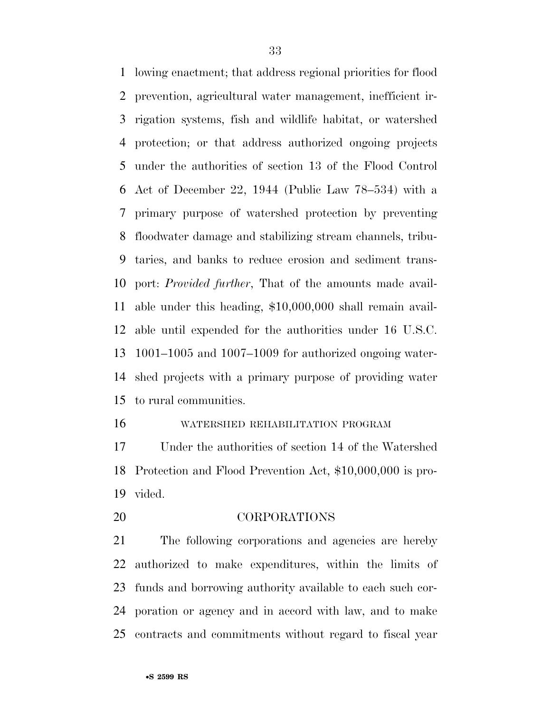lowing enactment; that address regional priorities for flood prevention, agricultural water management, inefficient ir- rigation systems, fish and wildlife habitat, or watershed protection; or that address authorized ongoing projects under the authorities of section 13 of the Flood Control Act of December 22, 1944 (Public Law 78–534) with a primary purpose of watershed protection by preventing floodwater damage and stabilizing stream channels, tribu- taries, and banks to reduce erosion and sediment trans- port: *Provided further*, That of the amounts made avail- able under this heading, \$10,000,000 shall remain avail- able until expended for the authorities under 16 U.S.C. 1001–1005 and 1007–1009 for authorized ongoing water- shed projects with a primary purpose of providing water to rural communities.

#### WATERSHED REHABILITATION PROGRAM

 Under the authorities of section 14 of the Watershed Protection and Flood Prevention Act, \$10,000,000 is pro-vided.

CORPORATIONS

 The following corporations and agencies are hereby authorized to make expenditures, within the limits of funds and borrowing authority available to each such cor- poration or agency and in accord with law, and to make contracts and commitments without regard to fiscal year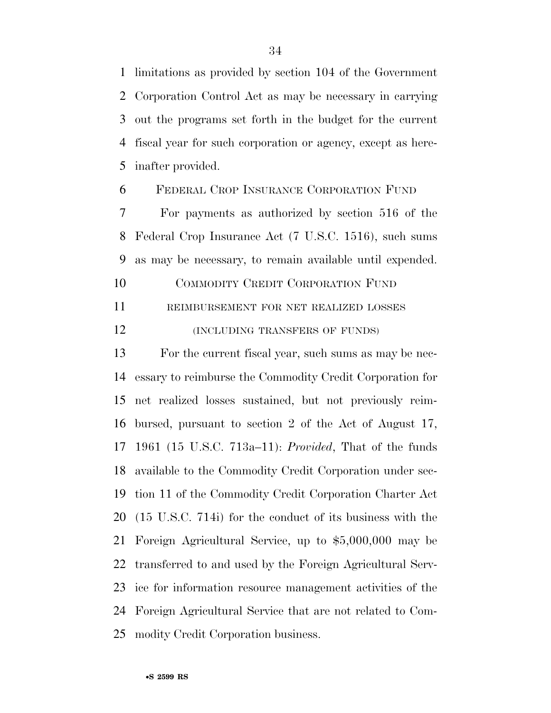limitations as provided by section 104 of the Government Corporation Control Act as may be necessary in carrying out the programs set forth in the budget for the current fiscal year for such corporation or agency, except as here-inafter provided.

FEDERAL CROP INSURANCE CORPORATION FUND

 For payments as authorized by section 516 of the Federal Crop Insurance Act (7 U.S.C. 1516), such sums as may be necessary, to remain available until expended.

 COMMODITY CREDIT CORPORATION FUND REIMBURSEMENT FOR NET REALIZED LOSSES

**(INCLUDING TRANSFERS OF FUNDS)** 

 For the current fiscal year, such sums as may be nec- essary to reimburse the Commodity Credit Corporation for net realized losses sustained, but not previously reim- bursed, pursuant to section 2 of the Act of August 17, 1961 (15 U.S.C. 713a–11): *Provided*, That of the funds available to the Commodity Credit Corporation under sec- tion 11 of the Commodity Credit Corporation Charter Act (15 U.S.C. 714i) for the conduct of its business with the Foreign Agricultural Service, up to \$5,000,000 may be transferred to and used by the Foreign Agricultural Serv- ice for information resource management activities of the Foreign Agricultural Service that are not related to Com-modity Credit Corporation business.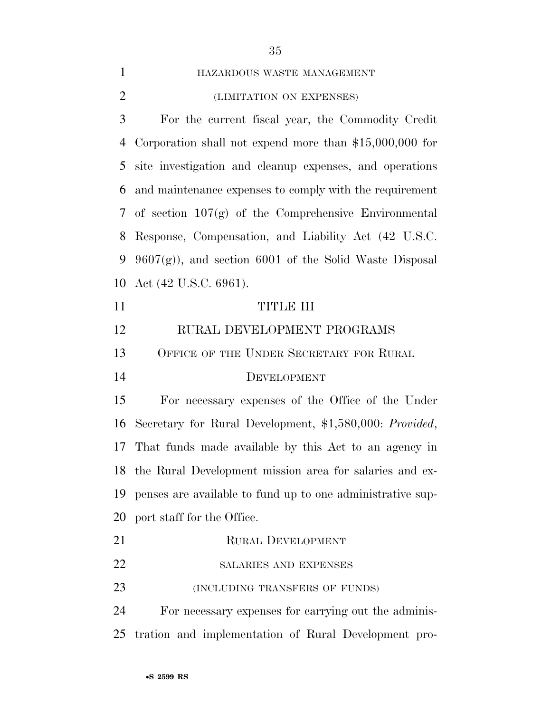| $\mathbf{1}$   | HAZARDOUS WASTE MANAGEMENT                                 |
|----------------|------------------------------------------------------------|
| $\overline{2}$ | (LIMITATION ON EXPENSES)                                   |
| 3              | For the current fiscal year, the Commodity Credit          |
| $\overline{4}$ | Corporation shall not expend more than $$15,000,000$ for   |
| 5              | site investigation and cleanup expenses, and operations    |
| 6              | and maintenance expenses to comply with the requirement    |
| 7              | of section $107(g)$ of the Comprehensive Environmental     |
| 8              | Response, Compensation, and Liability Act (42 U.S.C.       |
| 9              | $9607(g)$ , and section 6001 of the Solid Waste Disposal   |
| 10             | Act (42 U.S.C. 6961).                                      |
| 11             | <b>TITLE III</b>                                           |
| 12             | RURAL DEVELOPMENT PROGRAMS                                 |
| 13             | OFFICE OF THE UNDER SECRETARY FOR RURAL                    |
| 14             | DEVELOPMENT                                                |
| 15             | For necessary expenses of the Office of the Under          |
| 16             | Secretary for Rural Development, \$1,580,000: Provided,    |
| 17             | That funds made available by this Act to an agency in      |
|                | 18 the Rural Development mission area for salaries and ex- |
| 19             | penses are available to fund up to one administrative sup- |
| 20             | port staff for the Office.                                 |
| 21             | <b>RURAL DEVELOPMENT</b>                                   |
| 22             | SALARIES AND EXPENSES                                      |
| 23             | (INCLUDING TRANSFERS OF FUNDS)                             |
| 24             | For necessary expenses for carrying out the adminis-       |
| 25             | tration and implementation of Rural Development pro-       |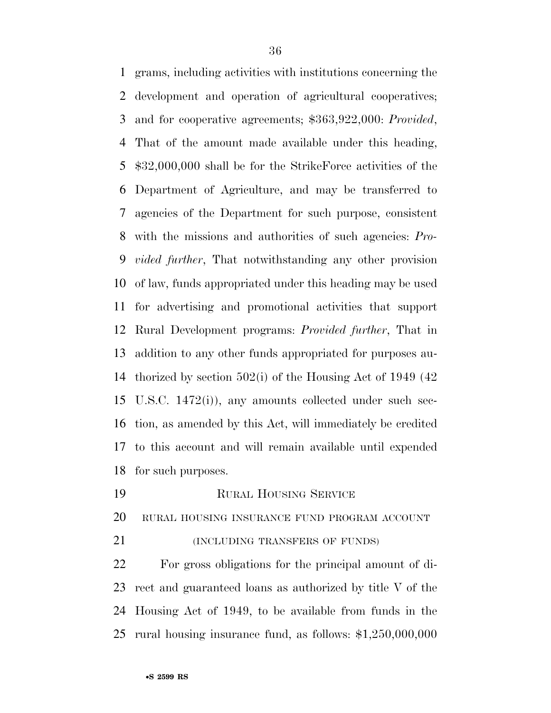grams, including activities with institutions concerning the development and operation of agricultural cooperatives; and for cooperative agreements; \$363,922,000: *Provided*, That of the amount made available under this heading, \$32,000,000 shall be for the StrikeForce activities of the Department of Agriculture, and may be transferred to agencies of the Department for such purpose, consistent with the missions and authorities of such agencies: *Pro- vided further*, That notwithstanding any other provision of law, funds appropriated under this heading may be used for advertising and promotional activities that support Rural Development programs: *Provided further*, That in addition to any other funds appropriated for purposes au- thorized by section 502(i) of the Housing Act of 1949 (42 U.S.C. 1472(i)), any amounts collected under such sec- tion, as amended by this Act, will immediately be credited to this account and will remain available until expended for such purposes.

- RURAL HOUSING SERVICE
- RURAL HOUSING INSURANCE FUND PROGRAM ACCOUNT
- (INCLUDING TRANSFERS OF FUNDS)

 For gross obligations for the principal amount of di- rect and guaranteed loans as authorized by title V of the Housing Act of 1949, to be available from funds in the rural housing insurance fund, as follows: \$1,250,000,000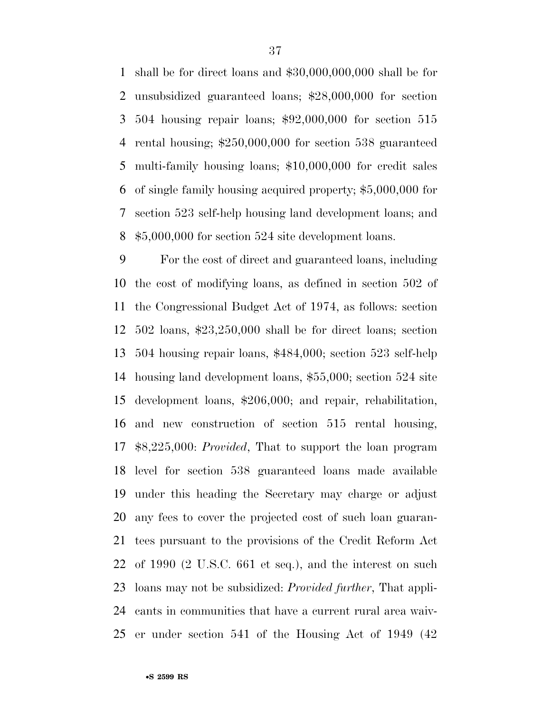shall be for direct loans and \$30,000,000,000 shall be for unsubsidized guaranteed loans; \$28,000,000 for section 504 housing repair loans; \$92,000,000 for section 515 rental housing; \$250,000,000 for section 538 guaranteed multi-family housing loans; \$10,000,000 for credit sales of single family housing acquired property; \$5,000,000 for section 523 self-help housing land development loans; and \$5,000,000 for section 524 site development loans.

 For the cost of direct and guaranteed loans, including the cost of modifying loans, as defined in section 502 of the Congressional Budget Act of 1974, as follows: section 502 loans, \$23,250,000 shall be for direct loans; section 504 housing repair loans, \$484,000; section 523 self-help housing land development loans, \$55,000; section 524 site development loans, \$206,000; and repair, rehabilitation, and new construction of section 515 rental housing, \$8,225,000: *Provided*, That to support the loan program level for section 538 guaranteed loans made available under this heading the Secretary may charge or adjust any fees to cover the projected cost of such loan guaran- tees pursuant to the provisions of the Credit Reform Act of 1990 (2 U.S.C. 661 et seq.), and the interest on such loans may not be subsidized: *Provided further*, That appli- cants in communities that have a current rural area waiv-er under section 541 of the Housing Act of 1949 (42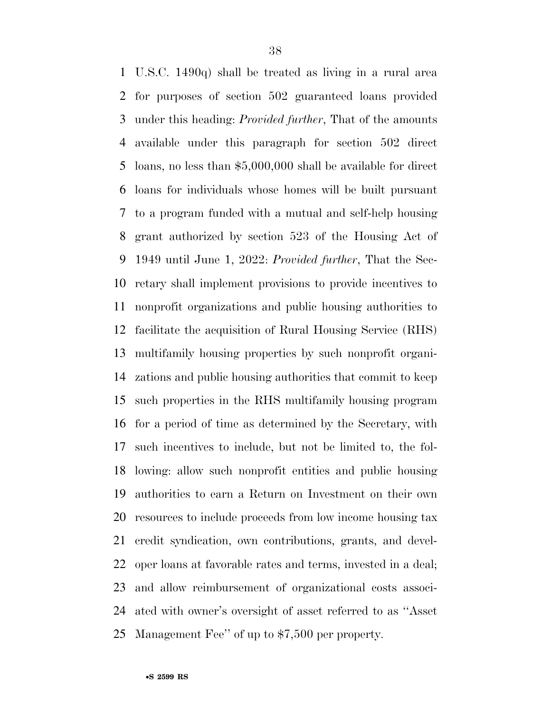U.S.C. 1490q) shall be treated as living in a rural area for purposes of section 502 guaranteed loans provided under this heading: *Provided further*, That of the amounts available under this paragraph for section 502 direct loans, no less than \$5,000,000 shall be available for direct loans for individuals whose homes will be built pursuant to a program funded with a mutual and self-help housing grant authorized by section 523 of the Housing Act of 1949 until June 1, 2022: *Provided further*, That the Sec- retary shall implement provisions to provide incentives to nonprofit organizations and public housing authorities to facilitate the acquisition of Rural Housing Service (RHS) multifamily housing properties by such nonprofit organi- zations and public housing authorities that commit to keep such properties in the RHS multifamily housing program for a period of time as determined by the Secretary, with such incentives to include, but not be limited to, the fol- lowing: allow such nonprofit entities and public housing authorities to earn a Return on Investment on their own resources to include proceeds from low income housing tax credit syndication, own contributions, grants, and devel- oper loans at favorable rates and terms, invested in a deal; and allow reimbursement of organizational costs associ- ated with owner's oversight of asset referred to as ''Asset Management Fee'' of up to \$7,500 per property.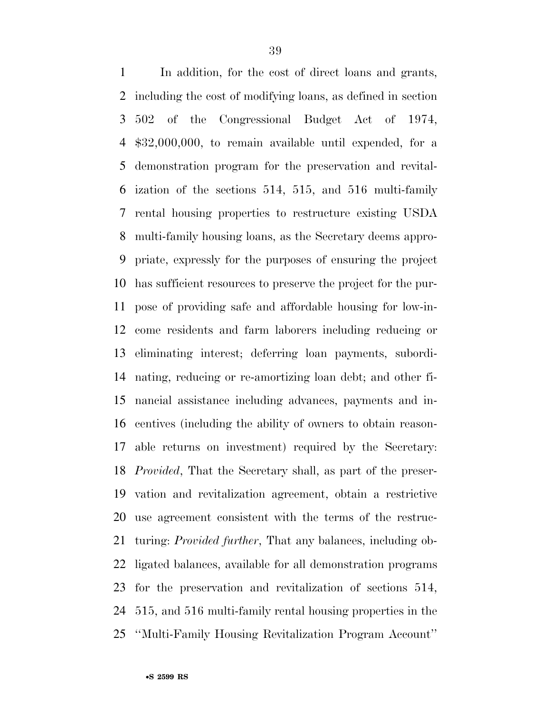In addition, for the cost of direct loans and grants, including the cost of modifying loans, as defined in section 502 of the Congressional Budget Act of 1974, \$32,000,000, to remain available until expended, for a demonstration program for the preservation and revital- ization of the sections 514, 515, and 516 multi-family rental housing properties to restructure existing USDA multi-family housing loans, as the Secretary deems appro- priate, expressly for the purposes of ensuring the project has sufficient resources to preserve the project for the pur- pose of providing safe and affordable housing for low-in- come residents and farm laborers including reducing or eliminating interest; deferring loan payments, subordi- nating, reducing or re-amortizing loan debt; and other fi- nancial assistance including advances, payments and in- centives (including the ability of owners to obtain reason- able returns on investment) required by the Secretary: *Provided*, That the Secretary shall, as part of the preser- vation and revitalization agreement, obtain a restrictive use agreement consistent with the terms of the restruc- turing: *Provided further*, That any balances, including ob- ligated balances, available for all demonstration programs for the preservation and revitalization of sections 514, 515, and 516 multi-family rental housing properties in the ''Multi-Family Housing Revitalization Program Account''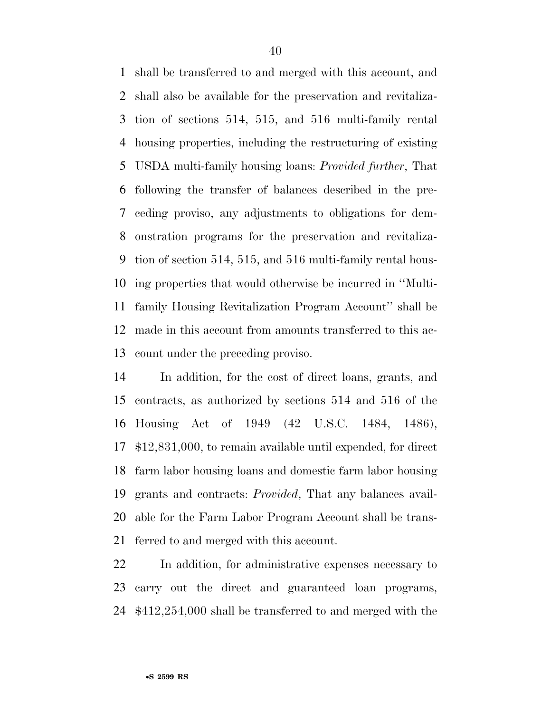shall be transferred to and merged with this account, and shall also be available for the preservation and revitaliza- tion of sections 514, 515, and 516 multi-family rental housing properties, including the restructuring of existing USDA multi-family housing loans: *Provided further*, That following the transfer of balances described in the pre- ceding proviso, any adjustments to obligations for dem- onstration programs for the preservation and revitaliza- tion of section 514, 515, and 516 multi-family rental hous- ing properties that would otherwise be incurred in ''Multi- family Housing Revitalization Program Account'' shall be made in this account from amounts transferred to this ac-count under the preceding proviso.

 In addition, for the cost of direct loans, grants, and contracts, as authorized by sections 514 and 516 of the Housing Act of 1949 (42 U.S.C. 1484, 1486), \$12,831,000, to remain available until expended, for direct farm labor housing loans and domestic farm labor housing grants and contracts: *Provided*, That any balances avail- able for the Farm Labor Program Account shall be trans-ferred to and merged with this account.

 In addition, for administrative expenses necessary to carry out the direct and guaranteed loan programs, \$412,254,000 shall be transferred to and merged with the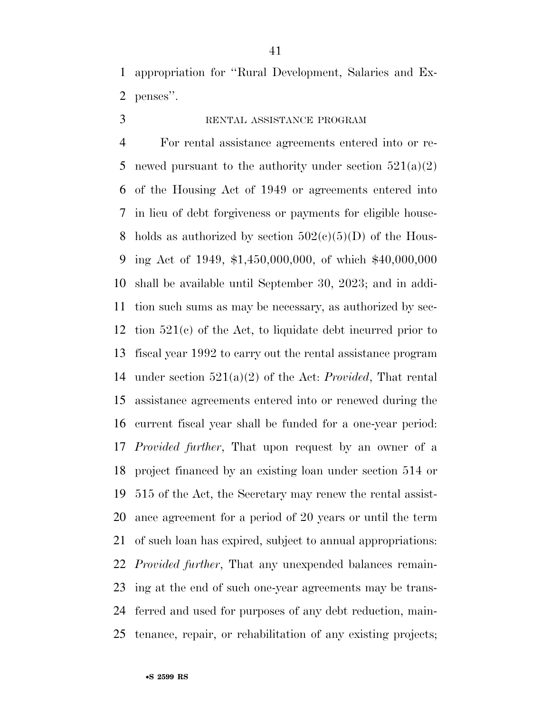appropriation for ''Rural Development, Salaries and Ex-penses''.

# RENTAL ASSISTANCE PROGRAM

 For rental assistance agreements entered into or re-5 newed pursuant to the authority under section  $521(a)(2)$  of the Housing Act of 1949 or agreements entered into in lieu of debt forgiveness or payments for eligible house-8 holds as authorized by section  $502(c)(5)(D)$  of the Hous- ing Act of 1949, \$1,450,000,000, of which \$40,000,000 shall be available until September 30, 2023; and in addi- tion such sums as may be necessary, as authorized by sec- tion 521(c) of the Act, to liquidate debt incurred prior to fiscal year 1992 to carry out the rental assistance program under section 521(a)(2) of the Act: *Provided*, That rental assistance agreements entered into or renewed during the current fiscal year shall be funded for a one-year period: *Provided further*, That upon request by an owner of a project financed by an existing loan under section 514 or 515 of the Act, the Secretary may renew the rental assist- ance agreement for a period of 20 years or until the term of such loan has expired, subject to annual appropriations: *Provided further*, That any unexpended balances remain- ing at the end of such one-year agreements may be trans- ferred and used for purposes of any debt reduction, main-tenance, repair, or rehabilitation of any existing projects;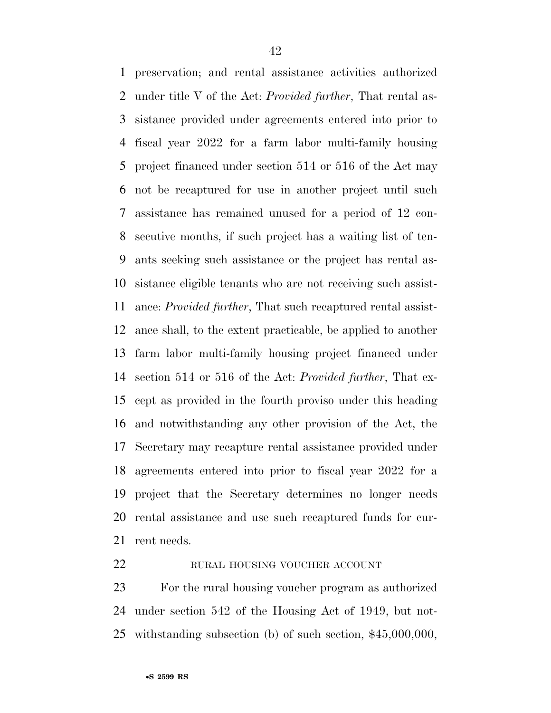preservation; and rental assistance activities authorized under title V of the Act: *Provided further*, That rental as- sistance provided under agreements entered into prior to fiscal year 2022 for a farm labor multi-family housing project financed under section 514 or 516 of the Act may not be recaptured for use in another project until such assistance has remained unused for a period of 12 con- secutive months, if such project has a waiting list of ten- ants seeking such assistance or the project has rental as- sistance eligible tenants who are not receiving such assist- ance: *Provided further*, That such recaptured rental assist- ance shall, to the extent practicable, be applied to another farm labor multi-family housing project financed under section 514 or 516 of the Act: *Provided further*, That ex- cept as provided in the fourth proviso under this heading and notwithstanding any other provision of the Act, the Secretary may recapture rental assistance provided under agreements entered into prior to fiscal year 2022 for a project that the Secretary determines no longer needs rental assistance and use such recaptured funds for cur-rent needs.

#### 22 RURAL HOUSING VOUCHER ACCOUNT

 For the rural housing voucher program as authorized under section 542 of the Housing Act of 1949, but not-withstanding subsection (b) of such section, \$45,000,000,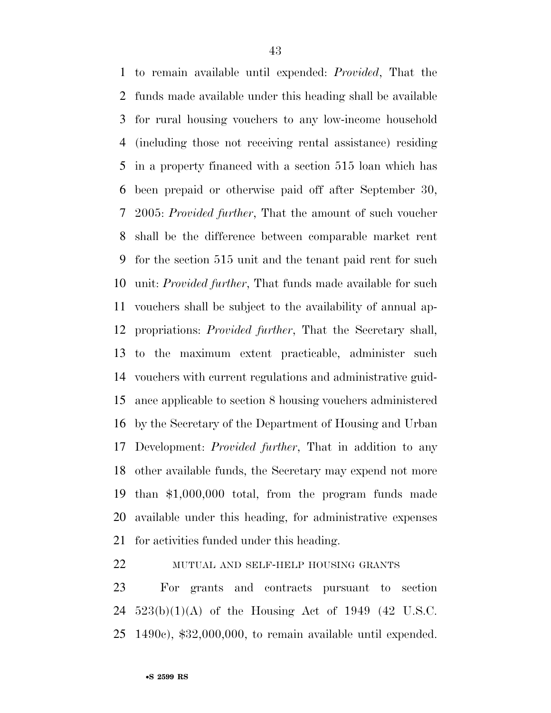to remain available until expended: *Provided*, That the funds made available under this heading shall be available for rural housing vouchers to any low-income household (including those not receiving rental assistance) residing in a property financed with a section 515 loan which has been prepaid or otherwise paid off after September 30, 2005: *Provided further*, That the amount of such voucher shall be the difference between comparable market rent for the section 515 unit and the tenant paid rent for such unit: *Provided further*, That funds made available for such vouchers shall be subject to the availability of annual ap- propriations: *Provided further*, That the Secretary shall, to the maximum extent practicable, administer such vouchers with current regulations and administrative guid- ance applicable to section 8 housing vouchers administered by the Secretary of the Department of Housing and Urban Development: *Provided further*, That in addition to any other available funds, the Secretary may expend not more than \$1,000,000 total, from the program funds made available under this heading, for administrative expenses for activities funded under this heading.

MUTUAL AND SELF-HELP HOUSING GRANTS

 For grants and contracts pursuant to section 523(b)(1)(A) of the Housing Act of 1949 (42 U.S.C. 1490c), \$32,000,000, to remain available until expended.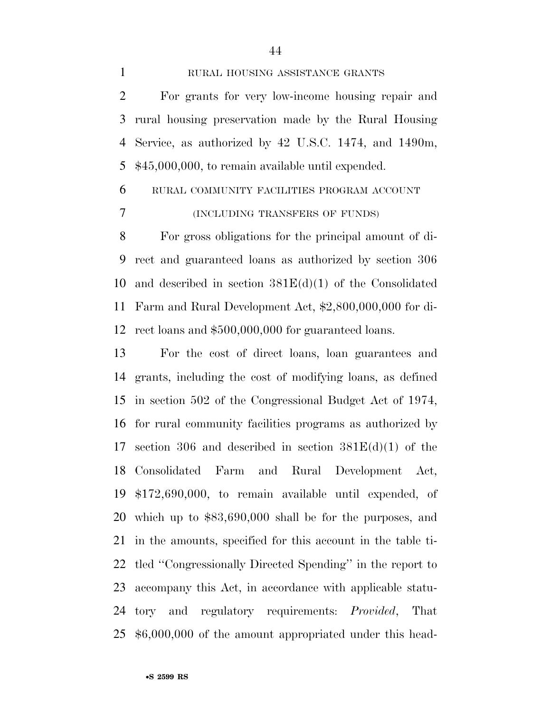1 RURAL HOUSING ASSISTANCE GRANTS

 For grants for very low-income housing repair and rural housing preservation made by the Rural Housing Service, as authorized by 42 U.S.C. 1474, and 1490m, \$45,000,000, to remain available until expended.

# RURAL COMMUNITY FACILITIES PROGRAM ACCOUNT (INCLUDING TRANSFERS OF FUNDS)

 For gross obligations for the principal amount of di- rect and guaranteed loans as authorized by section 306 10 and described in section  $381E(d)(1)$  of the Consolidated Farm and Rural Development Act, \$2,800,000,000 for di-rect loans and \$500,000,000 for guaranteed loans.

 For the cost of direct loans, loan guarantees and grants, including the cost of modifying loans, as defined in section 502 of the Congressional Budget Act of 1974, for rural community facilities programs as authorized by 17 section 306 and described in section  $381E(d)(1)$  of the Consolidated Farm and Rural Development Act, \$172,690,000, to remain available until expended, of which up to \$83,690,000 shall be for the purposes, and in the amounts, specified for this account in the table ti- tled ''Congressionally Directed Spending'' in the report to accompany this Act, in accordance with applicable statu- tory and regulatory requirements: *Provided*, That \$6,000,000 of the amount appropriated under this head-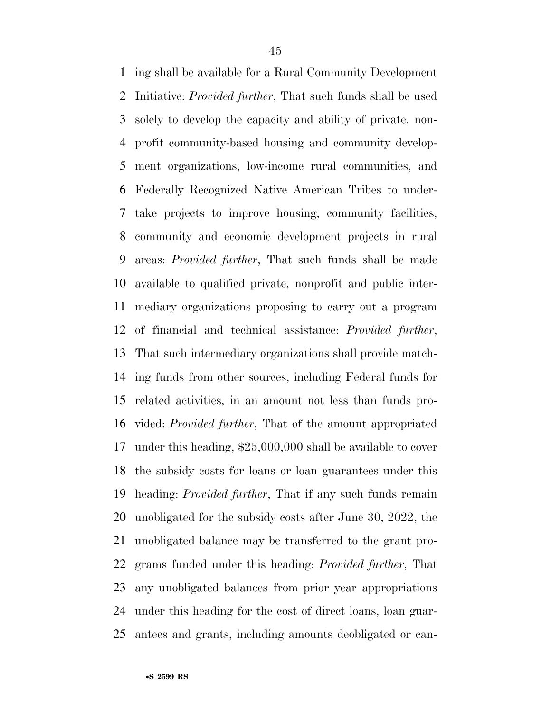ing shall be available for a Rural Community Development Initiative: *Provided further*, That such funds shall be used solely to develop the capacity and ability of private, non- profit community-based housing and community develop- ment organizations, low-income rural communities, and Federally Recognized Native American Tribes to under- take projects to improve housing, community facilities, community and economic development projects in rural areas: *Provided further*, That such funds shall be made available to qualified private, nonprofit and public inter- mediary organizations proposing to carry out a program of financial and technical assistance: *Provided further*, That such intermediary organizations shall provide match- ing funds from other sources, including Federal funds for related activities, in an amount not less than funds pro- vided: *Provided further*, That of the amount appropriated under this heading, \$25,000,000 shall be available to cover the subsidy costs for loans or loan guarantees under this heading: *Provided further*, That if any such funds remain unobligated for the subsidy costs after June 30, 2022, the unobligated balance may be transferred to the grant pro- grams funded under this heading: *Provided further*, That any unobligated balances from prior year appropriations under this heading for the cost of direct loans, loan guar-antees and grants, including amounts deobligated or can-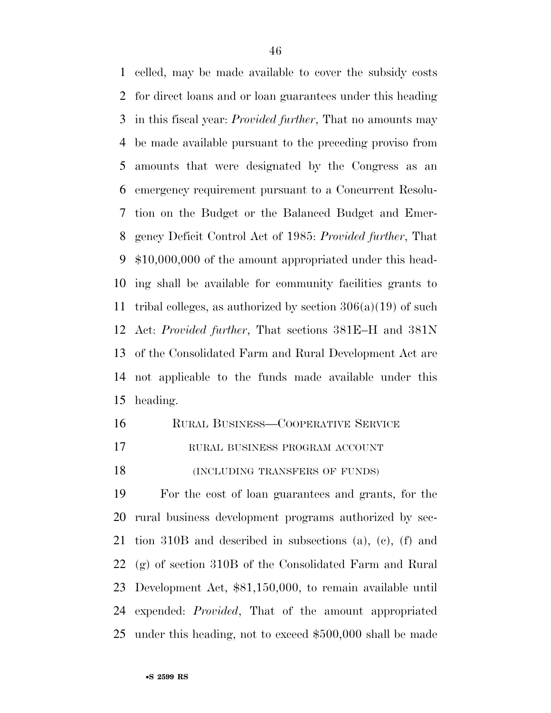celled, may be made available to cover the subsidy costs for direct loans and or loan guarantees under this heading in this fiscal year: *Provided further*, That no amounts may be made available pursuant to the preceding proviso from amounts that were designated by the Congress as an emergency requirement pursuant to a Concurrent Resolu- tion on the Budget or the Balanced Budget and Emer- gency Deficit Control Act of 1985: *Provided further*, That \$10,000,000 of the amount appropriated under this head- ing shall be available for community facilities grants to 11 tribal colleges, as authorized by section  $306(a)(19)$  of such Act: *Provided further*, That sections 381E–H and 381N of the Consolidated Farm and Rural Development Act are not applicable to the funds made available under this heading.

- 16 RURAL BUSINESS—COOPERATIVE SERVICE
- RURAL BUSINESS PROGRAM ACCOUNT
- 18 (INCLUDING TRANSFERS OF FUNDS)

 For the cost of loan guarantees and grants, for the rural business development programs authorized by sec- tion 310B and described in subsections (a), (c), (f) and (g) of section 310B of the Consolidated Farm and Rural Development Act, \$81,150,000, to remain available until expended: *Provided*, That of the amount appropriated under this heading, not to exceed \$500,000 shall be made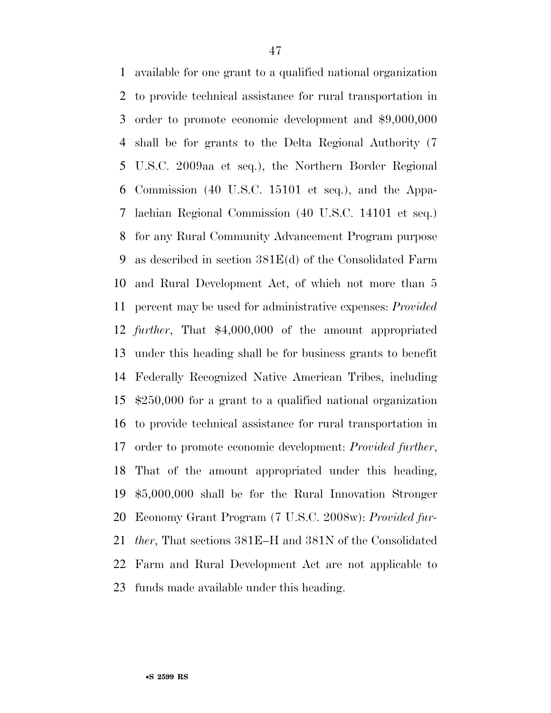available for one grant to a qualified national organization to provide technical assistance for rural transportation in order to promote economic development and \$9,000,000 shall be for grants to the Delta Regional Authority (7 U.S.C. 2009aa et seq.), the Northern Border Regional Commission (40 U.S.C. 15101 et seq.), and the Appa- lachian Regional Commission (40 U.S.C. 14101 et seq.) for any Rural Community Advancement Program purpose as described in section 381E(d) of the Consolidated Farm and Rural Development Act, of which not more than 5 percent may be used for administrative expenses: *Provided further*, That \$4,000,000 of the amount appropriated under this heading shall be for business grants to benefit Federally Recognized Native American Tribes, including \$250,000 for a grant to a qualified national organization to provide technical assistance for rural transportation in order to promote economic development: *Provided further*, That of the amount appropriated under this heading, \$5,000,000 shall be for the Rural Innovation Stronger Economy Grant Program (7 U.S.C. 2008w): *Provided fur- ther*, That sections 381E–H and 381N of the Consolidated Farm and Rural Development Act are not applicable to funds made available under this heading.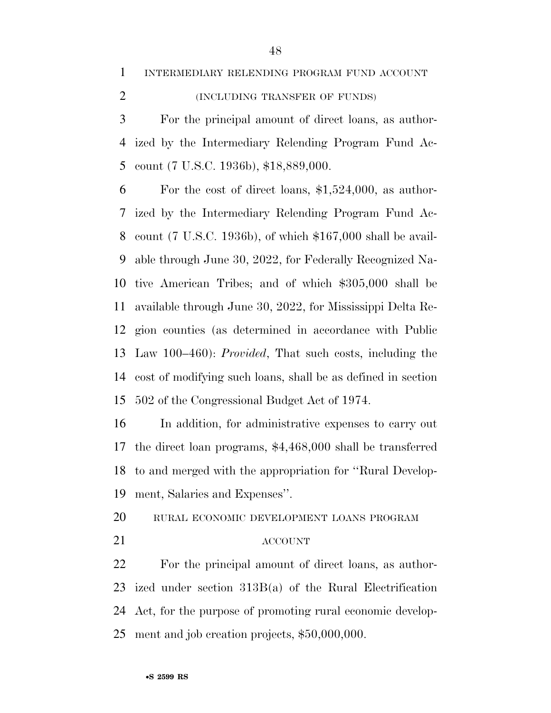INTERMEDIARY RELENDING PROGRAM FUND ACCOUNT

# (INCLUDING TRANSFER OF FUNDS)

 For the principal amount of direct loans, as author- ized by the Intermediary Relending Program Fund Ac-count (7 U.S.C. 1936b), \$18,889,000.

 For the cost of direct loans, \$1,524,000, as author- ized by the Intermediary Relending Program Fund Ac- count (7 U.S.C. 1936b), of which \$167,000 shall be avail- able through June 30, 2022, for Federally Recognized Na- tive American Tribes; and of which \$305,000 shall be available through June 30, 2022, for Mississippi Delta Re- gion counties (as determined in accordance with Public Law 100–460): *Provided*, That such costs, including the cost of modifying such loans, shall be as defined in section 502 of the Congressional Budget Act of 1974.

 In addition, for administrative expenses to carry out the direct loan programs, \$4,468,000 shall be transferred to and merged with the appropriation for ''Rural Develop-ment, Salaries and Expenses''.

RURAL ECONOMIC DEVELOPMENT LOANS PROGRAM

#### ACCOUNT

 For the principal amount of direct loans, as author- ized under section 313B(a) of the Rural Electrification Act, for the purpose of promoting rural economic develop-ment and job creation projects, \$50,000,000.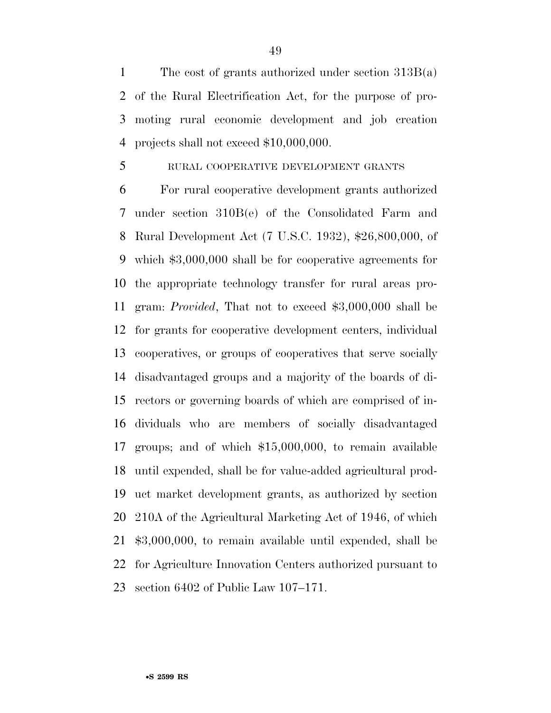The cost of grants authorized under section 313B(a) of the Rural Electrification Act, for the purpose of pro- moting rural economic development and job creation projects shall not exceed \$10,000,000.

#### RURAL COOPERATIVE DEVELOPMENT GRANTS

 For rural cooperative development grants authorized under section 310B(e) of the Consolidated Farm and Rural Development Act (7 U.S.C. 1932), \$26,800,000, of which \$3,000,000 shall be for cooperative agreements for the appropriate technology transfer for rural areas pro- gram: *Provided*, That not to exceed \$3,000,000 shall be for grants for cooperative development centers, individual cooperatives, or groups of cooperatives that serve socially disadvantaged groups and a majority of the boards of di- rectors or governing boards of which are comprised of in- dividuals who are members of socially disadvantaged groups; and of which \$15,000,000, to remain available until expended, shall be for value-added agricultural prod- uct market development grants, as authorized by section 210A of the Agricultural Marketing Act of 1946, of which \$3,000,000, to remain available until expended, shall be for Agriculture Innovation Centers authorized pursuant to section 6402 of Public Law 107–171.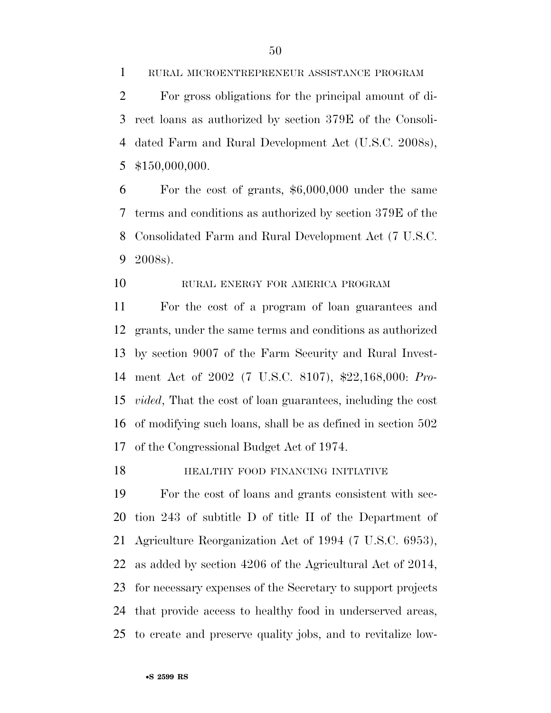RURAL MICROENTREPRENEUR ASSISTANCE PROGRAM

 For gross obligations for the principal amount of di- rect loans as authorized by section 379E of the Consoli- dated Farm and Rural Development Act (U.S.C. 2008s), \$150,000,000.

 For the cost of grants, \$6,000,000 under the same terms and conditions as authorized by section 379E of the Consolidated Farm and Rural Development Act (7 U.S.C. 2008s).

## RURAL ENERGY FOR AMERICA PROGRAM

 For the cost of a program of loan guarantees and grants, under the same terms and conditions as authorized by section 9007 of the Farm Security and Rural Invest- ment Act of 2002 (7 U.S.C. 8107), \$22,168,000: *Pro- vided*, That the cost of loan guarantees, including the cost of modifying such loans, shall be as defined in section 502 of the Congressional Budget Act of 1974.

#### **HEALTHY FOOD FINANCING INITIATIVE**

 For the cost of loans and grants consistent with sec- tion 243 of subtitle D of title II of the Department of Agriculture Reorganization Act of 1994 (7 U.S.C. 6953), as added by section 4206 of the Agricultural Act of 2014, for necessary expenses of the Secretary to support projects that provide access to healthy food in underserved areas, to create and preserve quality jobs, and to revitalize low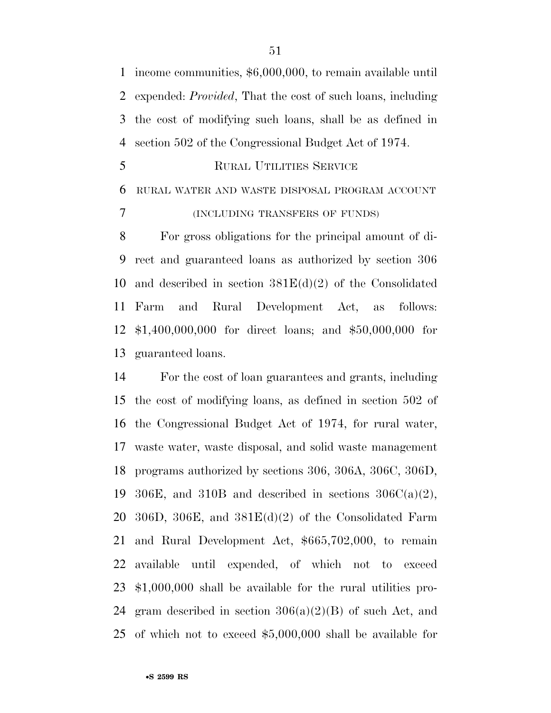income communities, \$6,000,000, to remain available until expended: *Provided*, That the cost of such loans, including the cost of modifying such loans, shall be as defined in section 502 of the Congressional Budget Act of 1974.

RURAL UTILITIES SERVICE

 RURAL WATER AND WASTE DISPOSAL PROGRAM ACCOUNT (INCLUDING TRANSFERS OF FUNDS)

 For gross obligations for the principal amount of di- rect and guaranteed loans as authorized by section 306 10 and described in section  $381E(d)(2)$  of the Consolidated Farm and Rural Development Act, as follows: \$1,400,000,000 for direct loans; and \$50,000,000 for guaranteed loans.

 For the cost of loan guarantees and grants, including the cost of modifying loans, as defined in section 502 of the Congressional Budget Act of 1974, for rural water, waste water, waste disposal, and solid waste management programs authorized by sections 306, 306A, 306C, 306D, 19 306E, and 310B and described in sections  $306C(a)(2)$ , 20 306D, 306E, and  $381E(d)(2)$  of the Consolidated Farm and Rural Development Act, \$665,702,000, to remain available until expended, of which not to exceed \$1,000,000 shall be available for the rural utilities pro-24 gram described in section  $306(a)(2)(B)$  of such Act, and of which not to exceed \$5,000,000 shall be available for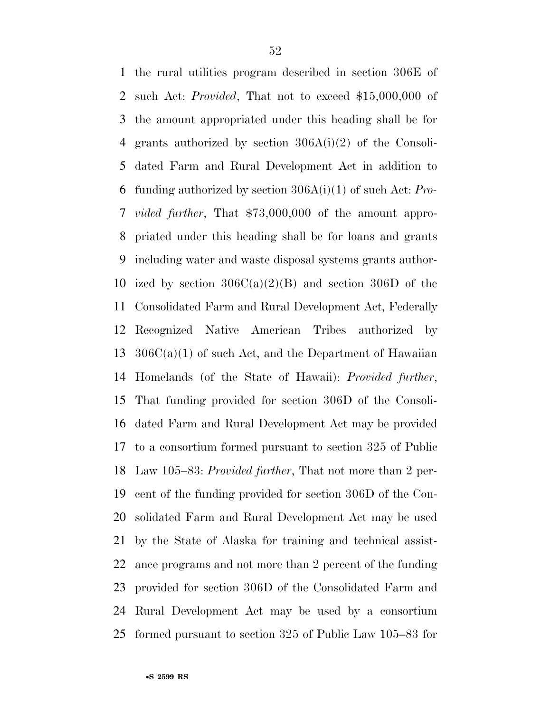the rural utilities program described in section 306E of such Act: *Provided*, That not to exceed \$15,000,000 of the amount appropriated under this heading shall be for grants authorized by section 306A(i)(2) of the Consoli- dated Farm and Rural Development Act in addition to funding authorized by section 306A(i)(1) of such Act: *Pro- vided further*, That \$73,000,000 of the amount appro- priated under this heading shall be for loans and grants including water and waste disposal systems grants author-10 ized by section  $306C(a)(2)(B)$  and section 306D of the Consolidated Farm and Rural Development Act, Federally Recognized Native American Tribes authorized by  $306C(a)(1)$  of such Act, and the Department of Hawaiian Homelands (of the State of Hawaii): *Provided further*, That funding provided for section 306D of the Consoli- dated Farm and Rural Development Act may be provided to a consortium formed pursuant to section 325 of Public Law 105–83: *Provided further*, That not more than 2 per- cent of the funding provided for section 306D of the Con- solidated Farm and Rural Development Act may be used by the State of Alaska for training and technical assist- ance programs and not more than 2 percent of the funding provided for section 306D of the Consolidated Farm and Rural Development Act may be used by a consortium formed pursuant to section 325 of Public Law 105–83 for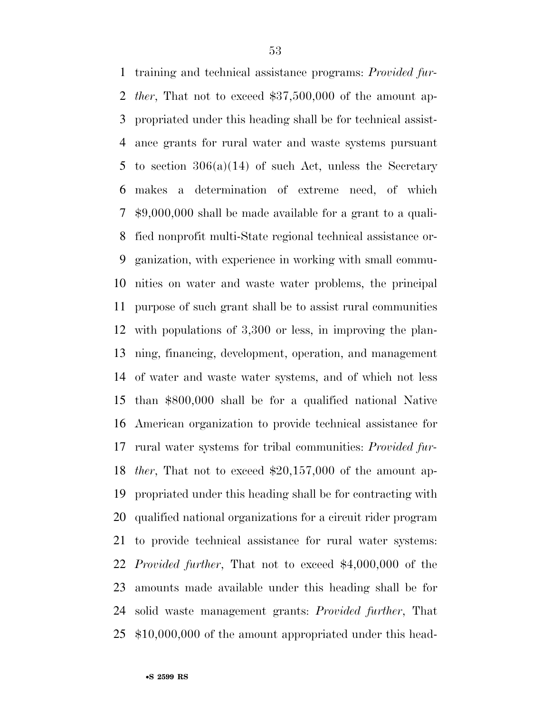training and technical assistance programs: *Provided fur- ther*, That not to exceed \$37,500,000 of the amount ap- propriated under this heading shall be for technical assist- ance grants for rural water and waste systems pursuant to section 306(a)(14) of such Act, unless the Secretary makes a determination of extreme need, of which \$9,000,000 shall be made available for a grant to a quali- fied nonprofit multi-State regional technical assistance or- ganization, with experience in working with small commu- nities on water and waste water problems, the principal purpose of such grant shall be to assist rural communities with populations of 3,300 or less, in improving the plan- ning, financing, development, operation, and management of water and waste water systems, and of which not less than \$800,000 shall be for a qualified national Native American organization to provide technical assistance for rural water systems for tribal communities: *Provided fur- ther*, That not to exceed \$20,157,000 of the amount ap- propriated under this heading shall be for contracting with qualified national organizations for a circuit rider program to provide technical assistance for rural water systems: *Provided further*, That not to exceed \$4,000,000 of the amounts made available under this heading shall be for solid waste management grants: *Provided further*, That \$10,000,000 of the amount appropriated under this head-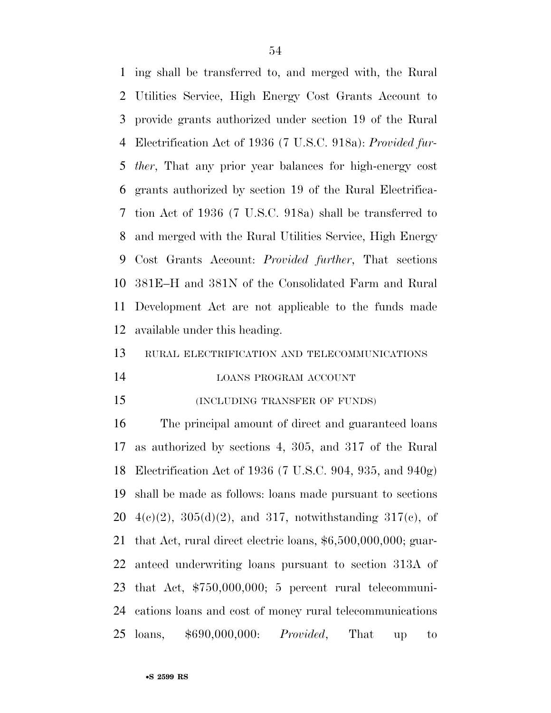ing shall be transferred to, and merged with, the Rural Utilities Service, High Energy Cost Grants Account to provide grants authorized under section 19 of the Rural Electrification Act of 1936 (7 U.S.C. 918a): *Provided fur- ther*, That any prior year balances for high-energy cost grants authorized by section 19 of the Rural Electrifica- tion Act of 1936 (7 U.S.C. 918a) shall be transferred to and merged with the Rural Utilities Service, High Energy Cost Grants Account: *Provided further*, That sections 381E–H and 381N of the Consolidated Farm and Rural Development Act are not applicable to the funds made available under this heading.

RURAL ELECTRIFICATION AND TELECOMMUNICATIONS

#### LOANS PROGRAM ACCOUNT

(INCLUDING TRANSFER OF FUNDS)

 The principal amount of direct and guaranteed loans as authorized by sections 4, 305, and 317 of the Rural Electrification Act of 1936 (7 U.S.C. 904, 935, and 940g) shall be made as follows: loans made pursuant to sections  $4(e)(2)$ ,  $305(d)(2)$ , and  $317$ , notwithstanding  $317(e)$ , of that Act, rural direct electric loans, \$6,500,000,000; guar- anteed underwriting loans pursuant to section 313A of that Act, \$750,000,000; 5 percent rural telecommuni- cations loans and cost of money rural telecommunications loans, \$690,000,000: *Provided*, That up to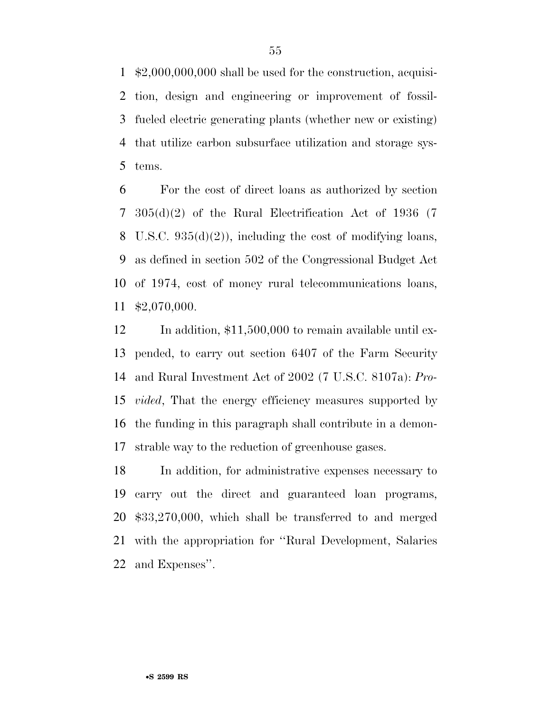\$2,000,000,000 shall be used for the construction, acquisi- tion, design and engineering or improvement of fossil- fueled electric generating plants (whether new or existing) that utilize carbon subsurface utilization and storage sys-tems.

 For the cost of direct loans as authorized by section 305(d)(2) of the Rural Electrification Act of 1936 (7 8 U.S.C.  $935(d)(2)$ , including the cost of modifying loans, as defined in section 502 of the Congressional Budget Act of 1974, cost of money rural telecommunications loans, \$2,070,000.

12 In addition, \$11,500,000 to remain available until ex- pended, to carry out section 6407 of the Farm Security and Rural Investment Act of 2002 (7 U.S.C. 8107a): *Pro- vided*, That the energy efficiency measures supported by the funding in this paragraph shall contribute in a demon-strable way to the reduction of greenhouse gases.

 In addition, for administrative expenses necessary to carry out the direct and guaranteed loan programs, \$33,270,000, which shall be transferred to and merged with the appropriation for ''Rural Development, Salaries and Expenses''.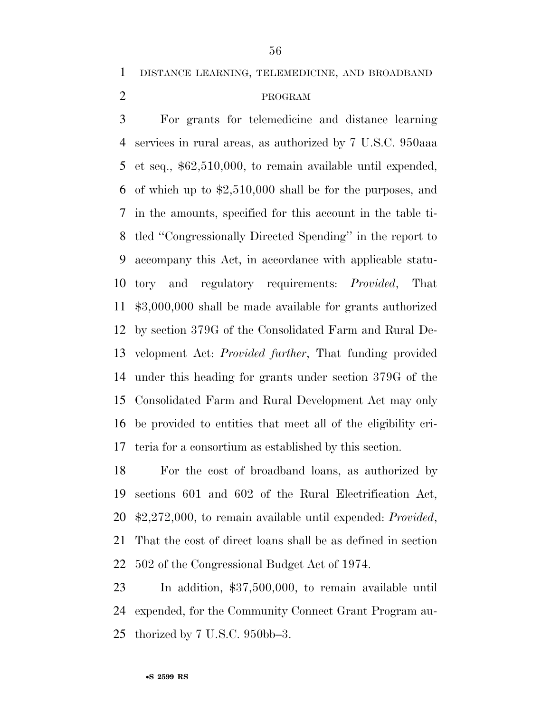DISTANCE LEARNING, TELEMEDICINE, AND BROADBAND

# PROGRAM

 For grants for telemedicine and distance learning services in rural areas, as authorized by 7 U.S.C. 950aaa et seq., \$62,510,000, to remain available until expended, of which up to \$2,510,000 shall be for the purposes, and in the amounts, specified for this account in the table ti- tled ''Congressionally Directed Spending'' in the report to accompany this Act, in accordance with applicable statu- tory and regulatory requirements: *Provided*, That \$3,000,000 shall be made available for grants authorized by section 379G of the Consolidated Farm and Rural De- velopment Act: *Provided further*, That funding provided under this heading for grants under section 379G of the Consolidated Farm and Rural Development Act may only be provided to entities that meet all of the eligibility cri-teria for a consortium as established by this section.

 For the cost of broadband loans, as authorized by sections 601 and 602 of the Rural Electrification Act, \$2,272,000, to remain available until expended: *Provided*, That the cost of direct loans shall be as defined in section 502 of the Congressional Budget Act of 1974.

 In addition, \$37,500,000, to remain available until expended, for the Community Connect Grant Program au-thorized by 7 U.S.C. 950bb–3.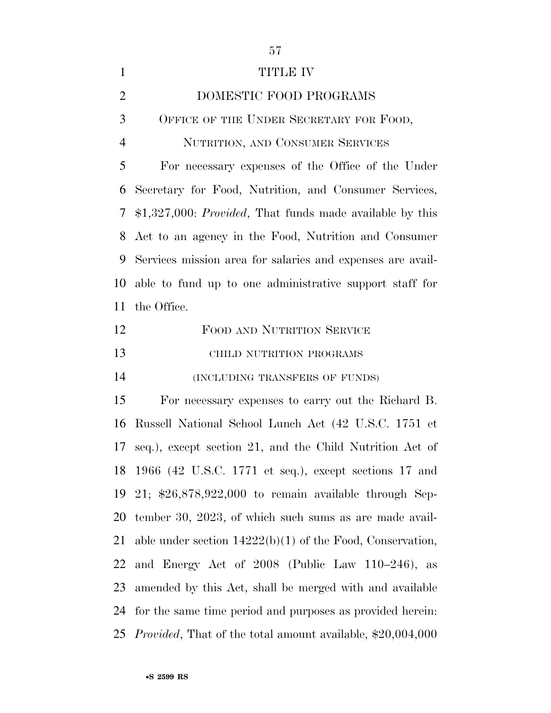| $\mathbf{1}$   | <b>TITLE IV</b>                                                    |
|----------------|--------------------------------------------------------------------|
| $\overline{2}$ | DOMESTIC FOOD PROGRAMS                                             |
| 3              | OFFICE OF THE UNDER SECRETARY FOR FOOD,                            |
| $\overline{4}$ | NUTRITION, AND CONSUMER SERVICES                                   |
| 5              | For necessary expenses of the Office of the Under                  |
| 6              | Secretary for Food, Nutrition, and Consumer Services,              |
| 7              | $$1,327,000: Provided, That funds made available by this$          |
| 8              | Act to an agency in the Food, Nutrition and Consumer               |
| 9              | Services mission area for salaries and expenses are avail-         |
| 10             | able to fund up to one administrative support staff for            |
| 11             | the Office.                                                        |
| 12             | FOOD AND NUTRITION SERVICE                                         |
| 13             | CHILD NUTRITION PROGRAMS                                           |
| 14             | (INCLUDING TRANSFERS OF FUNDS)                                     |
| 15             | For necessary expenses to carry out the Richard B.                 |
| 16             | Russell National School Lunch Act (42 U.S.C. 1751 et               |
| 17             | seq.), except section 21, and the Child Nutrition Act of           |
|                | 18 1966 (42 U.S.C. 1771 et seq.), except sections 17 and           |
| 19             | 21; $$26,878,922,000$ to remain available through Sep-             |
| 20             | tember 30, 2023, of which such sums as are made avail-             |
| 21             | able under section $14222(b)(1)$ of the Food, Conservation,        |
| 22             | and Energy Act of 2008 (Public Law 110–246), as                    |
| 23             | amended by this Act, shall be merged with and available            |
| 24             | for the same time period and purposes as provided herein:          |
| 25             | <i>Provided</i> , That of the total amount available, \$20,004,000 |

•**S 2599 RS**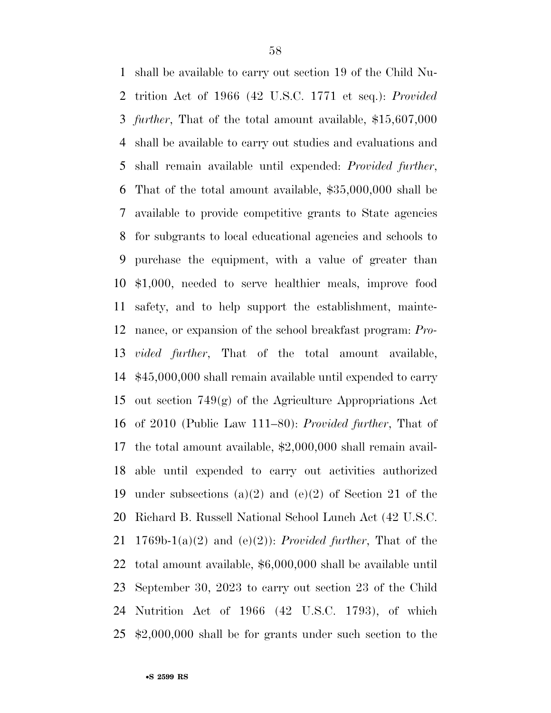shall be available to carry out section 19 of the Child Nu- trition Act of 1966 (42 U.S.C. 1771 et seq.): *Provided further*, That of the total amount available, \$15,607,000 shall be available to carry out studies and evaluations and shall remain available until expended: *Provided further*, That of the total amount available, \$35,000,000 shall be available to provide competitive grants to State agencies for subgrants to local educational agencies and schools to purchase the equipment, with a value of greater than \$1,000, needed to serve healthier meals, improve food safety, and to help support the establishment, mainte- nance, or expansion of the school breakfast program: *Pro- vided further*, That of the total amount available, \$45,000,000 shall remain available until expended to carry out section 749(g) of the Agriculture Appropriations Act of 2010 (Public Law 111–80): *Provided further*, That of the total amount available, \$2,000,000 shall remain avail- able until expended to carry out activities authorized under subsections (a)(2) and (e)(2) of Section 21 of the Richard B. Russell National School Lunch Act (42 U.S.C. 1769b-1(a)(2) and (e)(2)): *Provided further*, That of the total amount available, \$6,000,000 shall be available until September 30, 2023 to carry out section 23 of the Child Nutrition Act of 1966 (42 U.S.C. 1793), of which \$2,000,000 shall be for grants under such section to the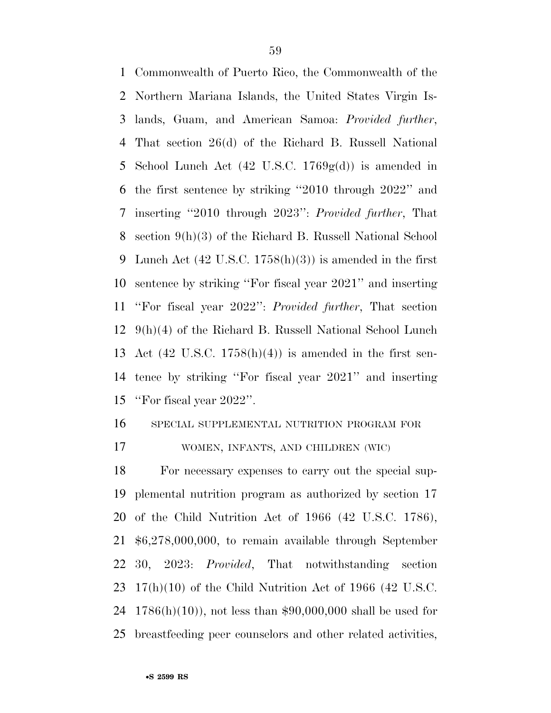Commonwealth of Puerto Rico, the Commonwealth of the Northern Mariana Islands, the United States Virgin Is- lands, Guam, and American Samoa: *Provided further*, That section 26(d) of the Richard B. Russell National 5 School Lunch Act  $(42 \text{ U.S.C. } 1769 \text{g(d)})$  is amended in the first sentence by striking ''2010 through 2022'' and inserting ''2010 through 2023'': *Provided further*, That section 9(h)(3) of the Richard B. Russell National School 9 Lunch Act  $(42 \text{ U.S.C. } 1758(h)(3))$  is amended in the first sentence by striking ''For fiscal year 2021'' and inserting ''For fiscal year 2022'': *Provided further*, That section 9(h)(4) of the Richard B. Russell National School Lunch Act (42 U.S.C. 1758(h)(4)) is amended in the first sen- tence by striking ''For fiscal year 2021'' and inserting ''For fiscal year 2022''.

SPECIAL SUPPLEMENTAL NUTRITION PROGRAM FOR

WOMEN, INFANTS, AND CHILDREN (WIC)

 For necessary expenses to carry out the special sup- plemental nutrition program as authorized by section 17 of the Child Nutrition Act of 1966 (42 U.S.C. 1786), \$6,278,000,000, to remain available through September 30, 2023: *Provided*, That notwithstanding section 17(h)(10) of the Child Nutrition Act of 1966 (42 U.S.C. 1786(h)(10)), not less than \$90,000,000 shall be used for breastfeeding peer counselors and other related activities,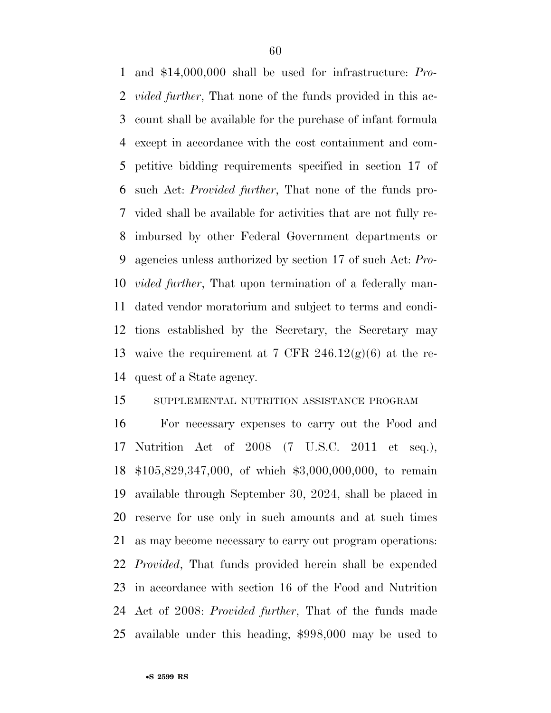and \$14,000,000 shall be used for infrastructure: *Pro- vided further*, That none of the funds provided in this ac- count shall be available for the purchase of infant formula except in accordance with the cost containment and com- petitive bidding requirements specified in section 17 of such Act: *Provided further*, That none of the funds pro- vided shall be available for activities that are not fully re- imbursed by other Federal Government departments or agencies unless authorized by section 17 of such Act: *Pro- vided further*, That upon termination of a federally man- dated vendor moratorium and subject to terms and condi- tions established by the Secretary, the Secretary may 13 waive the requirement at 7 CFR  $246.12(g)(6)$  at the re-quest of a State agency.

### SUPPLEMENTAL NUTRITION ASSISTANCE PROGRAM

 For necessary expenses to carry out the Food and Nutrition Act of 2008 (7 U.S.C. 2011 et seq.), \$105,829,347,000, of which \$3,000,000,000, to remain available through September 30, 2024, shall be placed in reserve for use only in such amounts and at such times as may become necessary to carry out program operations: *Provided*, That funds provided herein shall be expended in accordance with section 16 of the Food and Nutrition Act of 2008: *Provided further*, That of the funds made available under this heading, \$998,000 may be used to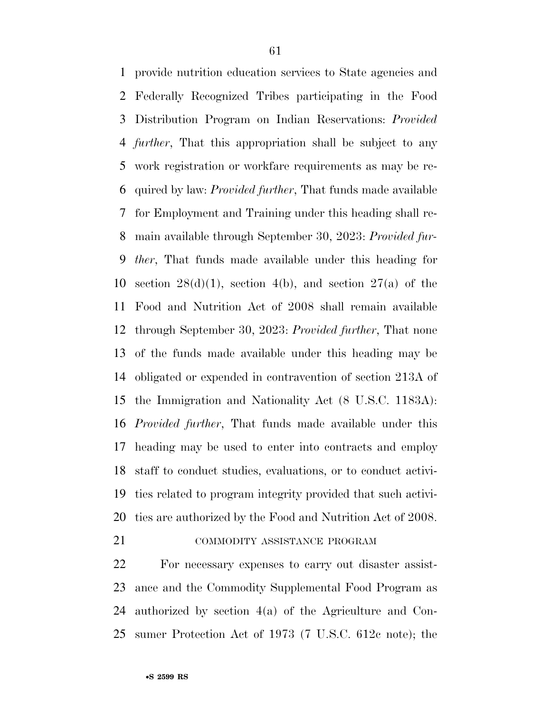provide nutrition education services to State agencies and Federally Recognized Tribes participating in the Food Distribution Program on Indian Reservations: *Provided further*, That this appropriation shall be subject to any work registration or workfare requirements as may be re- quired by law: *Provided further*, That funds made available for Employment and Training under this heading shall re- main available through September 30, 2023: *Provided fur- ther*, That funds made available under this heading for 10 section 28(d)(1), section 4(b), and section 27(a) of the Food and Nutrition Act of 2008 shall remain available through September 30, 2023: *Provided further*, That none of the funds made available under this heading may be obligated or expended in contravention of section 213A of the Immigration and Nationality Act (8 U.S.C. 1183A): *Provided further*, That funds made available under this heading may be used to enter into contracts and employ staff to conduct studies, evaluations, or to conduct activi- ties related to program integrity provided that such activi-ties are authorized by the Food and Nutrition Act of 2008.

# **COMMODITY ASSISTANCE PROGRAM**

 For necessary expenses to carry out disaster assist- ance and the Commodity Supplemental Food Program as authorized by section 4(a) of the Agriculture and Con-sumer Protection Act of 1973 (7 U.S.C. 612c note); the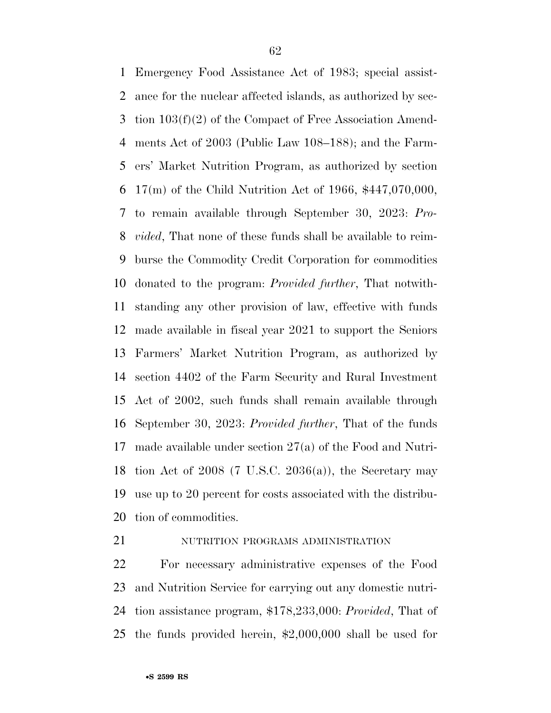Emergency Food Assistance Act of 1983; special assist- ance for the nuclear affected islands, as authorized by sec- tion 103(f)(2) of the Compact of Free Association Amend- ments Act of 2003 (Public Law 108–188); and the Farm- ers' Market Nutrition Program, as authorized by section 17(m) of the Child Nutrition Act of 1966, \$447,070,000, to remain available through September 30, 2023: *Pro- vided*, That none of these funds shall be available to reim- burse the Commodity Credit Corporation for commodities donated to the program: *Provided further*, That notwith- standing any other provision of law, effective with funds made available in fiscal year 2021 to support the Seniors Farmers' Market Nutrition Program, as authorized by section 4402 of the Farm Security and Rural Investment Act of 2002, such funds shall remain available through September 30, 2023: *Provided further*, That of the funds made available under section 27(a) of the Food and Nutri-18 tion Act of 2008 (7 U.S.C. 2036(a)), the Secretary may use up to 20 percent for costs associated with the distribu-tion of commodities.

## 21 NUTRITION PROGRAMS ADMINISTRATION

 For necessary administrative expenses of the Food and Nutrition Service for carrying out any domestic nutri- tion assistance program, \$178,233,000: *Provided*, That of the funds provided herein, \$2,000,000 shall be used for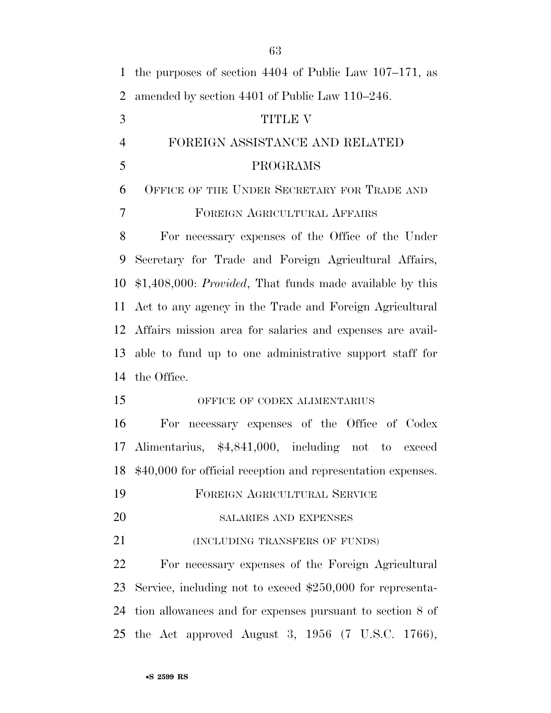| 1              | the purposes of section $4404$ of Public Law $107-171$ , as  |
|----------------|--------------------------------------------------------------|
| 2              | amended by section 4401 of Public Law 110–246.               |
| 3              | <b>TITLE V</b>                                               |
| $\overline{4}$ | FOREIGN ASSISTANCE AND RELATED                               |
| 5              | PROGRAMS                                                     |
| 6              | OFFICE OF THE UNDER SECRETARY FOR TRADE AND                  |
| 7              | FOREIGN AGRICULTURAL AFFAIRS                                 |
| 8              | For necessary expenses of the Office of the Under            |
| 9              | Secretary for Trade and Foreign Agricultural Affairs,        |
| 10             | $$1,408,000: Provided, That funds made available by this$    |
| 11             | Act to any agency in the Trade and Foreign Agricultural      |
|                | 12 Affairs mission area for salaries and expenses are avail- |
| 13             | able to fund up to one administrative support staff for      |
| 14             | the Office.                                                  |
| 15             | OFFICE OF CODEX ALIMENTARIUS                                 |
| 16             | For necessary expenses of the Office of Codex                |
| 17             | Alimentarius, \$4,841,000, including not to exceed           |
| 18             | \$40,000 for official reception and representation expenses. |
| 19             | FOREIGN AGRICULTURAL SERVICE                                 |
| 20             | SALARIES AND EXPENSES                                        |
| 21             | (INCLUDING TRANSFERS OF FUNDS)                               |
| 22             | For necessary expenses of the Foreign Agricultural           |
| 23             | Service, including not to exceed $$250,000$ for representa-  |
| 24             | tion allowances and for expenses pursuant to section 8 of    |
| 25             | the Act approved August 3, $1956$ (7 U.S.C. 1766),           |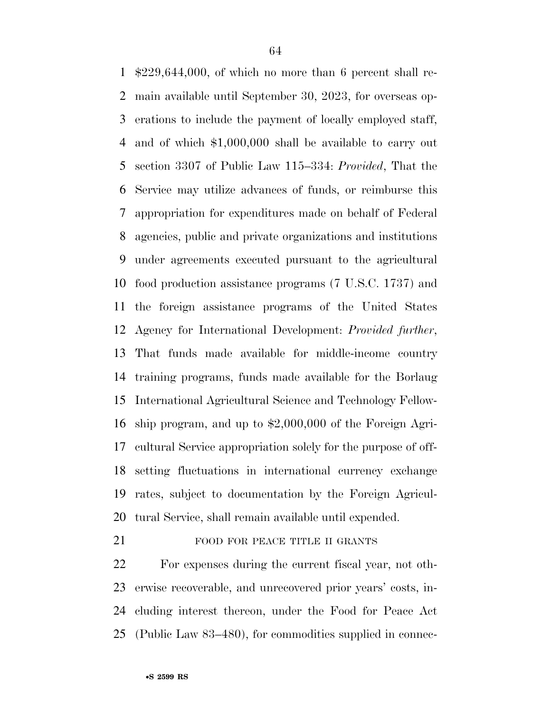\$229,644,000, of which no more than 6 percent shall re- main available until September 30, 2023, for overseas op- erations to include the payment of locally employed staff, and of which \$1,000,000 shall be available to carry out section 3307 of Public Law 115–334: *Provided*, That the Service may utilize advances of funds, or reimburse this appropriation for expenditures made on behalf of Federal agencies, public and private organizations and institutions under agreements executed pursuant to the agricultural food production assistance programs (7 U.S.C. 1737) and the foreign assistance programs of the United States Agency for International Development: *Provided further*, That funds made available for middle-income country training programs, funds made available for the Borlaug International Agricultural Science and Technology Fellow- ship program, and up to \$2,000,000 of the Foreign Agri- cultural Service appropriation solely for the purpose of off- setting fluctuations in international currency exchange rates, subject to documentation by the Foreign Agricul-tural Service, shall remain available until expended.

# 21 FOOD FOR PEACE TITLE II GRANTS

 For expenses during the current fiscal year, not oth- erwise recoverable, and unrecovered prior years' costs, in- cluding interest thereon, under the Food for Peace Act (Public Law 83–480), for commodities supplied in connec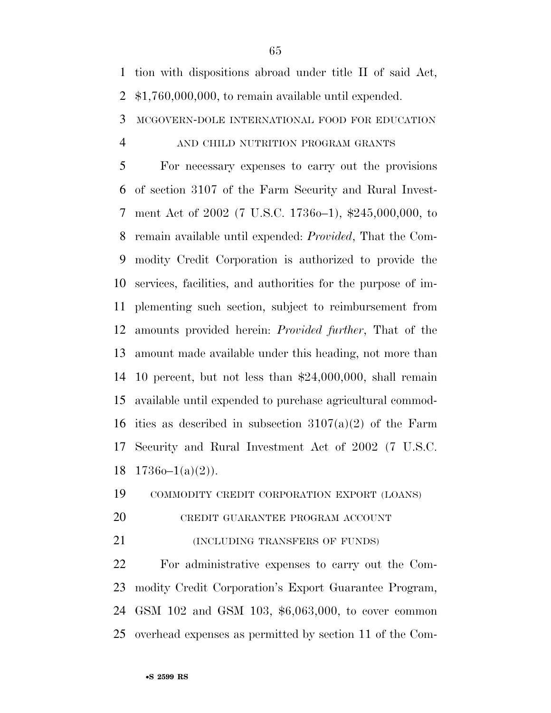tion with dispositions abroad under title II of said Act,

\$1,760,000,000, to remain available until expended.

MCGOVERN-DOLE INTERNATIONAL FOOD FOR EDUCATION

#### AND CHILD NUTRITION PROGRAM GRANTS

 For necessary expenses to carry out the provisions of section 3107 of the Farm Security and Rural Invest- ment Act of 2002 (7 U.S.C. 1736o–1), \$245,000,000, to remain available until expended: *Provided*, That the Com- modity Credit Corporation is authorized to provide the services, facilities, and authorities for the purpose of im- plementing such section, subject to reimbursement from amounts provided herein: *Provided further*, That of the amount made available under this heading, not more than 10 percent, but not less than \$24,000,000, shall remain available until expended to purchase agricultural commod-16 ities as described in subsection  $3107(a)(2)$  of the Farm Security and Rural Investment Act of 2002 (7 U.S.C.  $1736o-1(a)(2)$ ).

COMMODITY CREDIT CORPORATION EXPORT (LOANS)

- CREDIT GUARANTEE PROGRAM ACCOUNT
- (INCLUDING TRANSFERS OF FUNDS)

 For administrative expenses to carry out the Com- modity Credit Corporation's Export Guarantee Program, GSM 102 and GSM 103, \$6,063,000, to cover common overhead expenses as permitted by section 11 of the Com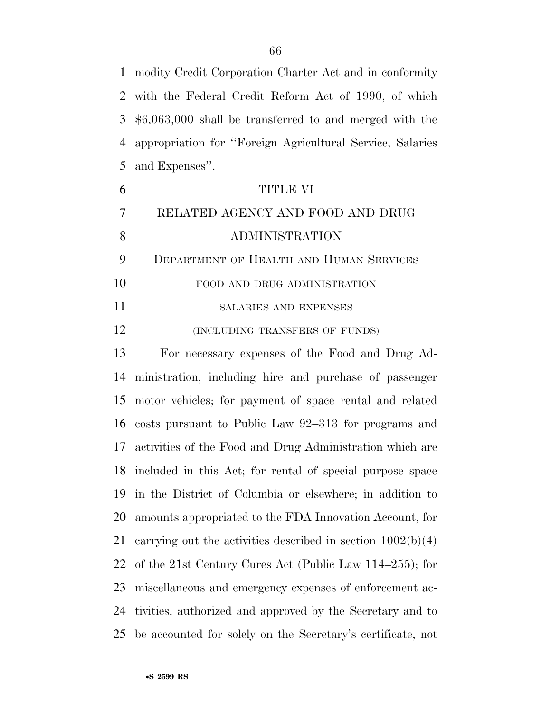modity Credit Corporation Charter Act and in conformity with the Federal Credit Reform Act of 1990, of which \$6,063,000 shall be transferred to and merged with the appropriation for ''Foreign Agricultural Service, Salaries and Expenses''.

| 6  | <b>TITLE VI</b>                                           |
|----|-----------------------------------------------------------|
| 7  | RELATED AGENCY AND FOOD AND DRUG                          |
| 8  | <b>ADMINISTRATION</b>                                     |
| 9  | DEPARTMENT OF HEALTH AND HUMAN SERVICES                   |
| 10 | FOOD AND DRUG ADMINISTRATION                              |
| 11 | <b>SALARIES AND EXPENSES</b>                              |
| 12 | (INCLUDING TRANSFERS OF FUNDS)                            |
| 13 | For necessary expenses of the Food and Drug Ad-           |
|    | 14 ministration, including hire and purchase of passenger |

 ministration, including hire and purchase of passenger motor vehicles; for payment of space rental and related costs pursuant to Public Law 92–313 for programs and activities of the Food and Drug Administration which are included in this Act; for rental of special purpose space in the District of Columbia or elsewhere; in addition to amounts appropriated to the FDA Innovation Account, for carrying out the activities described in section 1002(b)(4) of the 21st Century Cures Act (Public Law 114–255); for miscellaneous and emergency expenses of enforcement ac- tivities, authorized and approved by the Secretary and to be accounted for solely on the Secretary's certificate, not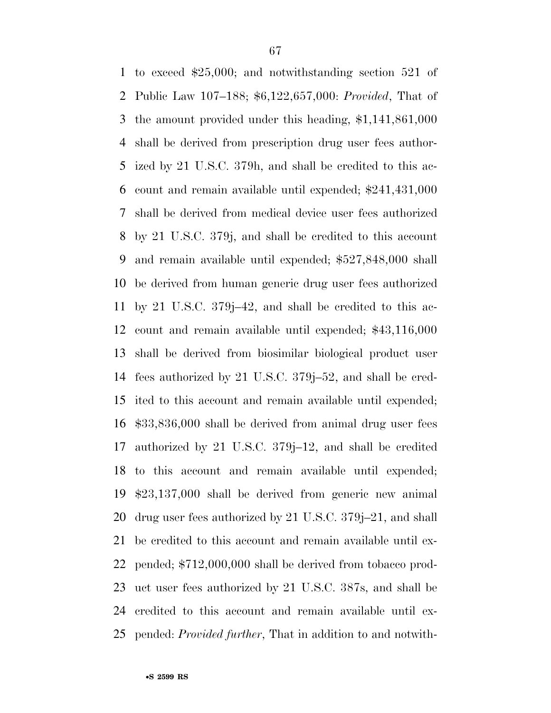to exceed \$25,000; and notwithstanding section 521 of Public Law 107–188; \$6,122,657,000: *Provided*, That of the amount provided under this heading, \$1,141,861,000 shall be derived from prescription drug user fees author- ized by 21 U.S.C. 379h, and shall be credited to this ac- count and remain available until expended; \$241,431,000 shall be derived from medical device user fees authorized by 21 U.S.C. 379j, and shall be credited to this account and remain available until expended; \$527,848,000 shall be derived from human generic drug user fees authorized by 21 U.S.C. 379j–42, and shall be credited to this ac- count and remain available until expended; \$43,116,000 shall be derived from biosimilar biological product user fees authorized by 21 U.S.C. 379j–52, and shall be cred- ited to this account and remain available until expended; \$33,836,000 shall be derived from animal drug user fees authorized by 21 U.S.C. 379j–12, and shall be credited to this account and remain available until expended; \$23,137,000 shall be derived from generic new animal drug user fees authorized by 21 U.S.C. 379j–21, and shall be credited to this account and remain available until ex- pended; \$712,000,000 shall be derived from tobacco prod- uct user fees authorized by 21 U.S.C. 387s, and shall be credited to this account and remain available until ex-pended: *Provided further*, That in addition to and notwith-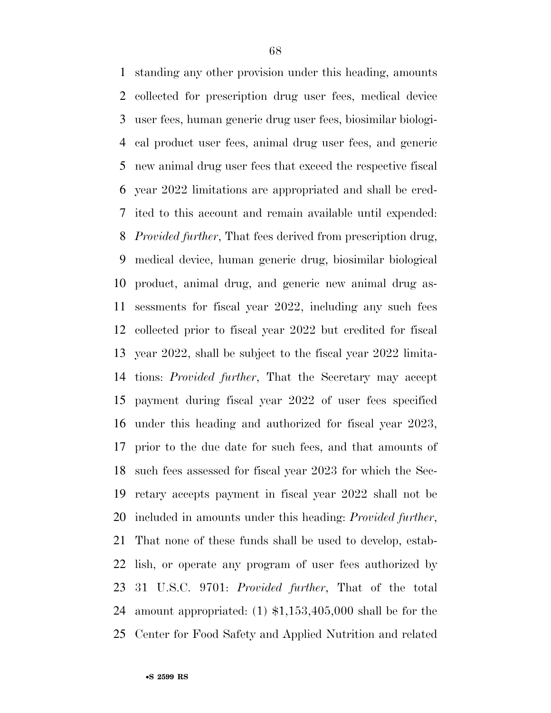standing any other provision under this heading, amounts collected for prescription drug user fees, medical device user fees, human generic drug user fees, biosimilar biologi- cal product user fees, animal drug user fees, and generic new animal drug user fees that exceed the respective fiscal year 2022 limitations are appropriated and shall be cred- ited to this account and remain available until expended: *Provided further*, That fees derived from prescription drug, medical device, human generic drug, biosimilar biological product, animal drug, and generic new animal drug as- sessments for fiscal year 2022, including any such fees collected prior to fiscal year 2022 but credited for fiscal year 2022, shall be subject to the fiscal year 2022 limita- tions: *Provided further*, That the Secretary may accept payment during fiscal year 2022 of user fees specified under this heading and authorized for fiscal year 2023, prior to the due date for such fees, and that amounts of such fees assessed for fiscal year 2023 for which the Sec- retary accepts payment in fiscal year 2022 shall not be included in amounts under this heading: *Provided further*, That none of these funds shall be used to develop, estab- lish, or operate any program of user fees authorized by 31 U.S.C. 9701: *Provided further*, That of the total amount appropriated: (1) \$1,153,405,000 shall be for the Center for Food Safety and Applied Nutrition and related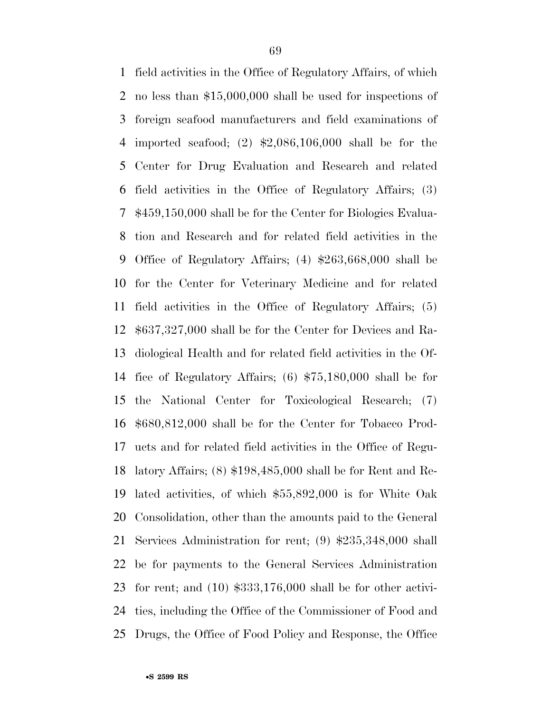field activities in the Office of Regulatory Affairs, of which no less than \$15,000,000 shall be used for inspections of foreign seafood manufacturers and field examinations of imported seafood; (2) \$2,086,106,000 shall be for the Center for Drug Evaluation and Research and related field activities in the Office of Regulatory Affairs; (3) \$459,150,000 shall be for the Center for Biologics Evalua- tion and Research and for related field activities in the Office of Regulatory Affairs; (4) \$263,668,000 shall be for the Center for Veterinary Medicine and for related field activities in the Office of Regulatory Affairs; (5) \$637,327,000 shall be for the Center for Devices and Ra- diological Health and for related field activities in the Of- fice of Regulatory Affairs; (6) \$75,180,000 shall be for the National Center for Toxicological Research; (7) \$680,812,000 shall be for the Center for Tobacco Prod- ucts and for related field activities in the Office of Regu- latory Affairs; (8) \$198,485,000 shall be for Rent and Re- lated activities, of which \$55,892,000 is for White Oak Consolidation, other than the amounts paid to the General Services Administration for rent; (9) \$235,348,000 shall be for payments to the General Services Administration for rent; and (10) \$333,176,000 shall be for other activi- ties, including the Office of the Commissioner of Food and Drugs, the Office of Food Policy and Response, the Office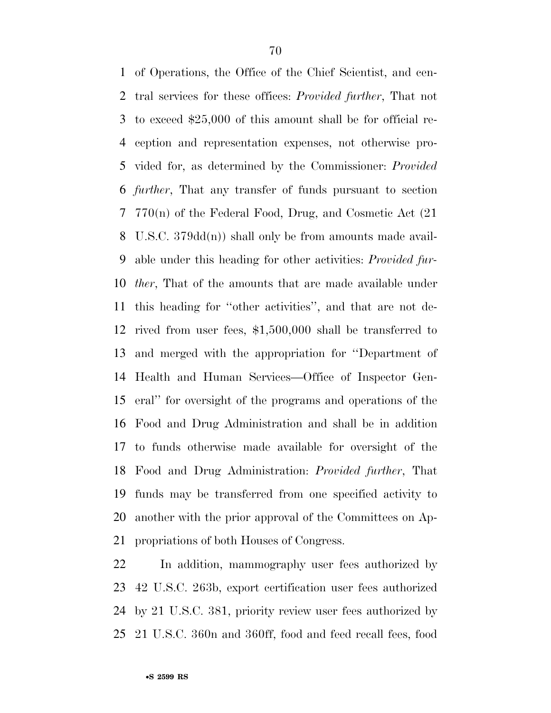of Operations, the Office of the Chief Scientist, and cen- tral services for these offices: *Provided further*, That not to exceed \$25,000 of this amount shall be for official re- ception and representation expenses, not otherwise pro- vided for, as determined by the Commissioner: *Provided further*, That any transfer of funds pursuant to section 770(n) of the Federal Food, Drug, and Cosmetic Act (21 U.S.C. 379dd(n)) shall only be from amounts made avail- able under this heading for other activities: *Provided fur- ther*, That of the amounts that are made available under this heading for ''other activities'', and that are not de- rived from user fees, \$1,500,000 shall be transferred to and merged with the appropriation for ''Department of Health and Human Services—Office of Inspector Gen- eral'' for oversight of the programs and operations of the Food and Drug Administration and shall be in addition to funds otherwise made available for oversight of the Food and Drug Administration: *Provided further*, That funds may be transferred from one specified activity to another with the prior approval of the Committees on Ap-propriations of both Houses of Congress.

 In addition, mammography user fees authorized by 42 U.S.C. 263b, export certification user fees authorized by 21 U.S.C. 381, priority review user fees authorized by 21 U.S.C. 360n and 360ff, food and feed recall fees, food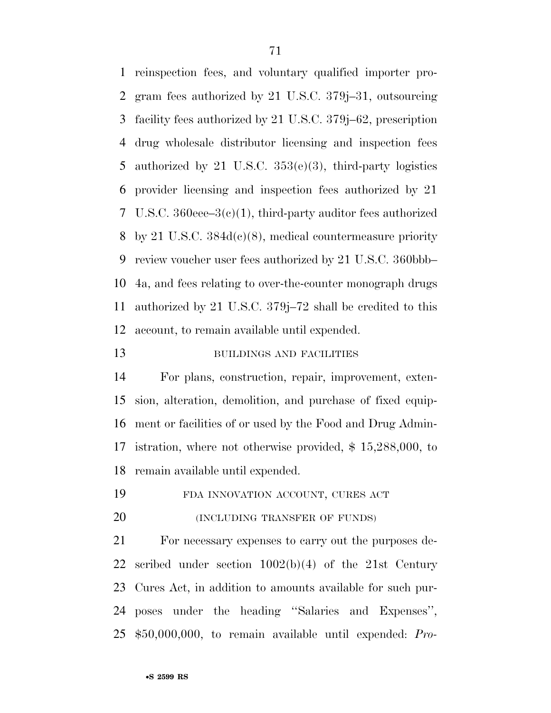reinspection fees, and voluntary qualified importer pro- gram fees authorized by 21 U.S.C. 379j–31, outsourcing facility fees authorized by 21 U.S.C. 379j–62, prescription drug wholesale distributor licensing and inspection fees authorized by 21 U.S.C. 353(e)(3), third-party logistics provider licensing and inspection fees authorized by 21 U.S.C. 360eee–3(c)(1), third-party auditor fees authorized by 21 U.S.C. 384d(c)(8), medical countermeasure priority review voucher user fees authorized by 21 U.S.C. 360bbb– 4a, and fees relating to over-the-counter monograph drugs authorized by 21 U.S.C. 379j–72 shall be credited to this account, to remain available until expended.

#### 13 BUILDINGS AND FACILITIES

 For plans, construction, repair, improvement, exten- sion, alteration, demolition, and purchase of fixed equip- ment or facilities of or used by the Food and Drug Admin- istration, where not otherwise provided, \$ 15,288,000, to remain available until expended.

FDA INNOVATION ACCOUNT, CURES ACT

**(INCLUDING TRANSFER OF FUNDS)** 

 For necessary expenses to carry out the purposes de- scribed under section 1002(b)(4) of the 21st Century Cures Act, in addition to amounts available for such pur- poses under the heading ''Salaries and Expenses'', \$50,000,000, to remain available until expended: *Pro-*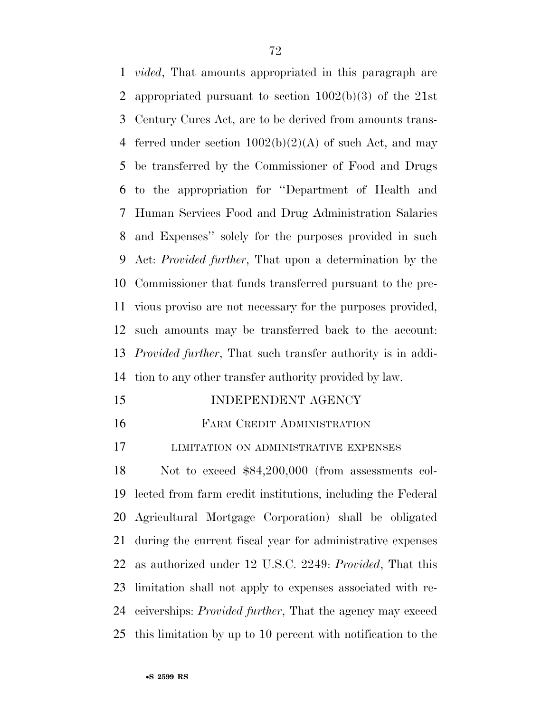*vided*, That amounts appropriated in this paragraph are appropriated pursuant to section 1002(b)(3) of the 21st Century Cures Act, are to be derived from amounts trans-4 ferred under section  $1002(b)(2)(A)$  of such Act, and may be transferred by the Commissioner of Food and Drugs to the appropriation for ''Department of Health and Human Services Food and Drug Administration Salaries and Expenses'' solely for the purposes provided in such Act: *Provided further*, That upon a determination by the Commissioner that funds transferred pursuant to the pre- vious proviso are not necessary for the purposes provided, such amounts may be transferred back to the account: *Provided further*, That such transfer authority is in addi-tion to any other transfer authority provided by law.

- 15 INDEPENDENT AGENCY
- FARM CREDIT ADMINISTRATION

LIMITATION ON ADMINISTRATIVE EXPENSES

 Not to exceed \$84,200,000 (from assessments col- lected from farm credit institutions, including the Federal Agricultural Mortgage Corporation) shall be obligated during the current fiscal year for administrative expenses as authorized under 12 U.S.C. 2249: *Provided*, That this limitation shall not apply to expenses associated with re- ceiverships: *Provided further*, That the agency may exceed this limitation by up to 10 percent with notification to the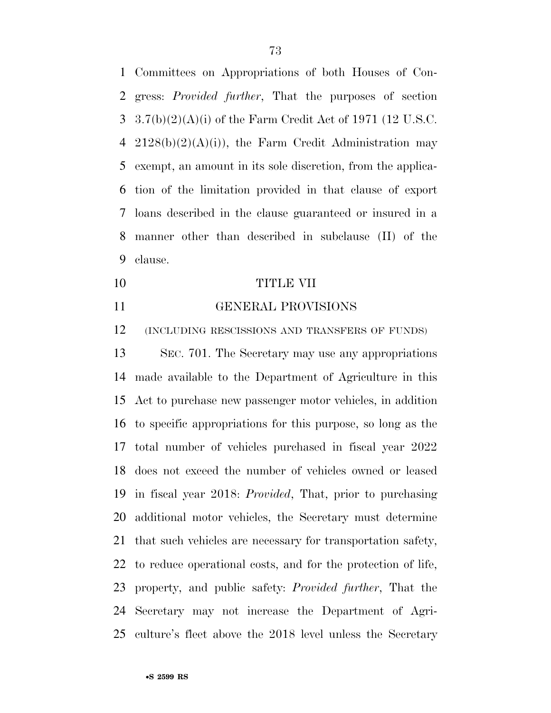Committees on Appropriations of both Houses of Con- gress: *Provided further*, That the purposes of section 3.7(b)(2)(A)(i) of the Farm Credit Act of 1971 (12 U.S.C. 4 2128(b)(2)(A)(i)), the Farm Credit Administration may exempt, an amount in its sole discretion, from the applica- tion of the limitation provided in that clause of export loans described in the clause guaranteed or insured in a manner other than described in subclause (II) of the clause.

- TITLE VII
- 

## GENERAL PROVISIONS

(INCLUDING RESCISSIONS AND TRANSFERS OF FUNDS)

 SEC. 701. The Secretary may use any appropriations made available to the Department of Agriculture in this Act to purchase new passenger motor vehicles, in addition to specific appropriations for this purpose, so long as the total number of vehicles purchased in fiscal year 2022 does not exceed the number of vehicles owned or leased in fiscal year 2018: *Provided*, That, prior to purchasing additional motor vehicles, the Secretary must determine that such vehicles are necessary for transportation safety, to reduce operational costs, and for the protection of life, property, and public safety: *Provided further*, That the Secretary may not increase the Department of Agri-culture's fleet above the 2018 level unless the Secretary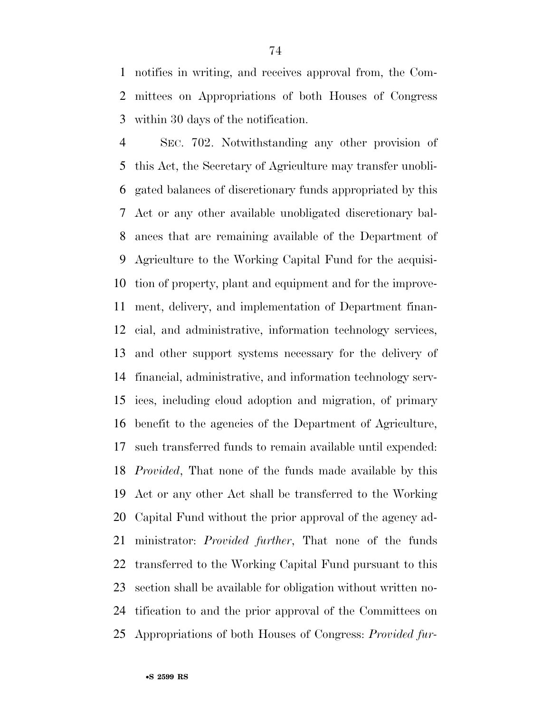notifies in writing, and receives approval from, the Com- mittees on Appropriations of both Houses of Congress within 30 days of the notification.

 SEC. 702. Notwithstanding any other provision of this Act, the Secretary of Agriculture may transfer unobli- gated balances of discretionary funds appropriated by this Act or any other available unobligated discretionary bal- ances that are remaining available of the Department of Agriculture to the Working Capital Fund for the acquisi- tion of property, plant and equipment and for the improve- ment, delivery, and implementation of Department finan- cial, and administrative, information technology services, and other support systems necessary for the delivery of financial, administrative, and information technology serv- ices, including cloud adoption and migration, of primary benefit to the agencies of the Department of Agriculture, such transferred funds to remain available until expended: *Provided*, That none of the funds made available by this Act or any other Act shall be transferred to the Working Capital Fund without the prior approval of the agency ad- ministrator: *Provided further*, That none of the funds transferred to the Working Capital Fund pursuant to this section shall be available for obligation without written no- tification to and the prior approval of the Committees on Appropriations of both Houses of Congress: *Provided fur-*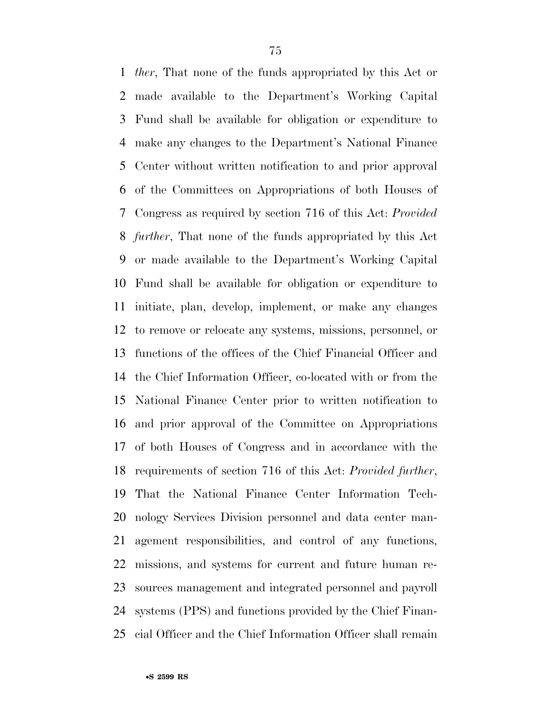*ther*, That none of the funds appropriated by this Act or made available to the Department's Working Capital Fund shall be available for obligation or expenditure to make any changes to the Department's National Finance Center without written notification to and prior approval of the Committees on Appropriations of both Houses of Congress as required by section 716 of this Act: *Provided further*, That none of the funds appropriated by this Act or made available to the Department's Working Capital Fund shall be available for obligation or expenditure to initiate, plan, develop, implement, or make any changes to remove or relocate any systems, missions, personnel, or functions of the offices of the Chief Financial Officer and the Chief Information Officer, co-located with or from the National Finance Center prior to written notification to and prior approval of the Committee on Appropriations of both Houses of Congress and in accordance with the requirements of section 716 of this Act: *Provided further*, That the National Finance Center Information Tech- nology Services Division personnel and data center man- agement responsibilities, and control of any functions, missions, and systems for current and future human re- sources management and integrated personnel and payroll systems (PPS) and functions provided by the Chief Finan-cial Officer and the Chief Information Officer shall remain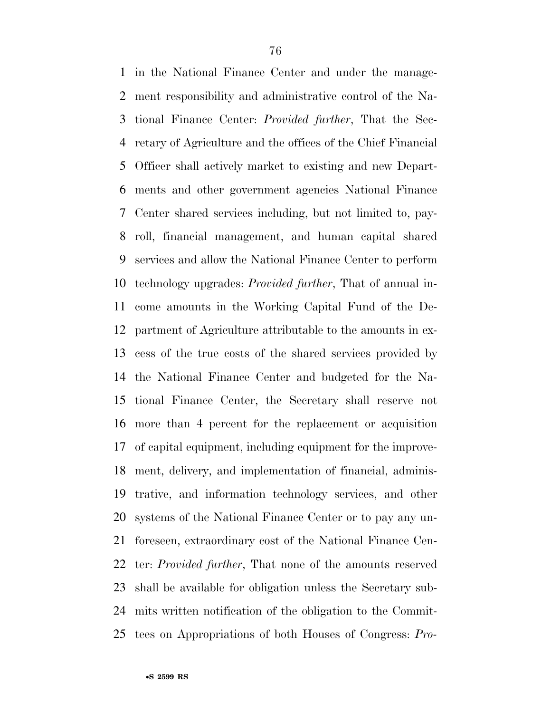in the National Finance Center and under the manage- ment responsibility and administrative control of the Na- tional Finance Center: *Provided further*, That the Sec- retary of Agriculture and the offices of the Chief Financial Officer shall actively market to existing and new Depart- ments and other government agencies National Finance Center shared services including, but not limited to, pay- roll, financial management, and human capital shared services and allow the National Finance Center to perform technology upgrades: *Provided further*, That of annual in- come amounts in the Working Capital Fund of the De- partment of Agriculture attributable to the amounts in ex- cess of the true costs of the shared services provided by the National Finance Center and budgeted for the Na- tional Finance Center, the Secretary shall reserve not more than 4 percent for the replacement or acquisition of capital equipment, including equipment for the improve- ment, delivery, and implementation of financial, adminis- trative, and information technology services, and other systems of the National Finance Center or to pay any un- foreseen, extraordinary cost of the National Finance Cen- ter: *Provided further*, That none of the amounts reserved shall be available for obligation unless the Secretary sub- mits written notification of the obligation to the Commit-tees on Appropriations of both Houses of Congress: *Pro-*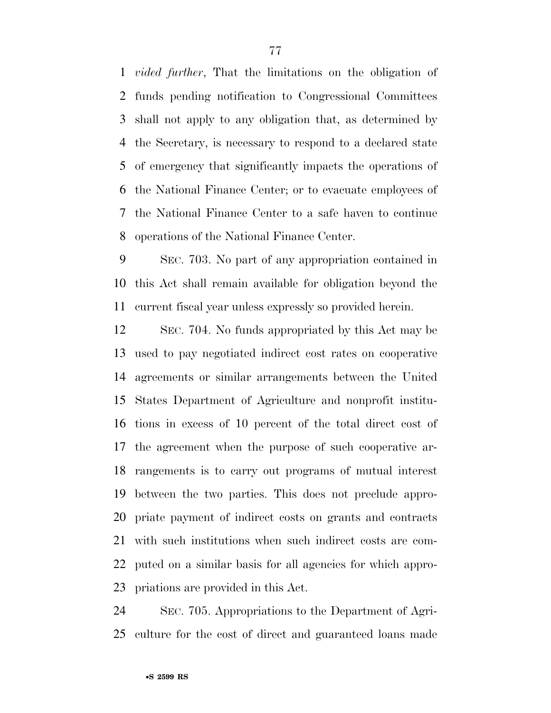*vided further*, That the limitations on the obligation of funds pending notification to Congressional Committees shall not apply to any obligation that, as determined by the Secretary, is necessary to respond to a declared state of emergency that significantly impacts the operations of the National Finance Center; or to evacuate employees of the National Finance Center to a safe haven to continue operations of the National Finance Center.

 SEC. 703. No part of any appropriation contained in this Act shall remain available for obligation beyond the current fiscal year unless expressly so provided herein.

 SEC. 704. No funds appropriated by this Act may be used to pay negotiated indirect cost rates on cooperative agreements or similar arrangements between the United States Department of Agriculture and nonprofit institu- tions in excess of 10 percent of the total direct cost of the agreement when the purpose of such cooperative ar- rangements is to carry out programs of mutual interest between the two parties. This does not preclude appro- priate payment of indirect costs on grants and contracts with such institutions when such indirect costs are com- puted on a similar basis for all agencies for which appro-priations are provided in this Act.

 SEC. 705. Appropriations to the Department of Agri-culture for the cost of direct and guaranteed loans made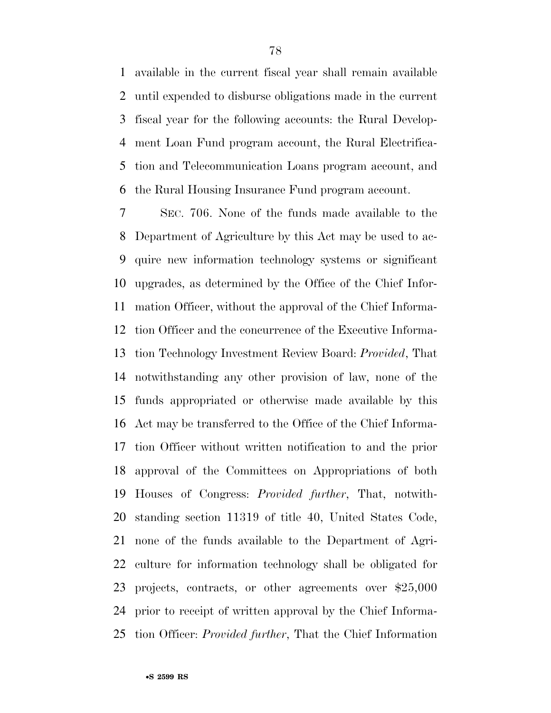available in the current fiscal year shall remain available until expended to disburse obligations made in the current fiscal year for the following accounts: the Rural Develop- ment Loan Fund program account, the Rural Electrifica- tion and Telecommunication Loans program account, and the Rural Housing Insurance Fund program account.

 SEC. 706. None of the funds made available to the Department of Agriculture by this Act may be used to ac- quire new information technology systems or significant upgrades, as determined by the Office of the Chief Infor- mation Officer, without the approval of the Chief Informa- tion Officer and the concurrence of the Executive Informa- tion Technology Investment Review Board: *Provided*, That notwithstanding any other provision of law, none of the funds appropriated or otherwise made available by this Act may be transferred to the Office of the Chief Informa- tion Officer without written notification to and the prior approval of the Committees on Appropriations of both Houses of Congress: *Provided further*, That, notwith- standing section 11319 of title 40, United States Code, none of the funds available to the Department of Agri- culture for information technology shall be obligated for projects, contracts, or other agreements over \$25,000 prior to receipt of written approval by the Chief Informa-tion Officer: *Provided further*, That the Chief Information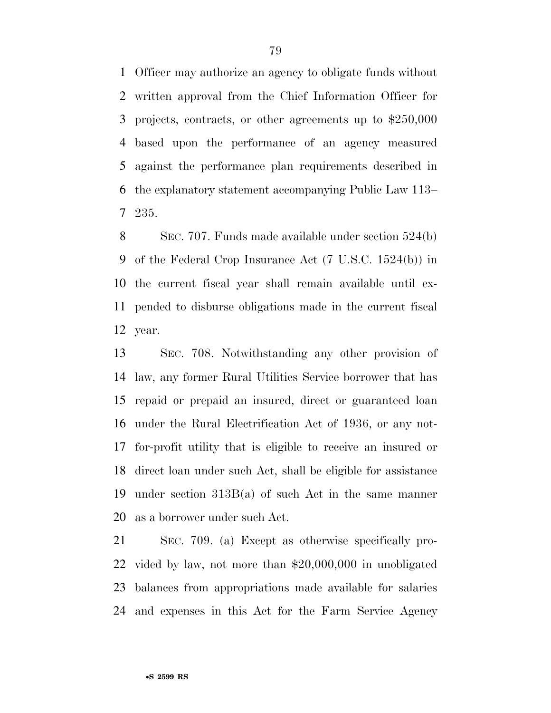Officer may authorize an agency to obligate funds without written approval from the Chief Information Officer for projects, contracts, or other agreements up to \$250,000 based upon the performance of an agency measured against the performance plan requirements described in the explanatory statement accompanying Public Law 113– 235.

 SEC. 707. Funds made available under section 524(b) of the Federal Crop Insurance Act (7 U.S.C. 1524(b)) in the current fiscal year shall remain available until ex- pended to disburse obligations made in the current fiscal year.

 SEC. 708. Notwithstanding any other provision of law, any former Rural Utilities Service borrower that has repaid or prepaid an insured, direct or guaranteed loan under the Rural Electrification Act of 1936, or any not- for-profit utility that is eligible to receive an insured or direct loan under such Act, shall be eligible for assistance under section 313B(a) of such Act in the same manner as a borrower under such Act.

 SEC. 709. (a) Except as otherwise specifically pro- vided by law, not more than \$20,000,000 in unobligated balances from appropriations made available for salaries and expenses in this Act for the Farm Service Agency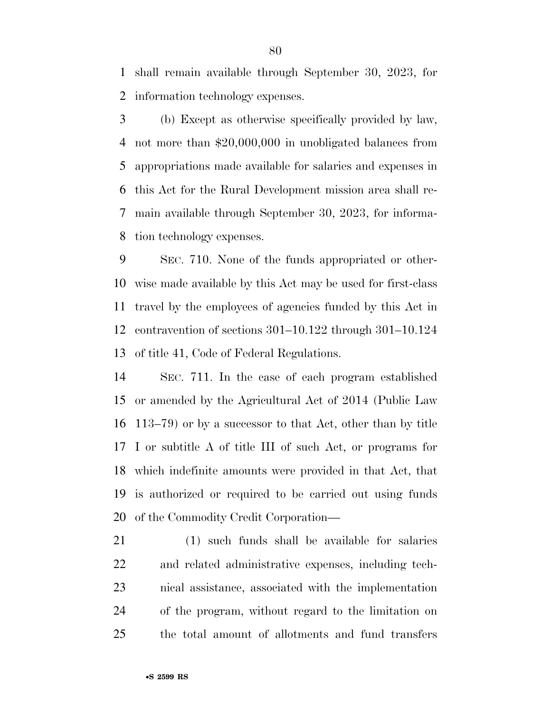shall remain available through September 30, 2023, for information technology expenses.

 (b) Except as otherwise specifically provided by law, not more than \$20,000,000 in unobligated balances from appropriations made available for salaries and expenses in this Act for the Rural Development mission area shall re- main available through September 30, 2023, for informa-tion technology expenses.

 SEC. 710. None of the funds appropriated or other- wise made available by this Act may be used for first-class travel by the employees of agencies funded by this Act in contravention of sections 301–10.122 through 301–10.124 of title 41, Code of Federal Regulations.

 SEC. 711. In the case of each program established or amended by the Agricultural Act of 2014 (Public Law 113–79) or by a successor to that Act, other than by title I or subtitle A of title III of such Act, or programs for which indefinite amounts were provided in that Act, that is authorized or required to be carried out using funds of the Commodity Credit Corporation—

 (1) such funds shall be available for salaries and related administrative expenses, including tech- nical assistance, associated with the implementation of the program, without regard to the limitation on the total amount of allotments and fund transfers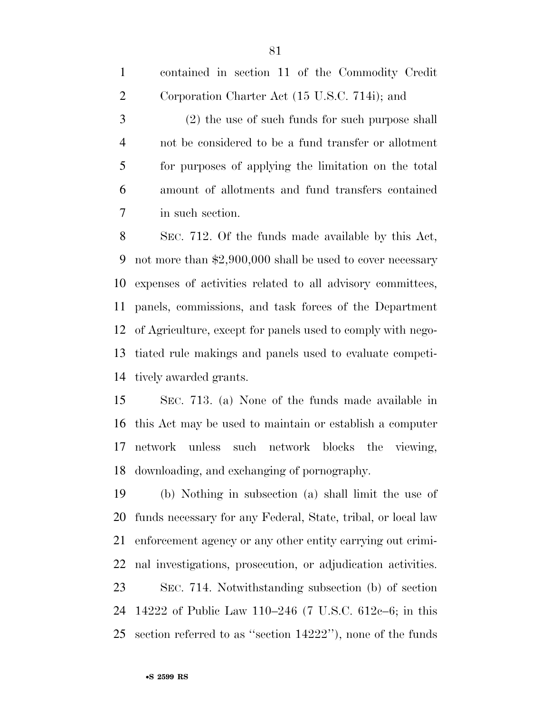|                | contained in section 11 of the Commodity Credit      |
|----------------|------------------------------------------------------|
| 2              | Corporation Charter Act (15 U.S.C. 714i); and        |
| 3              | (2) the use of such funds for such purpose shall     |
| $\overline{4}$ | not be considered to be a fund transfer or allotment |
| 5              | for purposes of applying the limitation on the total |
| 6              | amount of allotments and fund transfers contained    |
| 7              | in such section.                                     |

 SEC. 712. Of the funds made available by this Act, not more than \$2,900,000 shall be used to cover necessary expenses of activities related to all advisory committees, panels, commissions, and task forces of the Department of Agriculture, except for panels used to comply with nego- tiated rule makings and panels used to evaluate competi-tively awarded grants.

 SEC. 713. (a) None of the funds made available in this Act may be used to maintain or establish a computer network unless such network blocks the viewing, downloading, and exchanging of pornography.

 (b) Nothing in subsection (a) shall limit the use of funds necessary for any Federal, State, tribal, or local law enforcement agency or any other entity carrying out crimi- nal investigations, prosecution, or adjudication activities. SEC. 714. Notwithstanding subsection (b) of section

 14222 of Public Law 110–246 (7 U.S.C. 612c–6; in this section referred to as ''section 14222''), none of the funds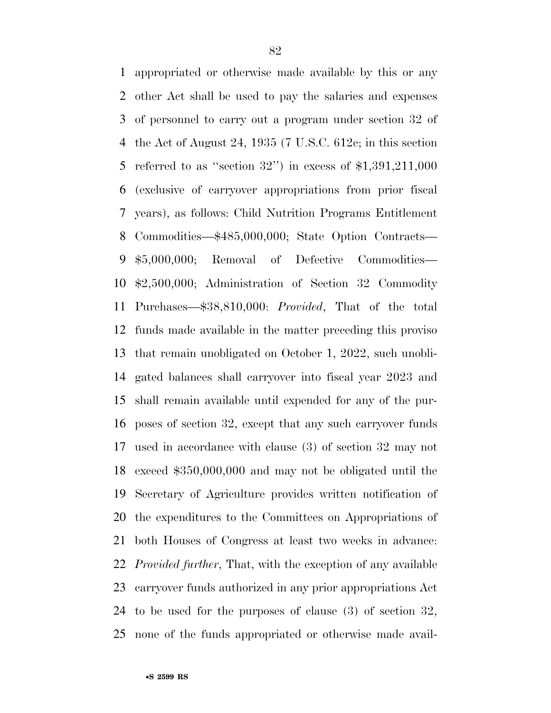appropriated or otherwise made available by this or any other Act shall be used to pay the salaries and expenses of personnel to carry out a program under section 32 of the Act of August 24, 1935 (7 U.S.C. 612c; in this section referred to as ''section 32'') in excess of \$1,391,211,000 (exclusive of carryover appropriations from prior fiscal years), as follows: Child Nutrition Programs Entitlement Commodities—\$485,000,000; State Option Contracts— \$5,000,000; Removal of Defective Commodities— \$2,500,000; Administration of Section 32 Commodity Purchases—\$38,810,000: *Provided*, That of the total funds made available in the matter preceding this proviso that remain unobligated on October 1, 2022, such unobli- gated balances shall carryover into fiscal year 2023 and shall remain available until expended for any of the pur- poses of section 32, except that any such carryover funds used in accordance with clause (3) of section 32 may not exceed \$350,000,000 and may not be obligated until the Secretary of Agriculture provides written notification of the expenditures to the Committees on Appropriations of both Houses of Congress at least two weeks in advance: *Provided further*, That, with the exception of any available carryover funds authorized in any prior appropriations Act to be used for the purposes of clause (3) of section 32, none of the funds appropriated or otherwise made avail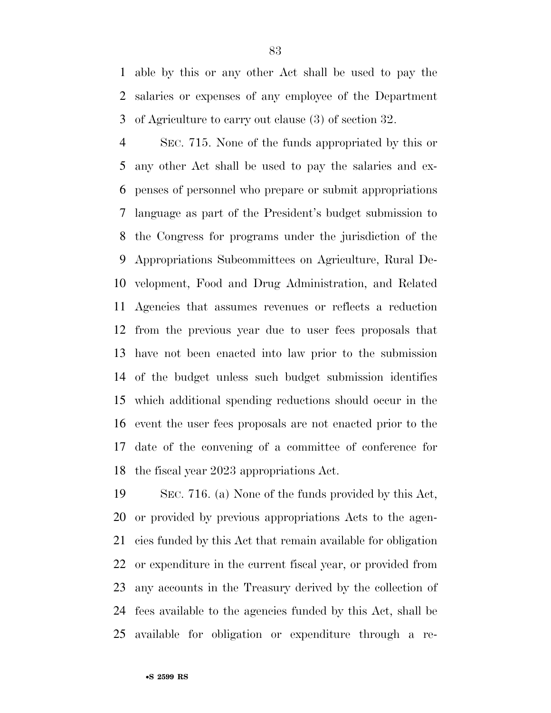able by this or any other Act shall be used to pay the salaries or expenses of any employee of the Department of Agriculture to carry out clause (3) of section 32.

 SEC. 715. None of the funds appropriated by this or any other Act shall be used to pay the salaries and ex- penses of personnel who prepare or submit appropriations language as part of the President's budget submission to the Congress for programs under the jurisdiction of the Appropriations Subcommittees on Agriculture, Rural De- velopment, Food and Drug Administration, and Related Agencies that assumes revenues or reflects a reduction from the previous year due to user fees proposals that have not been enacted into law prior to the submission of the budget unless such budget submission identifies which additional spending reductions should occur in the event the user fees proposals are not enacted prior to the date of the convening of a committee of conference for the fiscal year 2023 appropriations Act.

 SEC. 716. (a) None of the funds provided by this Act, or provided by previous appropriations Acts to the agen- cies funded by this Act that remain available for obligation or expenditure in the current fiscal year, or provided from any accounts in the Treasury derived by the collection of fees available to the agencies funded by this Act, shall be available for obligation or expenditure through a re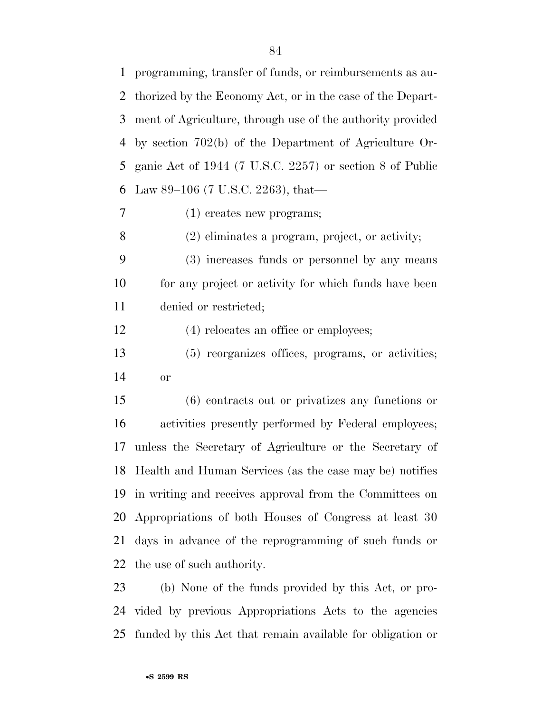programming, transfer of funds, or reimbursements as au- thorized by the Economy Act, or in the case of the Depart- ment of Agriculture, through use of the authority provided by section 702(b) of the Department of Agriculture Or- ganic Act of 1944 (7 U.S.C. 2257) or section 8 of Public Law 89–106 (7 U.S.C. 2263), that—

(1) creates new programs;

(2) eliminates a program, project, or activity;

 (3) increases funds or personnel by any means 10 for any project or activity for which funds have been denied or restricted;

12 (4) relocates an office or employees;

 (5) reorganizes offices, programs, or activities; or

 (6) contracts out or privatizes any functions or activities presently performed by Federal employees; unless the Secretary of Agriculture or the Secretary of Health and Human Services (as the case may be) notifies in writing and receives approval from the Committees on Appropriations of both Houses of Congress at least 30 days in advance of the reprogramming of such funds or the use of such authority.

 (b) None of the funds provided by this Act, or pro- vided by previous Appropriations Acts to the agencies funded by this Act that remain available for obligation or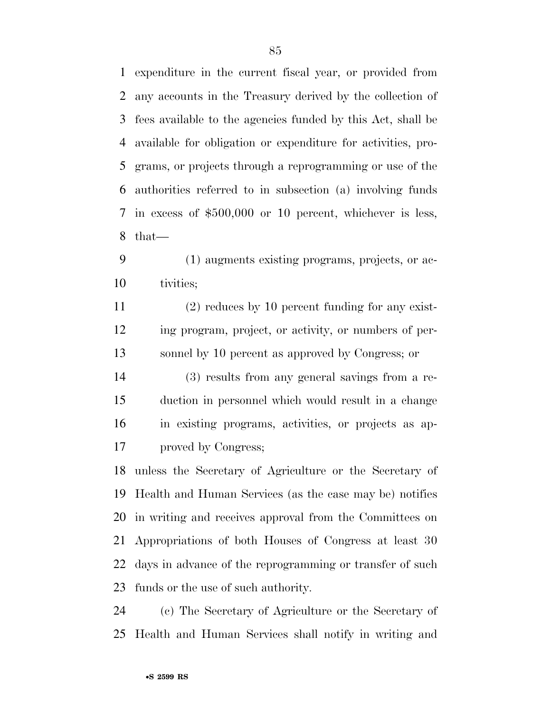expenditure in the current fiscal year, or provided from any accounts in the Treasury derived by the collection of fees available to the agencies funded by this Act, shall be available for obligation or expenditure for activities, pro- grams, or projects through a reprogramming or use of the authorities referred to in subsection (a) involving funds in excess of \$500,000 or 10 percent, whichever is less, that—

 (1) augments existing programs, projects, or ac-tivities;

 (2) reduces by 10 percent funding for any exist- ing program, project, or activity, or numbers of per-sonnel by 10 percent as approved by Congress; or

 (3) results from any general savings from a re- duction in personnel which would result in a change in existing programs, activities, or projects as ap-proved by Congress;

 unless the Secretary of Agriculture or the Secretary of Health and Human Services (as the case may be) notifies in writing and receives approval from the Committees on Appropriations of both Houses of Congress at least 30 days in advance of the reprogramming or transfer of such funds or the use of such authority.

 (c) The Secretary of Agriculture or the Secretary of Health and Human Services shall notify in writing and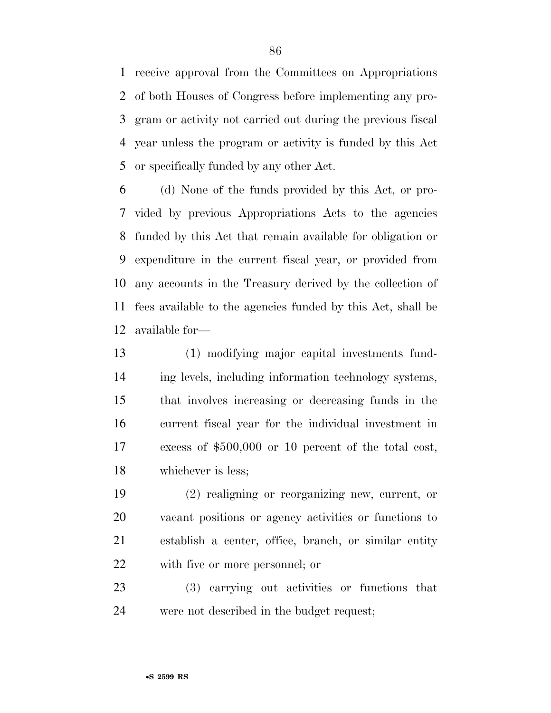receive approval from the Committees on Appropriations of both Houses of Congress before implementing any pro- gram or activity not carried out during the previous fiscal year unless the program or activity is funded by this Act or specifically funded by any other Act.

 (d) None of the funds provided by this Act, or pro- vided by previous Appropriations Acts to the agencies funded by this Act that remain available for obligation or expenditure in the current fiscal year, or provided from any accounts in the Treasury derived by the collection of fees available to the agencies funded by this Act, shall be available for—

 (1) modifying major capital investments fund- ing levels, including information technology systems, that involves increasing or decreasing funds in the current fiscal year for the individual investment in excess of \$500,000 or 10 percent of the total cost, whichever is less;

 (2) realigning or reorganizing new, current, or vacant positions or agency activities or functions to establish a center, office, branch, or similar entity with five or more personnel; or

 (3) carrying out activities or functions that were not described in the budget request;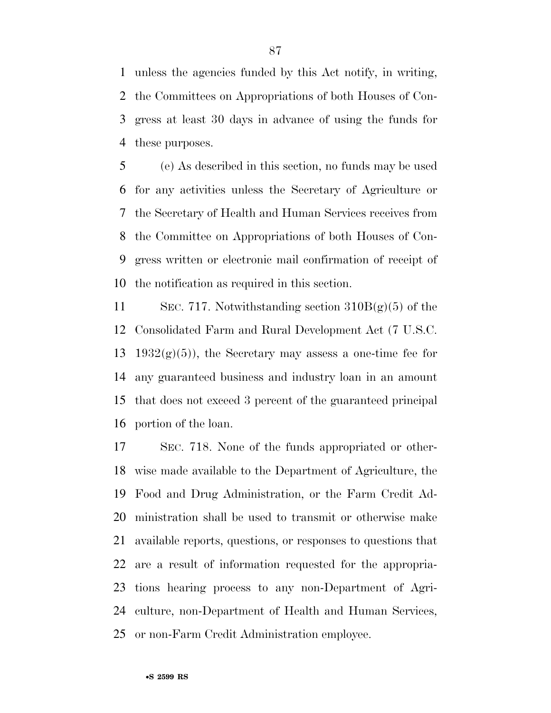unless the agencies funded by this Act notify, in writing, the Committees on Appropriations of both Houses of Con- gress at least 30 days in advance of using the funds for these purposes.

 (e) As described in this section, no funds may be used for any activities unless the Secretary of Agriculture or the Secretary of Health and Human Services receives from the Committee on Appropriations of both Houses of Con- gress written or electronic mail confirmation of receipt of the notification as required in this section.

 SEC. 717. Notwithstanding section 310B(g)(5) of the Consolidated Farm and Rural Development Act (7 U.S.C. 13 1932 $(g)(5)$ , the Secretary may assess a one-time fee for any guaranteed business and industry loan in an amount that does not exceed 3 percent of the guaranteed principal portion of the loan.

 SEC. 718. None of the funds appropriated or other- wise made available to the Department of Agriculture, the Food and Drug Administration, or the Farm Credit Ad- ministration shall be used to transmit or otherwise make available reports, questions, or responses to questions that are a result of information requested for the appropria- tions hearing process to any non-Department of Agri- culture, non-Department of Health and Human Services, or non-Farm Credit Administration employee.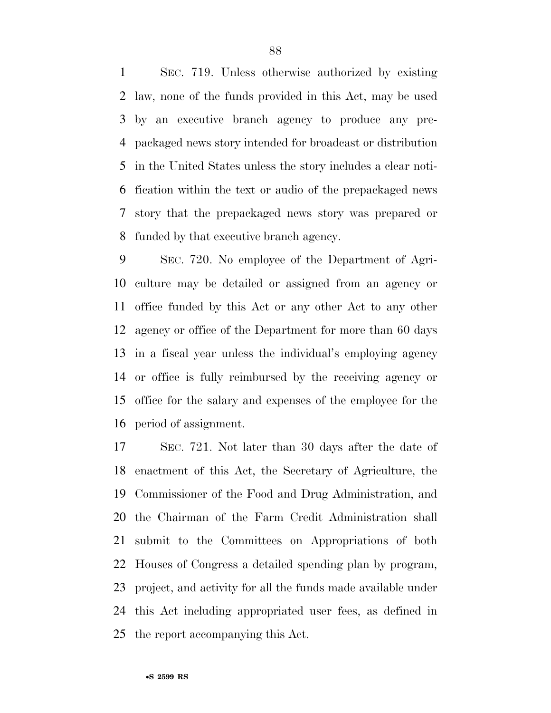SEC. 719. Unless otherwise authorized by existing law, none of the funds provided in this Act, may be used by an executive branch agency to produce any pre- packaged news story intended for broadcast or distribution in the United States unless the story includes a clear noti- fication within the text or audio of the prepackaged news story that the prepackaged news story was prepared or funded by that executive branch agency.

 SEC. 720. No employee of the Department of Agri- culture may be detailed or assigned from an agency or office funded by this Act or any other Act to any other agency or office of the Department for more than 60 days in a fiscal year unless the individual's employing agency or office is fully reimbursed by the receiving agency or office for the salary and expenses of the employee for the period of assignment.

 SEC. 721. Not later than 30 days after the date of enactment of this Act, the Secretary of Agriculture, the Commissioner of the Food and Drug Administration, and the Chairman of the Farm Credit Administration shall submit to the Committees on Appropriations of both Houses of Congress a detailed spending plan by program, project, and activity for all the funds made available under this Act including appropriated user fees, as defined in the report accompanying this Act.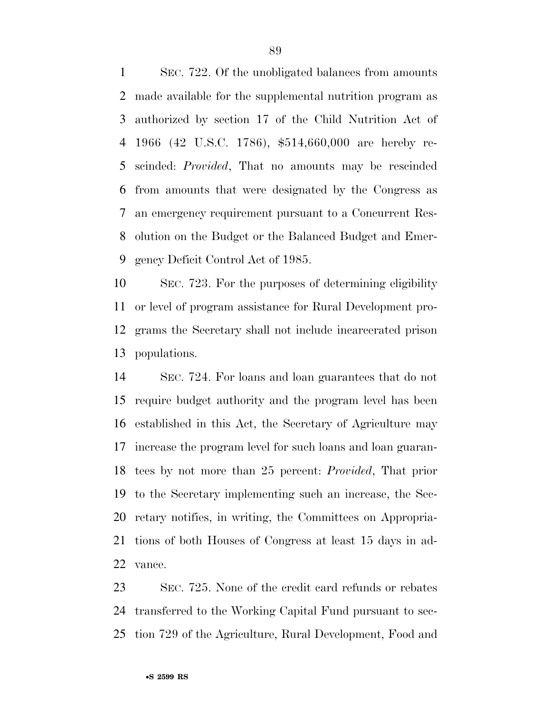SEC. 722. Of the unobligated balances from amounts made available for the supplemental nutrition program as authorized by section 17 of the Child Nutrition Act of 1966 (42 U.S.C. 1786), \$514,660,000 are hereby re- scinded: *Provided*, That no amounts may be rescinded from amounts that were designated by the Congress as an emergency requirement pursuant to a Concurrent Res- olution on the Budget or the Balanced Budget and Emer-gency Deficit Control Act of 1985.

 SEC. 723. For the purposes of determining eligibility or level of program assistance for Rural Development pro- grams the Secretary shall not include incarcerated prison populations.

 SEC. 724. For loans and loan guarantees that do not require budget authority and the program level has been established in this Act, the Secretary of Agriculture may increase the program level for such loans and loan guaran- tees by not more than 25 percent: *Provided*, That prior to the Secretary implementing such an increase, the Sec- retary notifies, in writing, the Committees on Appropria- tions of both Houses of Congress at least 15 days in ad-vance.

 SEC. 725. None of the credit card refunds or rebates transferred to the Working Capital Fund pursuant to sec-tion 729 of the Agriculture, Rural Development, Food and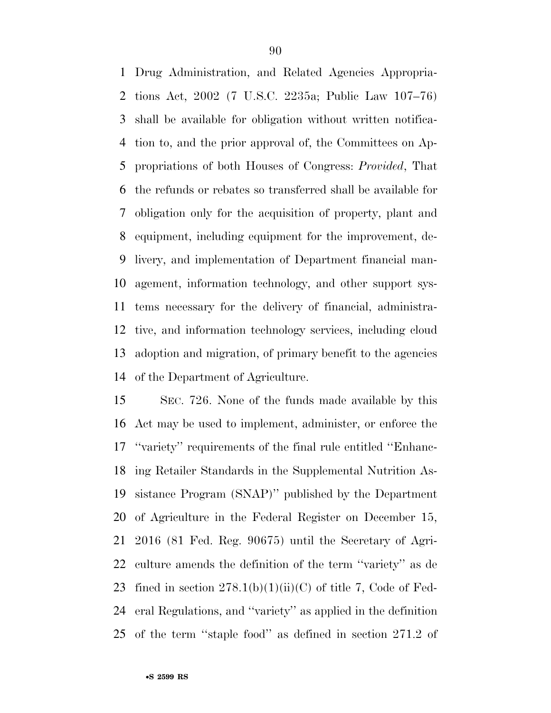Drug Administration, and Related Agencies Appropria- tions Act, 2002 (7 U.S.C. 2235a; Public Law 107–76) shall be available for obligation without written notifica- tion to, and the prior approval of, the Committees on Ap- propriations of both Houses of Congress: *Provided*, That the refunds or rebates so transferred shall be available for obligation only for the acquisition of property, plant and equipment, including equipment for the improvement, de- livery, and implementation of Department financial man- agement, information technology, and other support sys- tems necessary for the delivery of financial, administra- tive, and information technology services, including cloud adoption and migration, of primary benefit to the agencies of the Department of Agriculture.

 SEC. 726. None of the funds made available by this Act may be used to implement, administer, or enforce the ''variety'' requirements of the final rule entitled ''Enhanc- ing Retailer Standards in the Supplemental Nutrition As- sistance Program (SNAP)'' published by the Department of Agriculture in the Federal Register on December 15, 2016 (81 Fed. Reg. 90675) until the Secretary of Agri- culture amends the definition of the term ''variety'' as de 23 fined in section  $278.1(b)(1)(ii)(C)$  of title 7, Code of Fed- eral Regulations, and ''variety'' as applied in the definition of the term ''staple food'' as defined in section 271.2 of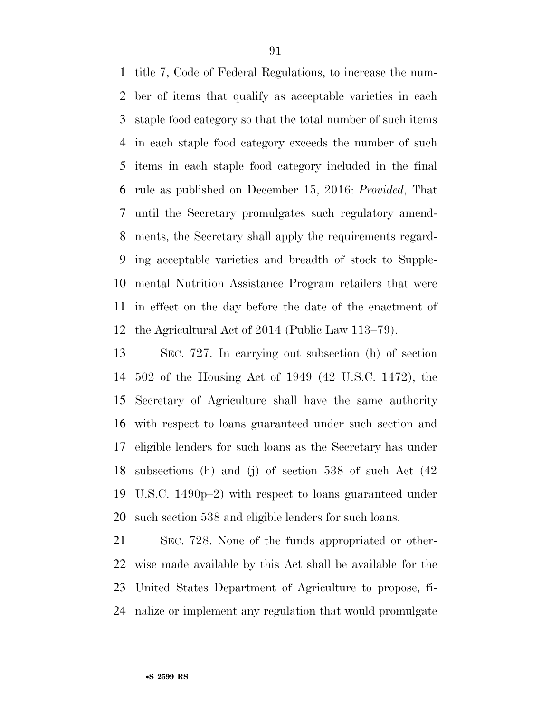title 7, Code of Federal Regulations, to increase the num- ber of items that qualify as acceptable varieties in each staple food category so that the total number of such items in each staple food category exceeds the number of such items in each staple food category included in the final rule as published on December 15, 2016: *Provided*, That until the Secretary promulgates such regulatory amend- ments, the Secretary shall apply the requirements regard- ing acceptable varieties and breadth of stock to Supple- mental Nutrition Assistance Program retailers that were in effect on the day before the date of the enactment of the Agricultural Act of 2014 (Public Law 113–79).

 SEC. 727. In carrying out subsection (h) of section 502 of the Housing Act of 1949 (42 U.S.C. 1472), the Secretary of Agriculture shall have the same authority with respect to loans guaranteed under such section and eligible lenders for such loans as the Secretary has under subsections (h) and (j) of section 538 of such Act (42 U.S.C. 1490p–2) with respect to loans guaranteed under such section 538 and eligible lenders for such loans.

 SEC. 728. None of the funds appropriated or other- wise made available by this Act shall be available for the United States Department of Agriculture to propose, fi-nalize or implement any regulation that would promulgate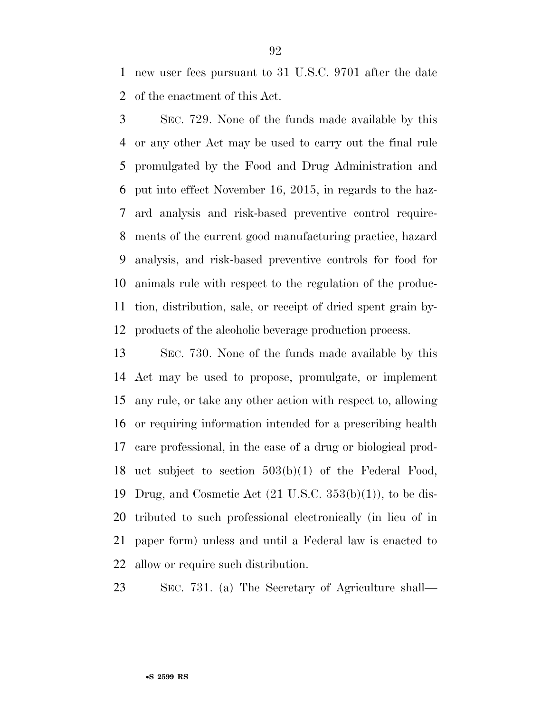new user fees pursuant to 31 U.S.C. 9701 after the date of the enactment of this Act.

 SEC. 729. None of the funds made available by this or any other Act may be used to carry out the final rule promulgated by the Food and Drug Administration and put into effect November 16, 2015, in regards to the haz- ard analysis and risk-based preventive control require- ments of the current good manufacturing practice, hazard analysis, and risk-based preventive controls for food for animals rule with respect to the regulation of the produc- tion, distribution, sale, or receipt of dried spent grain by-products of the alcoholic beverage production process.

 SEC. 730. None of the funds made available by this Act may be used to propose, promulgate, or implement any rule, or take any other action with respect to, allowing or requiring information intended for a prescribing health care professional, in the case of a drug or biological prod- uct subject to section 503(b)(1) of the Federal Food, 19 Drug, and Cosmetic Act  $(21 \text{ U.S.C. } 353(b)(1))$ , to be dis- tributed to such professional electronically (in lieu of in paper form) unless and until a Federal law is enacted to allow or require such distribution.

SEC. 731. (a) The Secretary of Agriculture shall—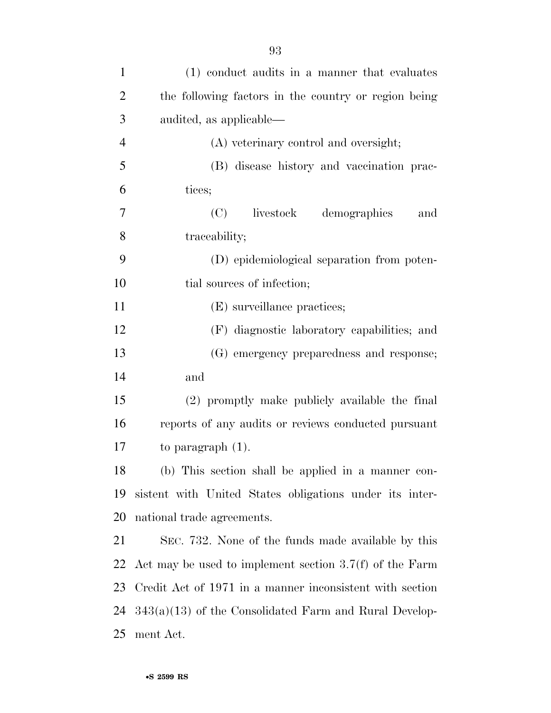| $\mathbf{1}$   | (1) conduct audits in a manner that evaluates             |
|----------------|-----------------------------------------------------------|
| $\overline{2}$ | the following factors in the country or region being      |
| 3              | audited, as applicable—                                   |
| $\overline{4}$ | (A) veterinary control and oversight;                     |
| 5              | (B) disease history and vaccination prac-                 |
| 6              | tices;                                                    |
| 7              | livestock<br>(C)<br>demographics<br>and                   |
| 8              | traceability;                                             |
| 9              | (D) epidemiological separation from poten-                |
| 10             | tial sources of infection;                                |
| 11             | (E) surveillance practices;                               |
| 12             | (F) diagnostic laboratory capabilities; and               |
| 13             | (G) emergency preparedness and response;                  |
| 14             | and                                                       |
| 15             | (2) promptly make publicly available the final            |
| 16             | reports of any audits or reviews conducted pursuant       |
| 17             | to paragraph $(1)$ .                                      |
| 18             | (b) This section shall be applied in a manner con-        |
| 19             | sistent with United States obligations under its inter-   |
| 20             | national trade agreements.                                |
| 21             | SEC. 732. None of the funds made available by this        |
| 22             | Act may be used to implement section $3.7(f)$ of the Farm |
| 23             | Credit Act of 1971 in a manner inconsistent with section  |
| 24             | $343(a)(13)$ of the Consolidated Farm and Rural Develop-  |
| 25             | ment Act.                                                 |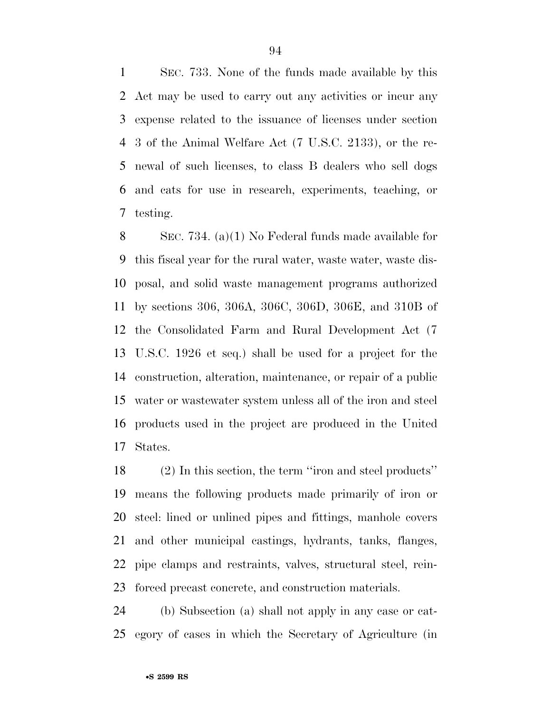SEC. 733. None of the funds made available by this Act may be used to carry out any activities or incur any expense related to the issuance of licenses under section 3 of the Animal Welfare Act (7 U.S.C. 2133), or the re- newal of such licenses, to class B dealers who sell dogs and cats for use in research, experiments, teaching, or testing.

 SEC. 734. (a)(1) No Federal funds made available for this fiscal year for the rural water, waste water, waste dis- posal, and solid waste management programs authorized by sections 306, 306A, 306C, 306D, 306E, and 310B of the Consolidated Farm and Rural Development Act (7 U.S.C. 1926 et seq.) shall be used for a project for the construction, alteration, maintenance, or repair of a public water or wastewater system unless all of the iron and steel products used in the project are produced in the United States.

 (2) In this section, the term ''iron and steel products'' means the following products made primarily of iron or steel: lined or unlined pipes and fittings, manhole covers and other municipal castings, hydrants, tanks, flanges, pipe clamps and restraints, valves, structural steel, rein-forced precast concrete, and construction materials.

 (b) Subsection (a) shall not apply in any case or cat-egory of cases in which the Secretary of Agriculture (in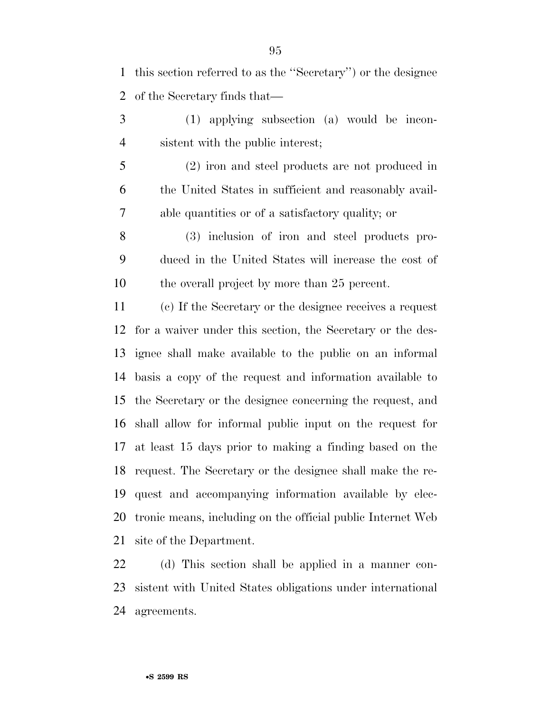this section referred to as the ''Secretary'') or the designee of the Secretary finds that—

- (1) applying subsection (a) would be incon-sistent with the public interest;
- (2) iron and steel products are not produced in the United States in sufficient and reasonably avail-able quantities or of a satisfactory quality; or
- (3) inclusion of iron and steel products pro- duced in the United States will increase the cost of the overall project by more than 25 percent.
- (c) If the Secretary or the designee receives a request for a waiver under this section, the Secretary or the des- ignee shall make available to the public on an informal basis a copy of the request and information available to the Secretary or the designee concerning the request, and shall allow for informal public input on the request for at least 15 days prior to making a finding based on the request. The Secretary or the designee shall make the re- quest and accompanying information available by elec- tronic means, including on the official public Internet Web site of the Department.

 (d) This section shall be applied in a manner con- sistent with United States obligations under international agreements.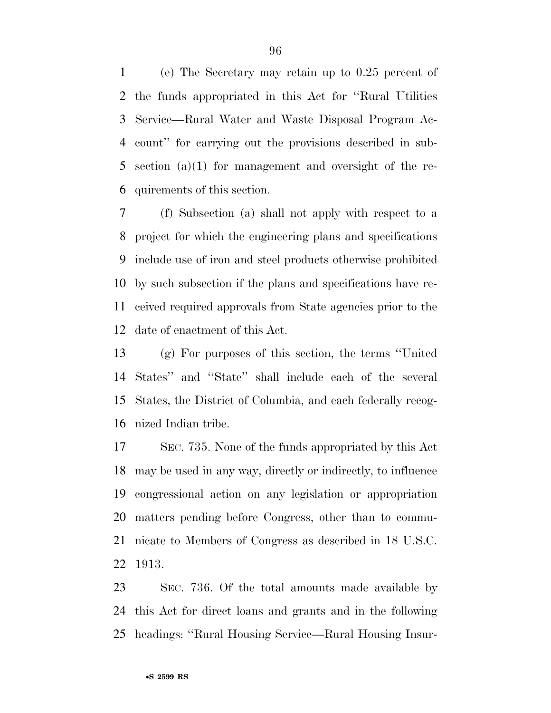(e) The Secretary may retain up to 0.25 percent of the funds appropriated in this Act for ''Rural Utilities Service—Rural Water and Waste Disposal Program Ac- count'' for carrying out the provisions described in sub- section (a)(1) for management and oversight of the re-quirements of this section.

 (f) Subsection (a) shall not apply with respect to a project for which the engineering plans and specifications include use of iron and steel products otherwise prohibited by such subsection if the plans and specifications have re- ceived required approvals from State agencies prior to the date of enactment of this Act.

 (g) For purposes of this section, the terms ''United States'' and ''State'' shall include each of the several States, the District of Columbia, and each federally recog-nized Indian tribe.

 SEC. 735. None of the funds appropriated by this Act may be used in any way, directly or indirectly, to influence congressional action on any legislation or appropriation matters pending before Congress, other than to commu- nicate to Members of Congress as described in 18 U.S.C. 1913.

 SEC. 736. Of the total amounts made available by this Act for direct loans and grants and in the following headings: ''Rural Housing Service—Rural Housing Insur-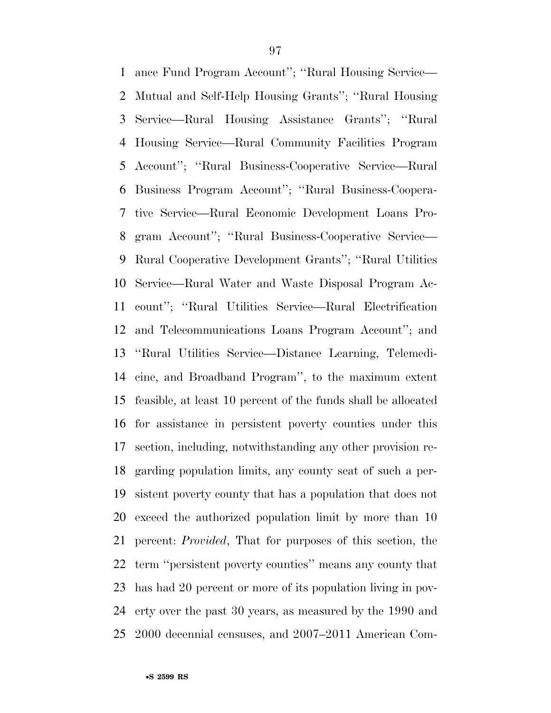ance Fund Program Account''; ''Rural Housing Service— Mutual and Self-Help Housing Grants''; ''Rural Housing Service—Rural Housing Assistance Grants''; ''Rural Housing Service—Rural Community Facilities Program Account''; ''Rural Business-Cooperative Service—Rural Business Program Account''; ''Rural Business-Coopera- tive Service—Rural Economic Development Loans Pro- gram Account''; ''Rural Business-Cooperative Service— Rural Cooperative Development Grants''; ''Rural Utilities Service—Rural Water and Waste Disposal Program Ac- count''; ''Rural Utilities Service—Rural Electrification and Telecommunications Loans Program Account''; and ''Rural Utilities Service—Distance Learning, Telemedi- cine, and Broadband Program'', to the maximum extent feasible, at least 10 percent of the funds shall be allocated for assistance in persistent poverty counties under this section, including, notwithstanding any other provision re- garding population limits, any county seat of such a per- sistent poverty county that has a population that does not exceed the authorized population limit by more than 10 percent: *Provided*, That for purposes of this section, the term ''persistent poverty counties'' means any county that has had 20 percent or more of its population living in pov- erty over the past 30 years, as measured by the 1990 and 2000 decennial censuses, and 2007–2011 American Com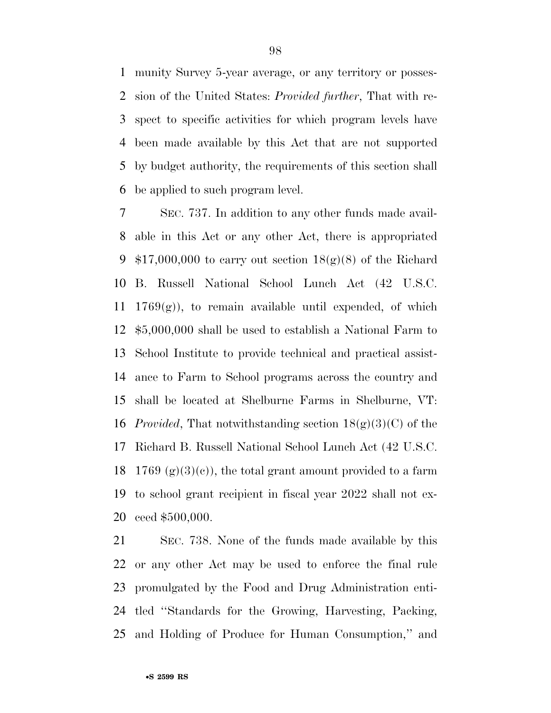munity Survey 5-year average, or any territory or posses- sion of the United States: *Provided further*, That with re- spect to specific activities for which program levels have been made available by this Act that are not supported by budget authority, the requirements of this section shall be applied to such program level.

 SEC. 737. In addition to any other funds made avail- able in this Act or any other Act, there is appropriated  $$17,000,000$  to carry out section  $18(g)(8)$  of the Richard B. Russell National School Lunch Act (42 U.S.C.  $1769(g)$ , to remain available until expended, of which \$5,000,000 shall be used to establish a National Farm to School Institute to provide technical and practical assist- ance to Farm to School programs across the country and shall be located at Shelburne Farms in Shelburne, VT: *Provided*, That notwithstanding section 18(g)(3)(C) of the Richard B. Russell National School Lunch Act (42 U.S.C. 18 1769 (g)(3)(e)), the total grant amount provided to a farm to school grant recipient in fiscal year 2022 shall not ex-ceed \$500,000.

 SEC. 738. None of the funds made available by this or any other Act may be used to enforce the final rule promulgated by the Food and Drug Administration enti- tled ''Standards for the Growing, Harvesting, Packing, and Holding of Produce for Human Consumption,'' and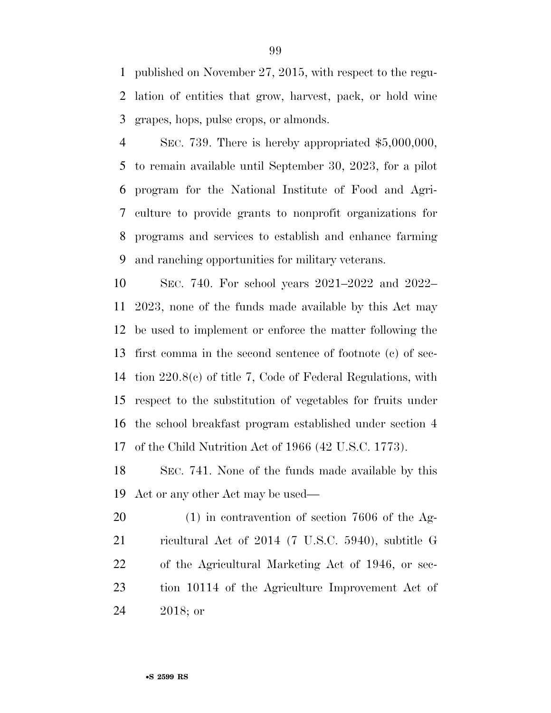published on November 27, 2015, with respect to the regu- lation of entities that grow, harvest, pack, or hold wine grapes, hops, pulse crops, or almonds.

 SEC. 739. There is hereby appropriated \$5,000,000, to remain available until September 30, 2023, for a pilot program for the National Institute of Food and Agri- culture to provide grants to nonprofit organizations for programs and services to establish and enhance farming and ranching opportunities for military veterans.

 SEC. 740. For school years 2021–2022 and 2022– 2023, none of the funds made available by this Act may be used to implement or enforce the matter following the first comma in the second sentence of footnote (c) of sec- tion 220.8(c) of title 7, Code of Federal Regulations, with respect to the substitution of vegetables for fruits under the school breakfast program established under section 4 of the Child Nutrition Act of 1966 (42 U.S.C. 1773).

 SEC. 741. None of the funds made available by this Act or any other Act may be used—

 (1) in contravention of section 7606 of the Ag- ricultural Act of 2014 (7 U.S.C. 5940), subtitle G of the Agricultural Marketing Act of 1946, or sec- tion 10114 of the Agriculture Improvement Act of 2018; or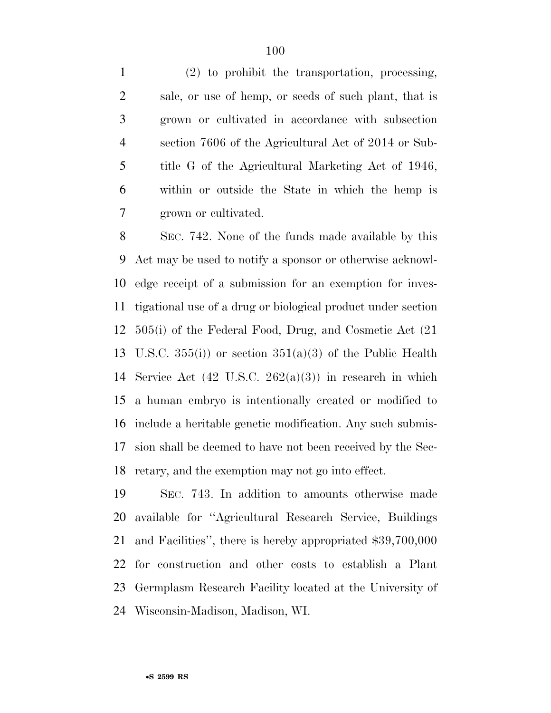(2) to prohibit the transportation, processing, sale, or use of hemp, or seeds of such plant, that is grown or cultivated in accordance with subsection section 7606 of the Agricultural Act of 2014 or Sub- title G of the Agricultural Marketing Act of 1946, within or outside the State in which the hemp is grown or cultivated.

 SEC. 742. None of the funds made available by this Act may be used to notify a sponsor or otherwise acknowl- edge receipt of a submission for an exemption for inves- tigational use of a drug or biological product under section 505(i) of the Federal Food, Drug, and Cosmetic Act (21 13 U.S.C.  $355(i)$  or section  $351(a)(3)$  of the Public Health 14 Service Act  $(42 \text{ U.S.C. } 262(a)(3))$  in research in which a human embryo is intentionally created or modified to include a heritable genetic modification. Any such submis- sion shall be deemed to have not been received by the Sec-retary, and the exemption may not go into effect.

 SEC. 743. In addition to amounts otherwise made available for ''Agricultural Research Service, Buildings and Facilities'', there is hereby appropriated \$39,700,000 for construction and other costs to establish a Plant Germplasm Research Facility located at the University of Wisconsin-Madison, Madison, WI.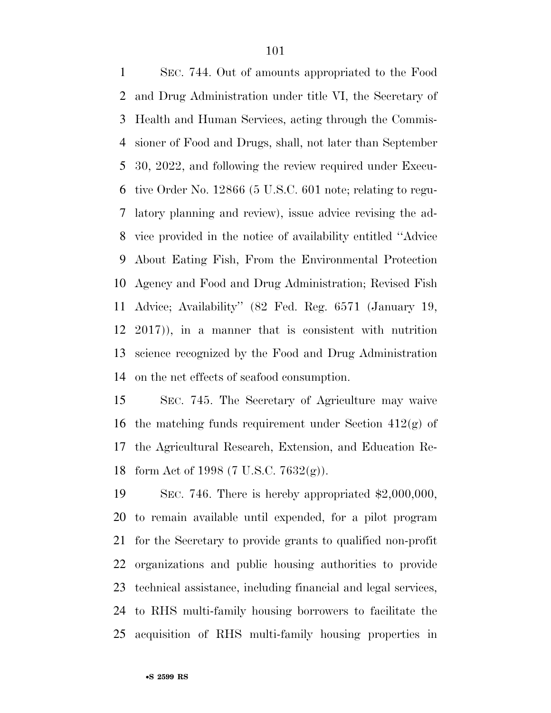SEC. 744. Out of amounts appropriated to the Food and Drug Administration under title VI, the Secretary of Health and Human Services, acting through the Commis- sioner of Food and Drugs, shall, not later than September 30, 2022, and following the review required under Execu- tive Order No. 12866 (5 U.S.C. 601 note; relating to regu- latory planning and review), issue advice revising the ad- vice provided in the notice of availability entitled ''Advice About Eating Fish, From the Environmental Protection Agency and Food and Drug Administration; Revised Fish Advice; Availability'' (82 Fed. Reg. 6571 (January 19, 2017)), in a manner that is consistent with nutrition science recognized by the Food and Drug Administration on the net effects of seafood consumption.

 SEC. 745. The Secretary of Agriculture may waive 16 the matching funds requirement under Section  $412(g)$  of the Agricultural Research, Extension, and Education Re-form Act of 1998 (7 U.S.C. 7632(g)).

 SEC. 746. There is hereby appropriated \$2,000,000, to remain available until expended, for a pilot program for the Secretary to provide grants to qualified non-profit organizations and public housing authorities to provide technical assistance, including financial and legal services, to RHS multi-family housing borrowers to facilitate the acquisition of RHS multi-family housing properties in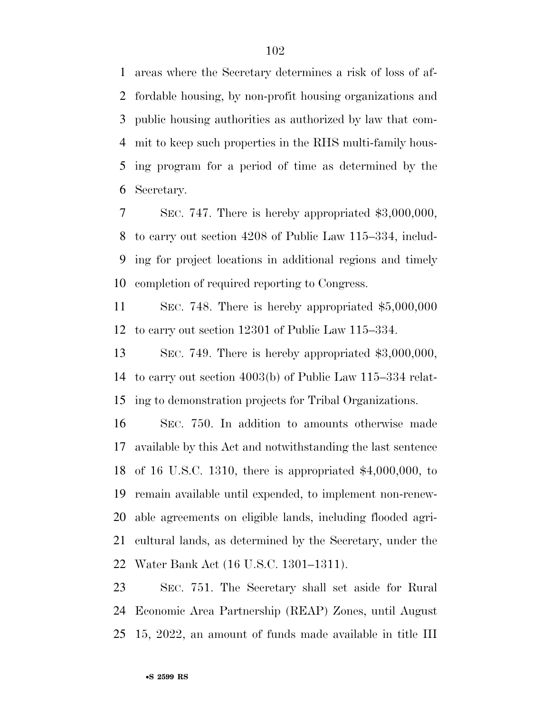areas where the Secretary determines a risk of loss of af- fordable housing, by non-profit housing organizations and public housing authorities as authorized by law that com- mit to keep such properties in the RHS multi-family hous- ing program for a period of time as determined by the Secretary.

 SEC. 747. There is hereby appropriated \$3,000,000, to carry out section 4208 of Public Law 115–334, includ- ing for project locations in additional regions and timely completion of required reporting to Congress.

 SEC. 748. There is hereby appropriated \$5,000,000 to carry out section 12301 of Public Law 115–334.

 SEC. 749. There is hereby appropriated \$3,000,000, to carry out section 4003(b) of Public Law 115–334 relat-ing to demonstration projects for Tribal Organizations.

 SEC. 750. In addition to amounts otherwise made available by this Act and notwithstanding the last sentence of 16 U.S.C. 1310, there is appropriated \$4,000,000, to remain available until expended, to implement non-renew- able agreements on eligible lands, including flooded agri- cultural lands, as determined by the Secretary, under the Water Bank Act (16 U.S.C. 1301–1311).

 SEC. 751. The Secretary shall set aside for Rural Economic Area Partnership (REAP) Zones, until August 15, 2022, an amount of funds made available in title III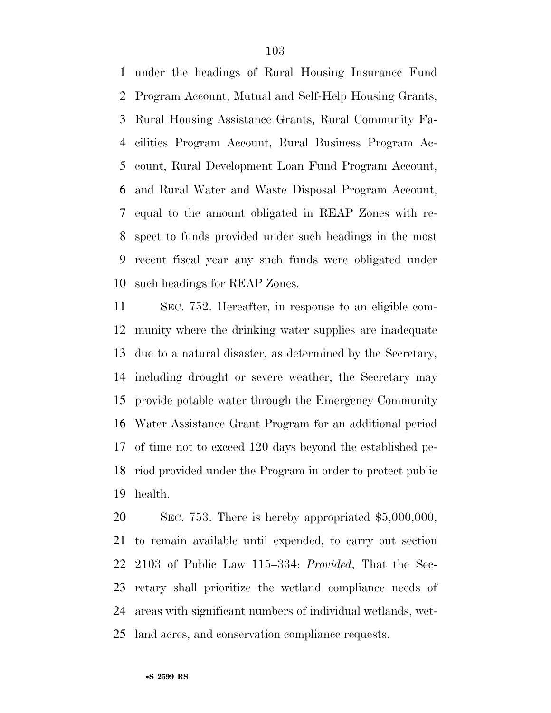under the headings of Rural Housing Insurance Fund Program Account, Mutual and Self-Help Housing Grants, Rural Housing Assistance Grants, Rural Community Fa- cilities Program Account, Rural Business Program Ac- count, Rural Development Loan Fund Program Account, and Rural Water and Waste Disposal Program Account, equal to the amount obligated in REAP Zones with re- spect to funds provided under such headings in the most recent fiscal year any such funds were obligated under such headings for REAP Zones.

 SEC. 752. Hereafter, in response to an eligible com- munity where the drinking water supplies are inadequate due to a natural disaster, as determined by the Secretary, including drought or severe weather, the Secretary may provide potable water through the Emergency Community Water Assistance Grant Program for an additional period of time not to exceed 120 days beyond the established pe- riod provided under the Program in order to protect public health.

 SEC. 753. There is hereby appropriated \$5,000,000, to remain available until expended, to carry out section 2103 of Public Law 115–334: *Provided*, That the Sec- retary shall prioritize the wetland compliance needs of areas with significant numbers of individual wetlands, wet-land acres, and conservation compliance requests.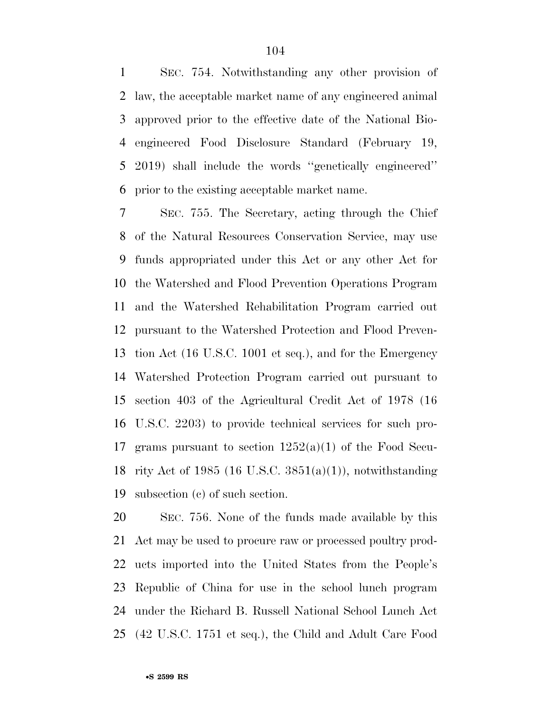SEC. 754. Notwithstanding any other provision of law, the acceptable market name of any engineered animal approved prior to the effective date of the National Bio- engineered Food Disclosure Standard (February 19, 2019) shall include the words ''genetically engineered'' prior to the existing acceptable market name.

 SEC. 755. The Secretary, acting through the Chief of the Natural Resources Conservation Service, may use funds appropriated under this Act or any other Act for the Watershed and Flood Prevention Operations Program and the Watershed Rehabilitation Program carried out pursuant to the Watershed Protection and Flood Preven- tion Act (16 U.S.C. 1001 et seq.), and for the Emergency Watershed Protection Program carried out pursuant to section 403 of the Agricultural Credit Act of 1978 (16 U.S.C. 2203) to provide technical services for such pro-17 grams pursuant to section  $1252(a)(1)$  of the Food Secu- rity Act of 1985 (16 U.S.C. 3851(a)(1)), notwithstanding subsection (c) of such section.

 SEC. 756. None of the funds made available by this Act may be used to procure raw or processed poultry prod- ucts imported into the United States from the People's Republic of China for use in the school lunch program under the Richard B. Russell National School Lunch Act (42 U.S.C. 1751 et seq.), the Child and Adult Care Food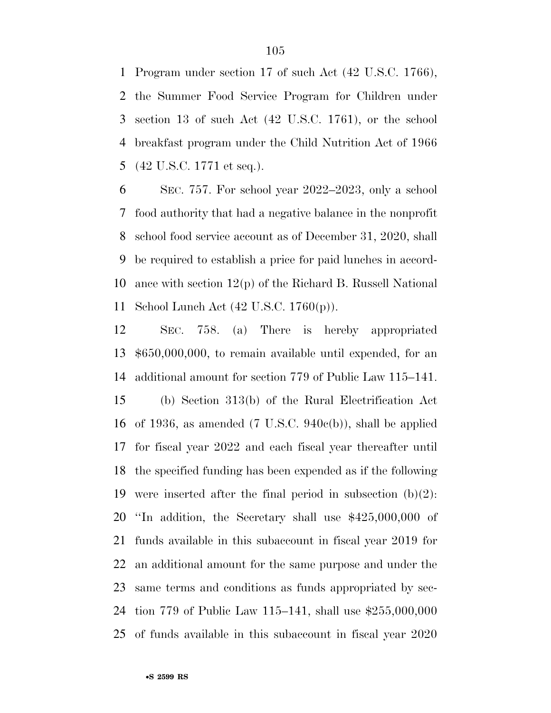Program under section 17 of such Act (42 U.S.C. 1766), the Summer Food Service Program for Children under section 13 of such Act (42 U.S.C. 1761), or the school breakfast program under the Child Nutrition Act of 1966 (42 U.S.C. 1771 et seq.).

 SEC. 757. For school year 2022–2023, only a school food authority that had a negative balance in the nonprofit school food service account as of December 31, 2020, shall be required to establish a price for paid lunches in accord- ance with section 12(p) of the Richard B. Russell National School Lunch Act (42 U.S.C. 1760(p)).

 SEC. 758. (a) There is hereby appropriated \$650,000,000, to remain available until expended, for an additional amount for section 779 of Public Law 115–141. (b) Section 313(b) of the Rural Electrification Act of 1936, as amended (7 U.S.C. 940c(b)), shall be applied for fiscal year 2022 and each fiscal year thereafter until the specified funding has been expended as if the following 19 were inserted after the final period in subsection  $(b)(2)$ : ''In addition, the Secretary shall use \$425,000,000 of funds available in this subaccount in fiscal year 2019 for an additional amount for the same purpose and under the same terms and conditions as funds appropriated by sec- tion 779 of Public Law 115–141, shall use \$255,000,000 of funds available in this subaccount in fiscal year 2020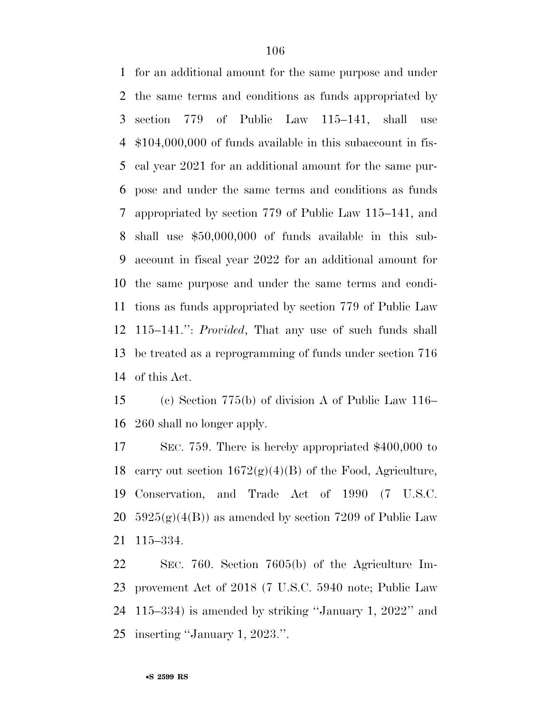for an additional amount for the same purpose and under the same terms and conditions as funds appropriated by section 779 of Public Law 115–141, shall use \$104,000,000 of funds available in this subaccount in fis- cal year 2021 for an additional amount for the same pur- pose and under the same terms and conditions as funds appropriated by section 779 of Public Law 115–141, and shall use \$50,000,000 of funds available in this sub- account in fiscal year 2022 for an additional amount for the same purpose and under the same terms and condi- tions as funds appropriated by section 779 of Public Law 115–141.'': *Provided*, That any use of such funds shall be treated as a reprogramming of funds under section 716 of this Act.

 (c) Section 775(b) of division A of Public Law 116– 260 shall no longer apply.

 SEC. 759. There is hereby appropriated \$400,000 to 18 carry out section  $1672(g)(4)(B)$  of the Food, Agriculture, Conservation, and Trade Act of 1990 (7 U.S.C.  $5925(g)(4(B))$  as amended by section 7209 of Public Law 115–334.

 SEC. 760. Section 7605(b) of the Agriculture Im- provement Act of 2018 (7 U.S.C. 5940 note; Public Law 115–334) is amended by striking ''January 1, 2022'' and inserting ''January 1, 2023.''.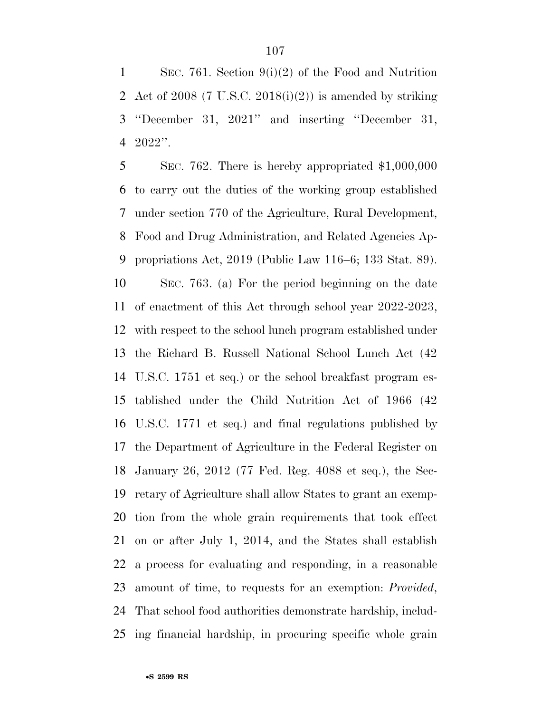SEC. 761. Section 9(i)(2) of the Food and Nutrition 2 Act of 2008 (7 U.S.C. 2018(i)(2)) is amended by striking ''December 31, 2021'' and inserting ''December 31, 2022''.

 SEC. 762. There is hereby appropriated \$1,000,000 to carry out the duties of the working group established under section 770 of the Agriculture, Rural Development, Food and Drug Administration, and Related Agencies Ap- propriations Act, 2019 (Public Law 116–6; 133 Stat. 89). SEC. 763. (a) For the period beginning on the date of enactment of this Act through school year 2022-2023, with respect to the school lunch program established under the Richard B. Russell National School Lunch Act (42 U.S.C. 1751 et seq.) or the school breakfast program es- tablished under the Child Nutrition Act of 1966 (42 U.S.C. 1771 et seq.) and final regulations published by the Department of Agriculture in the Federal Register on January 26, 2012 (77 Fed. Reg. 4088 et seq.), the Sec- retary of Agriculture shall allow States to grant an exemp- tion from the whole grain requirements that took effect on or after July 1, 2014, and the States shall establish a process for evaluating and responding, in a reasonable amount of time, to requests for an exemption: *Provided*, That school food authorities demonstrate hardship, includ-ing financial hardship, in procuring specific whole grain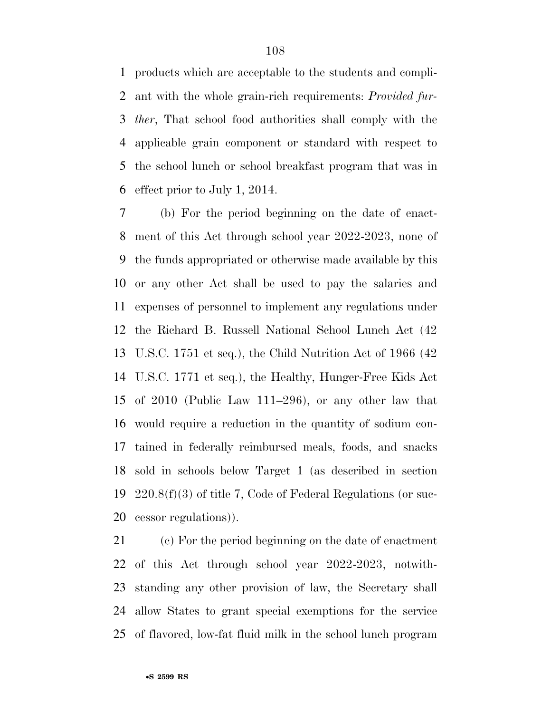products which are acceptable to the students and compli- ant with the whole grain-rich requirements: *Provided fur- ther*, That school food authorities shall comply with the applicable grain component or standard with respect to the school lunch or school breakfast program that was in effect prior to July 1, 2014.

 (b) For the period beginning on the date of enact- ment of this Act through school year 2022-2023, none of the funds appropriated or otherwise made available by this or any other Act shall be used to pay the salaries and expenses of personnel to implement any regulations under the Richard B. Russell National School Lunch Act (42 U.S.C. 1751 et seq.), the Child Nutrition Act of 1966 (42 U.S.C. 1771 et seq.), the Healthy, Hunger-Free Kids Act of 2010 (Public Law 111–296), or any other law that would require a reduction in the quantity of sodium con- tained in federally reimbursed meals, foods, and snacks sold in schools below Target 1 (as described in section 220.8(f)(3) of title 7, Code of Federal Regulations (or suc-cessor regulations)).

 (c) For the period beginning on the date of enactment of this Act through school year 2022-2023, notwith- standing any other provision of law, the Secretary shall allow States to grant special exemptions for the service of flavored, low-fat fluid milk in the school lunch program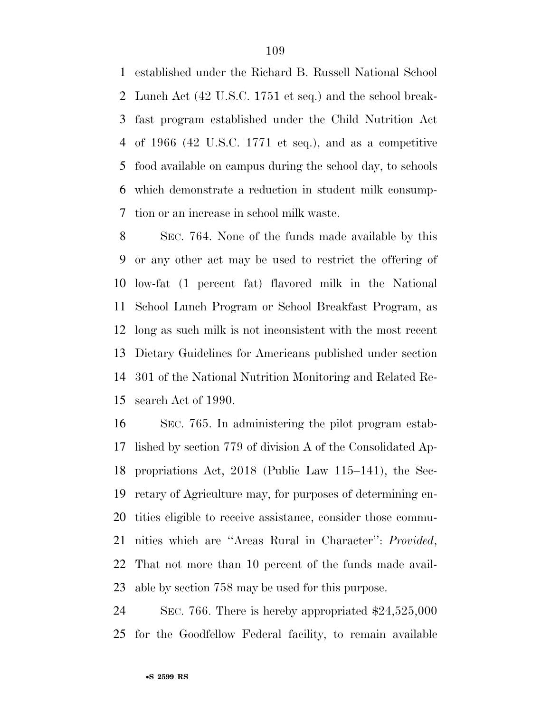established under the Richard B. Russell National School Lunch Act (42 U.S.C. 1751 et seq.) and the school break- fast program established under the Child Nutrition Act of 1966 (42 U.S.C. 1771 et seq.), and as a competitive food available on campus during the school day, to schools which demonstrate a reduction in student milk consump-tion or an increase in school milk waste.

 SEC. 764. None of the funds made available by this or any other act may be used to restrict the offering of low-fat (1 percent fat) flavored milk in the National School Lunch Program or School Breakfast Program, as long as such milk is not inconsistent with the most recent Dietary Guidelines for Americans published under section 301 of the National Nutrition Monitoring and Related Re-search Act of 1990.

 SEC. 765. In administering the pilot program estab- lished by section 779 of division A of the Consolidated Ap- propriations Act, 2018 (Public Law 115–141), the Sec- retary of Agriculture may, for purposes of determining en- tities eligible to receive assistance, consider those commu- nities which are ''Areas Rural in Character'': *Provided*, That not more than 10 percent of the funds made avail-able by section 758 may be used for this purpose.

 SEC. 766. There is hereby appropriated \$24,525,000 for the Goodfellow Federal facility, to remain available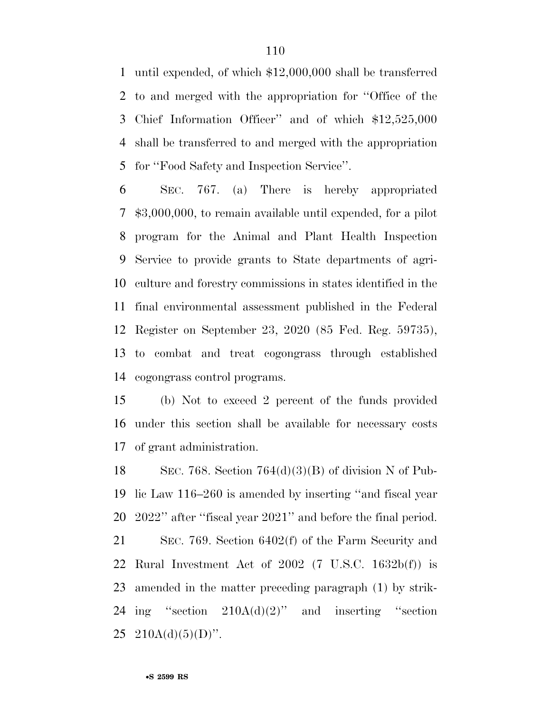until expended, of which \$12,000,000 shall be transferred to and merged with the appropriation for ''Office of the Chief Information Officer'' and of which \$12,525,000 shall be transferred to and merged with the appropriation for ''Food Safety and Inspection Service''.

 SEC. 767. (a) There is hereby appropriated \$3,000,000, to remain available until expended, for a pilot program for the Animal and Plant Health Inspection Service to provide grants to State departments of agri- culture and forestry commissions in states identified in the final environmental assessment published in the Federal Register on September 23, 2020 (85 Fed. Reg. 59735), to combat and treat cogongrass through established cogongrass control programs.

 (b) Not to exceed 2 percent of the funds provided under this section shall be available for necessary costs of grant administration.

18 SEC. 768. Section  $764(d)(3)(B)$  of division N of Pub- lic Law 116–260 is amended by inserting ''and fiscal year 2022'' after ''fiscal year 2021'' and before the final period. SEC. 769. Section 6402(f) of the Farm Security and Rural Investment Act of 2002 (7 U.S.C. 1632b(f)) is amended in the matter preceding paragraph (1) by strik-24 ing "section  $210A(d)(2)$ " and inserting "section  $210A(d)(5)(D)$ ".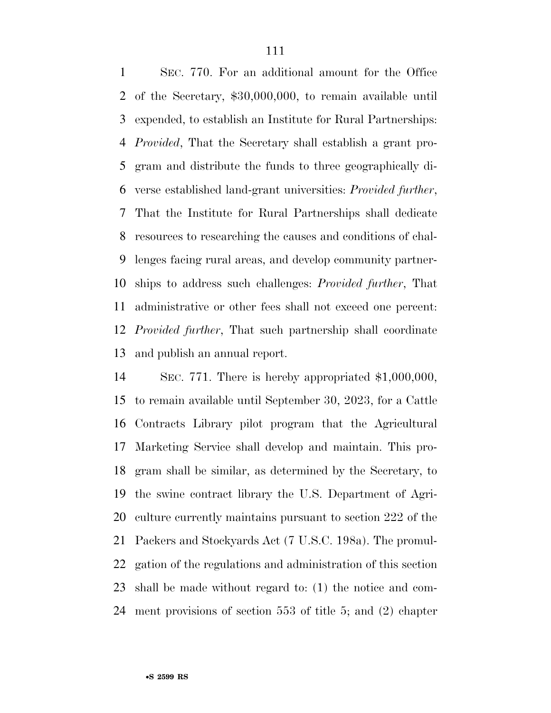SEC. 770. For an additional amount for the Office of the Secretary, \$30,000,000, to remain available until expended, to establish an Institute for Rural Partnerships: *Provided*, That the Secretary shall establish a grant pro- gram and distribute the funds to three geographically di- verse established land-grant universities: *Provided further*, That the Institute for Rural Partnerships shall dedicate resources to researching the causes and conditions of chal- lenges facing rural areas, and develop community partner- ships to address such challenges: *Provided further*, That administrative or other fees shall not exceed one percent: *Provided further*, That such partnership shall coordinate and publish an annual report.

 SEC. 771. There is hereby appropriated \$1,000,000, to remain available until September 30, 2023, for a Cattle Contracts Library pilot program that the Agricultural Marketing Service shall develop and maintain. This pro- gram shall be similar, as determined by the Secretary, to the swine contract library the U.S. Department of Agri- culture currently maintains pursuant to section 222 of the Packers and Stockyards Act (7 U.S.C. 198a). The promul- gation of the regulations and administration of this section shall be made without regard to: (1) the notice and com-ment provisions of section 553 of title 5; and (2) chapter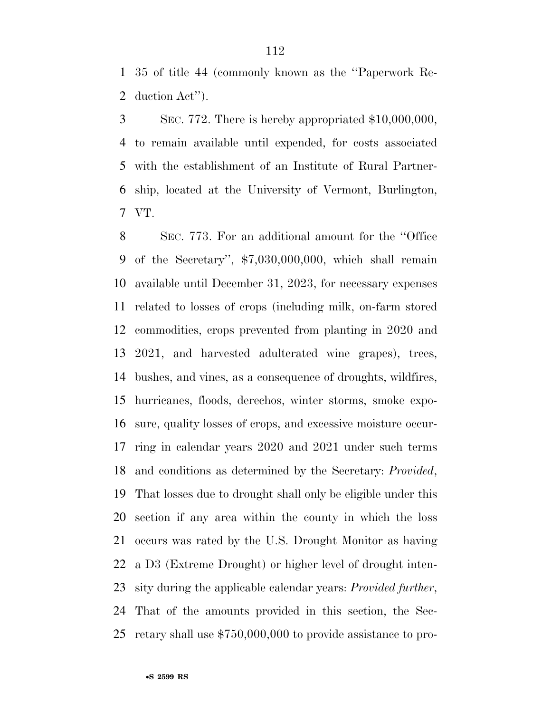35 of title 44 (commonly known as the ''Paperwork Re-duction Act'').

 SEC. 772. There is hereby appropriated \$10,000,000, to remain available until expended, for costs associated with the establishment of an Institute of Rural Partner- ship, located at the University of Vermont, Burlington, VT.

 SEC. 773. For an additional amount for the ''Office of the Secretary'', \$7,030,000,000, which shall remain available until December 31, 2023, for necessary expenses related to losses of crops (including milk, on-farm stored commodities, crops prevented from planting in 2020 and 2021, and harvested adulterated wine grapes), trees, bushes, and vines, as a consequence of droughts, wildfires, hurricanes, floods, derechos, winter storms, smoke expo- sure, quality losses of crops, and excessive moisture occur- ring in calendar years 2020 and 2021 under such terms and conditions as determined by the Secretary: *Provided*, That losses due to drought shall only be eligible under this section if any area within the county in which the loss occurs was rated by the U.S. Drought Monitor as having a D3 (Extreme Drought) or higher level of drought inten- sity during the applicable calendar years: *Provided further*, That of the amounts provided in this section, the Sec-retary shall use \$750,000,000 to provide assistance to pro-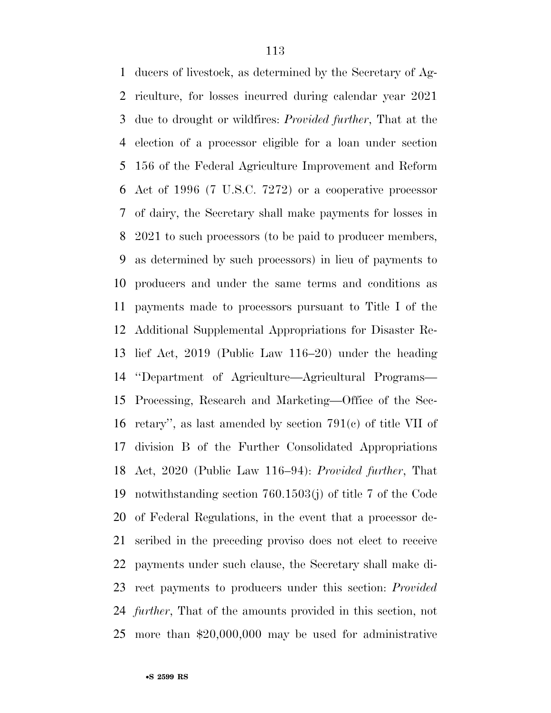ducers of livestock, as determined by the Secretary of Ag- riculture, for losses incurred during calendar year 2021 due to drought or wildfires: *Provided further*, That at the election of a processor eligible for a loan under section 156 of the Federal Agriculture Improvement and Reform Act of 1996 (7 U.S.C. 7272) or a cooperative processor of dairy, the Secretary shall make payments for losses in 2021 to such processors (to be paid to producer members, as determined by such processors) in lieu of payments to producers and under the same terms and conditions as payments made to processors pursuant to Title I of the Additional Supplemental Appropriations for Disaster Re- lief Act, 2019 (Public Law 116–20) under the heading ''Department of Agriculture—Agricultural Programs— Processing, Research and Marketing—Office of the Sec- retary'', as last amended by section 791(c) of title VII of division B of the Further Consolidated Appropriations Act, 2020 (Public Law 116–94): *Provided further*, That notwithstanding section 760.1503(j) of title 7 of the Code of Federal Regulations, in the event that a processor de- scribed in the preceding proviso does not elect to receive payments under such clause, the Secretary shall make di- rect payments to producers under this section: *Provided further*, That of the amounts provided in this section, not more than \$20,000,000 may be used for administrative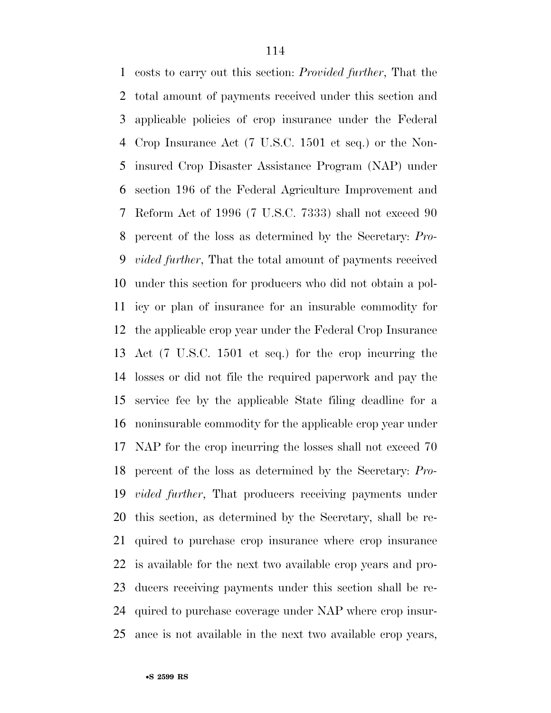costs to carry out this section: *Provided further*, That the total amount of payments received under this section and applicable policies of crop insurance under the Federal Crop Insurance Act (7 U.S.C. 1501 et seq.) or the Non- insured Crop Disaster Assistance Program (NAP) under section 196 of the Federal Agriculture Improvement and Reform Act of 1996 (7 U.S.C. 7333) shall not exceed 90 percent of the loss as determined by the Secretary: *Pro- vided further*, That the total amount of payments received under this section for producers who did not obtain a pol- icy or plan of insurance for an insurable commodity for the applicable crop year under the Federal Crop Insurance Act (7 U.S.C. 1501 et seq.) for the crop incurring the losses or did not file the required paperwork and pay the service fee by the applicable State filing deadline for a noninsurable commodity for the applicable crop year under NAP for the crop incurring the losses shall not exceed 70 percent of the loss as determined by the Secretary: *Pro- vided further*, That producers receiving payments under this section, as determined by the Secretary, shall be re- quired to purchase crop insurance where crop insurance is available for the next two available crop years and pro- ducers receiving payments under this section shall be re- quired to purchase coverage under NAP where crop insur-ance is not available in the next two available crop years,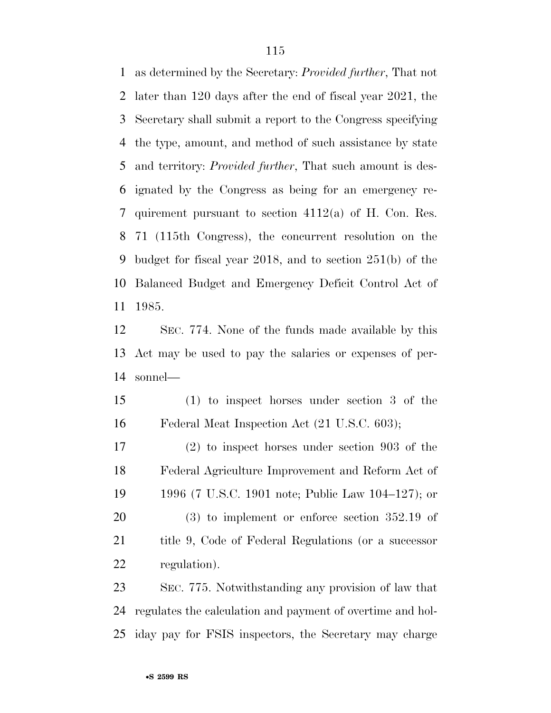as determined by the Secretary: *Provided further*, That not later than 120 days after the end of fiscal year 2021, the Secretary shall submit a report to the Congress specifying the type, amount, and method of such assistance by state and territory: *Provided further*, That such amount is des- ignated by the Congress as being for an emergency re- quirement pursuant to section 4112(a) of H. Con. Res. 71 (115th Congress), the concurrent resolution on the budget for fiscal year 2018, and to section 251(b) of the Balanced Budget and Emergency Deficit Control Act of 1985.

 SEC. 774. None of the funds made available by this Act may be used to pay the salaries or expenses of per-sonnel—

 (1) to inspect horses under section 3 of the Federal Meat Inspection Act (21 U.S.C. 603);

 (2) to inspect horses under section 903 of the Federal Agriculture Improvement and Reform Act of 1996 (7 U.S.C. 1901 note; Public Law 104–127); or (3) to implement or enforce section 352.19 of 21 title 9, Code of Federal Regulations (or a successor regulation).

 SEC. 775. Notwithstanding any provision of law that regulates the calculation and payment of overtime and hol-iday pay for FSIS inspectors, the Secretary may charge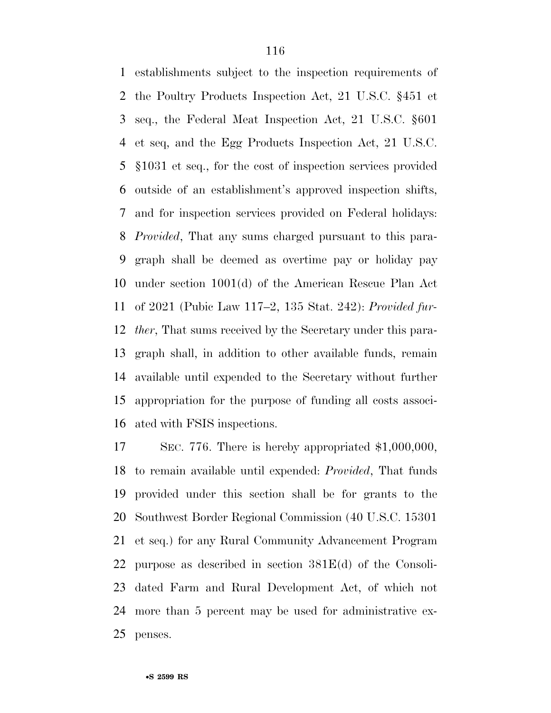establishments subject to the inspection requirements of the Poultry Products Inspection Act, 21 U.S.C. §451 et seq., the Federal Meat Inspection Act, 21 U.S.C. §601 et seq, and the Egg Products Inspection Act, 21 U.S.C. §1031 et seq., for the cost of inspection services provided outside of an establishment's approved inspection shifts, and for inspection services provided on Federal holidays: *Provided*, That any sums charged pursuant to this para- graph shall be deemed as overtime pay or holiday pay under section 1001(d) of the American Rescue Plan Act of 2021 (Pubic Law 117–2, 135 Stat. 242): *Provided fur- ther*, That sums received by the Secretary under this para- graph shall, in addition to other available funds, remain available until expended to the Secretary without further appropriation for the purpose of funding all costs associ-ated with FSIS inspections.

 SEC. 776. There is hereby appropriated \$1,000,000, to remain available until expended: *Provided*, That funds provided under this section shall be for grants to the Southwest Border Regional Commission (40 U.S.C. 15301 et seq.) for any Rural Community Advancement Program purpose as described in section 381E(d) of the Consoli- dated Farm and Rural Development Act, of which not more than 5 percent may be used for administrative ex-penses.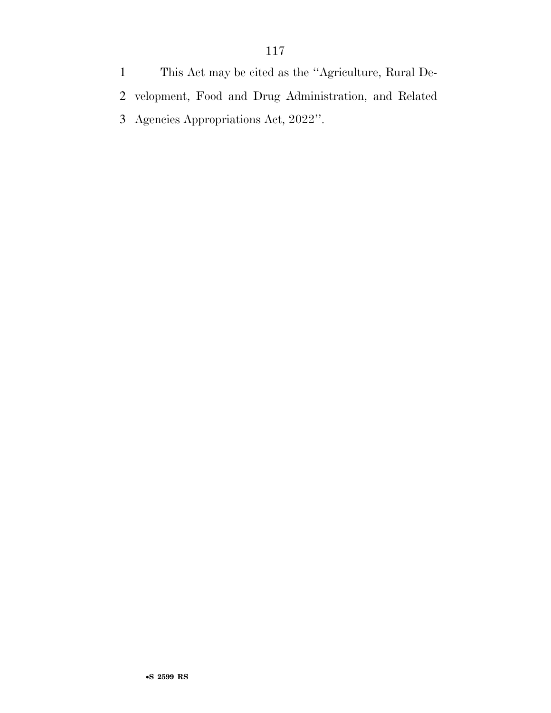This Act may be cited as the ''Agriculture, Rural De- velopment, Food and Drug Administration, and Related Agencies Appropriations Act, 2022''.